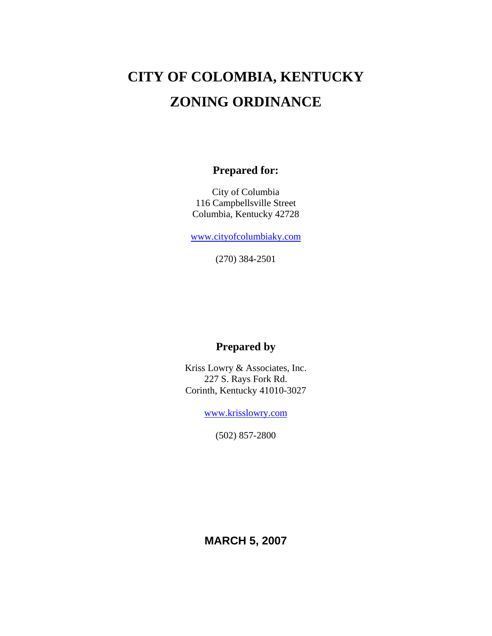# **CITY OF COLOMBIA, KENTUCKY ZONING ORDINANCE**

# **Prepared for:**

City of Columbia 116 Campbellsville Street Columbia, Kentucky 42728

www.cityofcolumbiaky.com

(270) 384-2501

# **Prepared by**

Kriss Lowry & Associates, Inc. 227 S. Rays Fork Rd. Corinth, Kentucky 41010-3027

www.krisslowry.com

(502) 857-2800

**MARCH 5, 2007**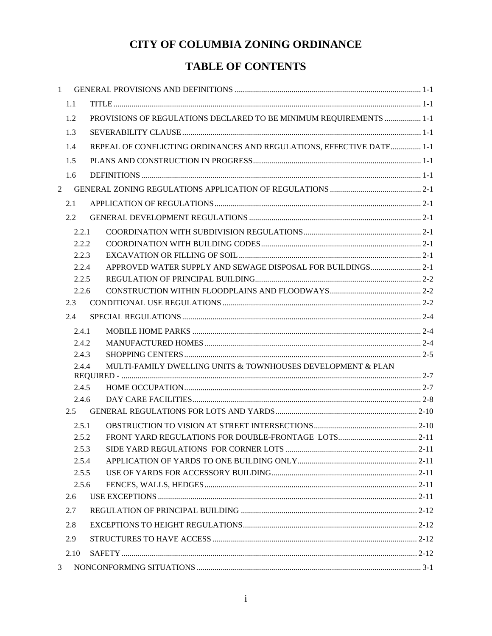# **TABLE OF CONTENTS**

| 1              |                |                                                                      |  |
|----------------|----------------|----------------------------------------------------------------------|--|
|                | 1.1            |                                                                      |  |
|                | 1.2            | PROVISIONS OF REGULATIONS DECLARED TO BE MINIMUM REQUIREMENTS  1-1   |  |
|                | 1.3            |                                                                      |  |
|                | 1.4            | REPEAL OF CONFLICTING ORDINANCES AND REGULATIONS, EFFECTIVE DATE 1-1 |  |
|                | 1.5            |                                                                      |  |
|                | 1.6            |                                                                      |  |
| $\overline{2}$ |                |                                                                      |  |
|                | 2.1            |                                                                      |  |
|                | $2.2\,$        |                                                                      |  |
|                |                |                                                                      |  |
|                | 2.2.1<br>2.2.2 |                                                                      |  |
|                | 2.2.3          |                                                                      |  |
|                | 2.2.4          | APPROVED WATER SUPPLY AND SEWAGE DISPOSAL FOR BUILDINGS 2-1          |  |
|                | 2.2.5          |                                                                      |  |
|                | 2.2.6          |                                                                      |  |
|                | 2.3            |                                                                      |  |
|                | 2.4            |                                                                      |  |
|                | 2.4.1          |                                                                      |  |
|                | 2.4.2          |                                                                      |  |
|                | 2.4.3          |                                                                      |  |
|                | 2.4.4          | MULTI-FAMILY DWELLING UNITS & TOWNHOUSES DEVELOPMENT & PLAN          |  |
|                | 2.4.5          |                                                                      |  |
|                | 2.4.6          |                                                                      |  |
|                | 2.5            |                                                                      |  |
|                | 2.5.1          |                                                                      |  |
|                | 2.5.2          |                                                                      |  |
|                | 2.5.3          |                                                                      |  |
|                | 2.5.4          |                                                                      |  |
|                | 2.5.5          |                                                                      |  |
|                | 2.5.6          |                                                                      |  |
|                | 2.6            |                                                                      |  |
|                | 2.7            |                                                                      |  |
|                | 2.8            |                                                                      |  |
|                | 2.9            |                                                                      |  |
|                | 2.10           |                                                                      |  |
| 3              |                |                                                                      |  |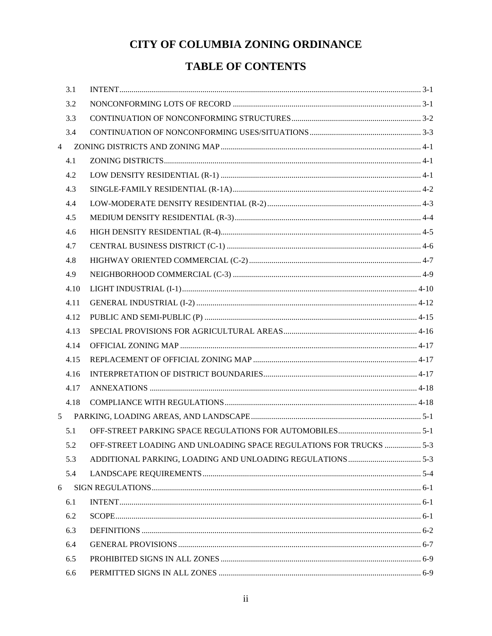# **TABLE OF CONTENTS**

|                | 3.1  |                                                                        |  |
|----------------|------|------------------------------------------------------------------------|--|
|                | 3.2  |                                                                        |  |
|                | 3.3  |                                                                        |  |
|                | 3.4  |                                                                        |  |
| $\overline{4}$ |      |                                                                        |  |
|                | 4.1  |                                                                        |  |
|                | 4.2  |                                                                        |  |
|                | 4.3  |                                                                        |  |
|                | 4.4  |                                                                        |  |
|                | 4.5  |                                                                        |  |
|                | 4.6  |                                                                        |  |
|                | 4.7  |                                                                        |  |
|                | 4.8  |                                                                        |  |
|                | 4.9  |                                                                        |  |
|                | 4.10 |                                                                        |  |
|                | 4.11 |                                                                        |  |
|                | 4.12 |                                                                        |  |
|                | 4.13 |                                                                        |  |
|                | 4.14 |                                                                        |  |
|                | 4.15 |                                                                        |  |
|                | 4.16 |                                                                        |  |
|                | 4.17 |                                                                        |  |
|                | 4.18 |                                                                        |  |
| 5              |      |                                                                        |  |
|                | 5.1  |                                                                        |  |
|                |      | 5-3 OFF-STREET LOADING AND UNLOADING SPACE REGULATIONS FOR TRUCKS  5-3 |  |
|                | 5.3  |                                                                        |  |
|                | 5.4  |                                                                        |  |
| 6              |      |                                                                        |  |
|                | 6.1  |                                                                        |  |
|                | 6.2  |                                                                        |  |
|                | 6.3  |                                                                        |  |
|                | 6.4  |                                                                        |  |
|                | 6.5  |                                                                        |  |
|                | 6.6  |                                                                        |  |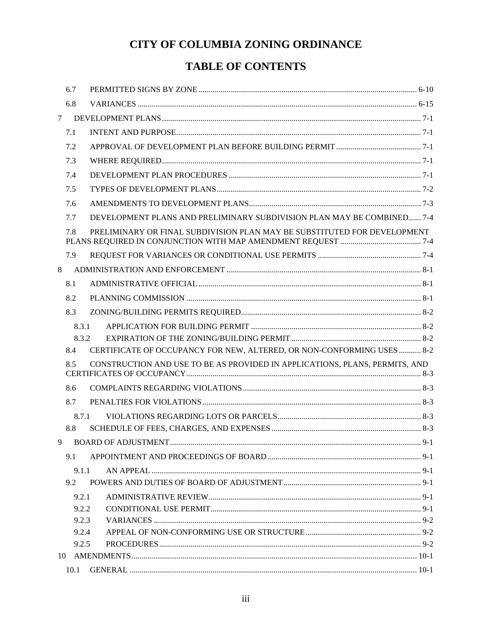# **TABLE OF CONTENTS**

| 6.7            |                                                                             |         |
|----------------|-----------------------------------------------------------------------------|---------|
| 6.8            |                                                                             |         |
| $\tau$         |                                                                             |         |
| 7.1            |                                                                             |         |
| 7.2            |                                                                             |         |
| 7.3            |                                                                             |         |
| 7.4            |                                                                             |         |
| 7.5            |                                                                             |         |
| 7.6            |                                                                             |         |
| 7.7            | DEVELOPMENT PLANS AND PRELIMINARY SUBDIVISION PLAN MAY BE COMBINED 7-4      |         |
| 7.8            | PRELIMINARY OR FINAL SUBDIVISION PLAN MAY BE SUBSTITUTED FOR DEVELOPMENT    |         |
| 7.9            |                                                                             |         |
| 8              |                                                                             |         |
| 8.1            |                                                                             |         |
| 8.2            |                                                                             |         |
| 8.3            |                                                                             |         |
| 8.3.1          |                                                                             |         |
| 8.3.2          |                                                                             |         |
| 8.4            | CERTIFICATE OF OCCUPANCY FOR NEW, ALTERED, OR NON-CONFORMING USES  8-2      |         |
| 8.5            | CONSTRUCTION AND USE TO BE AS PROVIDED IN APPLICATIONS, PLANS, PERMITS, AND |         |
| 8.6            |                                                                             |         |
| 8.7            |                                                                             |         |
| 8.7.1          |                                                                             |         |
| 8.8            |                                                                             |         |
|                |                                                                             | $9 - 1$ |
| 9.1            |                                                                             |         |
| 9.1.1          |                                                                             |         |
| 9.2            |                                                                             |         |
| 9.2.1          |                                                                             |         |
| 9.2.2          |                                                                             |         |
| 9.2.3<br>9.2.4 |                                                                             |         |
| 9.2.5          |                                                                             |         |
|                |                                                                             |         |
| 10.1           |                                                                             |         |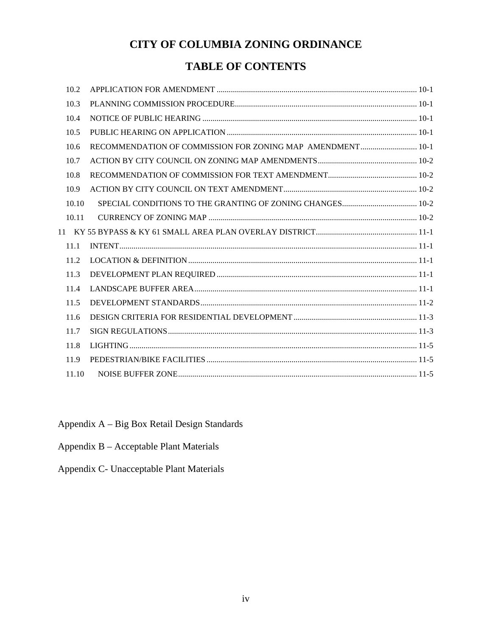# **TABLE OF CONTENTS**

| 10.2  |                                                            |  |
|-------|------------------------------------------------------------|--|
| 10.3  |                                                            |  |
| 10.4  |                                                            |  |
| 10.5  |                                                            |  |
| 10.6  | RECOMMENDATION OF COMMISSION FOR ZONING MAP AMENDMENT 10-1 |  |
| 10.7  |                                                            |  |
| 10.8  |                                                            |  |
| 10.9  |                                                            |  |
| 10.10 |                                                            |  |
| 10.11 |                                                            |  |
|       |                                                            |  |
| 11.1  |                                                            |  |
| 11.2  |                                                            |  |
| 11.3  |                                                            |  |
| 11.4  |                                                            |  |
| 11.5  |                                                            |  |
| 11.6  |                                                            |  |
| 11.7  |                                                            |  |
| 11.8  |                                                            |  |
| 11.9  |                                                            |  |
| 11.10 |                                                            |  |
|       |                                                            |  |

Appendix A – Big Box Retail Design Standards

Appendix B – Acceptable Plant Materials

Appendix C- Unacceptable Plant Materials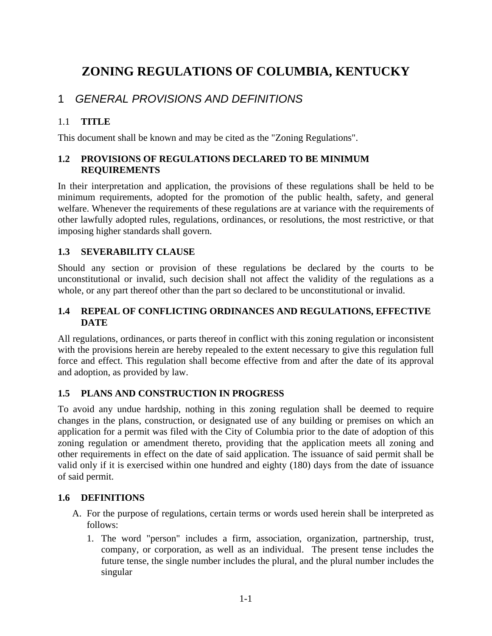# **ZONING REGULATIONS OF COLUMBIA, KENTUCKY**

# 1 *GENERAL PROVISIONS AND DEFINITIONS*

#### 1.1 **TITLE**

This document shall be known and may be cited as the "Zoning Regulations".

### **1.2 PROVISIONS OF REGULATIONS DECLARED TO BE MINIMUM REQUIREMENTS**

In their interpretation and application, the provisions of these regulations shall be held to be minimum requirements, adopted for the promotion of the public health, safety, and general welfare. Whenever the requirements of these regulations are at variance with the requirements of other lawfully adopted rules, regulations, ordinances, or resolutions, the most restrictive, or that imposing higher standards shall govern.

#### **1.3 SEVERABILITY CLAUSE**

Should any section or provision of these regulations be declared by the courts to be unconstitutional or invalid, such decision shall not affect the validity of the regulations as a whole, or any part thereof other than the part so declared to be unconstitutional or invalid.

#### **1.4 REPEAL OF CONFLICTING ORDINANCES AND REGULATIONS, EFFECTIVE DATE**

All regulations, ordinances, or parts thereof in conflict with this zoning regulation or inconsistent with the provisions herein are hereby repealed to the extent necessary to give this regulation full force and effect. This regulation shall become effective from and after the date of its approval and adoption, as provided by law.

#### **1.5 PLANS AND CONSTRUCTION IN PROGRESS**

To avoid any undue hardship, nothing in this zoning regulation shall be deemed to require changes in the plans, construction, or designated use of any building or premises on which an application for a permit was filed with the City of Columbia prior to the date of adoption of this zoning regulation or amendment thereto, providing that the application meets all zoning and other requirements in effect on the date of said application. The issuance of said permit shall be valid only if it is exercised within one hundred and eighty (180) days from the date of issuance of said permit.

#### **1.6 DEFINITIONS**

- A. For the purpose of regulations, certain terms or words used herein shall be interpreted as follows:
	- 1. The word "person" includes a firm, association, organization, partnership, trust, company, or corporation, as well as an individual. The present tense includes the future tense, the single number includes the plural, and the plural number includes the singular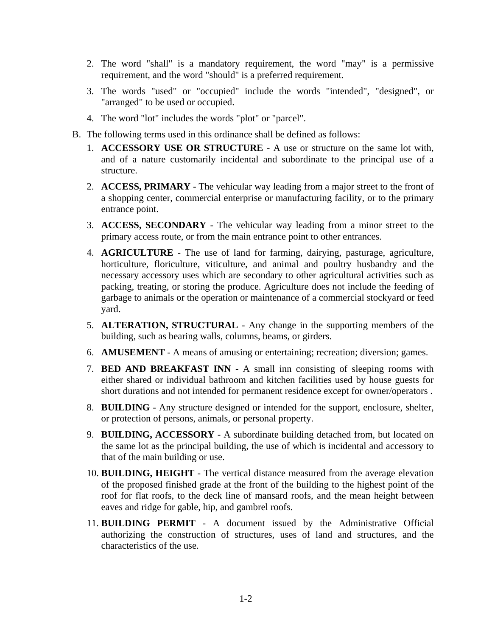- 2. The word "shall" is a mandatory requirement, the word "may" is a permissive requirement, and the word "should" is a preferred requirement.
- 3. The words "used" or "occupied" include the words "intended", "designed", or "arranged" to be used or occupied.
- 4. The word "lot" includes the words "plot" or "parcel".
- B. The following terms used in this ordinance shall be defined as follows:
	- 1. **ACCESSORY USE OR STRUCTURE** A use or structure on the same lot with, and of a nature customarily incidental and subordinate to the principal use of a structure.
	- 2. **ACCESS, PRIMARY** The vehicular way leading from a major street to the front of a shopping center, commercial enterprise or manufacturing facility, or to the primary entrance point.
	- 3. **ACCESS, SECONDARY** The vehicular way leading from a minor street to the primary access route, or from the main entrance point to other entrances.
	- 4. **AGRICULTURE** The use of land for farming, dairying, pasturage, agriculture, horticulture, floriculture, viticulture, and animal and poultry husbandry and the necessary accessory uses which are secondary to other agricultural activities such as packing, treating, or storing the produce. Agriculture does not include the feeding of garbage to animals or the operation or maintenance of a commercial stockyard or feed yard.
	- 5. **ALTERATION, STRUCTURAL** Any change in the supporting members of the building, such as bearing walls, columns, beams, or girders.
	- 6. **AMUSEMENT** A means of amusing or entertaining; recreation; diversion; games.
	- 7. **BED AND BREAKFAST INN** A small inn consisting of sleeping rooms with either shared or individual bathroom and kitchen facilities used by house guests for short durations and not intended for permanent residence except for owner/operators .
	- 8. **BUILDING** Any structure designed or intended for the support, enclosure, shelter, or protection of persons, animals, or personal property.
	- 9. **BUILDING, ACCESSORY** A subordinate building detached from, but located on the same lot as the principal building, the use of which is incidental and accessory to that of the main building or use.
	- 10. **BUILDING, HEIGHT** The vertical distance measured from the average elevation of the proposed finished grade at the front of the building to the highest point of the roof for flat roofs, to the deck line of mansard roofs, and the mean height between eaves and ridge for gable, hip, and gambrel roofs.
	- 11. **BUILDING PERMIT** A document issued by the Administrative Official authorizing the construction of structures, uses of land and structures, and the characteristics of the use.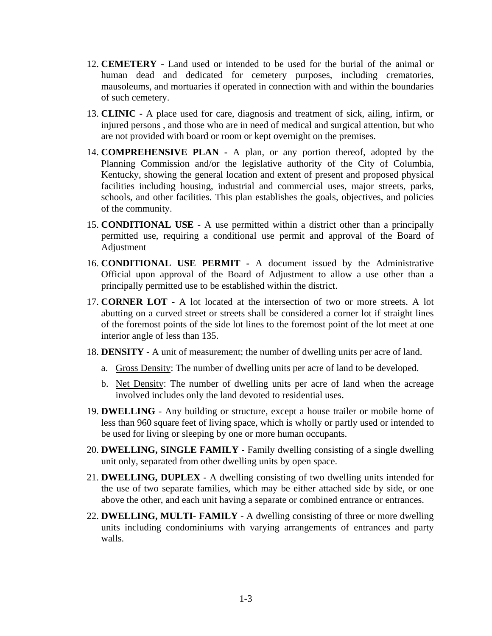- 12. **CEMETERY** Land used or intended to be used for the burial of the animal or human dead and dedicated for cemetery purposes, including crematories, mausoleums, and mortuaries if operated in connection with and within the boundaries of such cemetery.
- 13. **CLINIC** A place used for care, diagnosis and treatment of sick, ailing, infirm, or injured persons , and those who are in need of medical and surgical attention, but who are not provided with board or room or kept overnight on the premises.
- 14. **COMPREHENSIVE PLAN** A plan, or any portion thereof, adopted by the Planning Commission and/or the legislative authority of the City of Columbia, Kentucky, showing the general location and extent of present and proposed physical facilities including housing, industrial and commercial uses, major streets, parks, schools, and other facilities. This plan establishes the goals, objectives, and policies of the community.
- 15. **CONDITIONAL USE** A use permitted within a district other than a principally permitted use, requiring a conditional use permit and approval of the Board of Adjustment
- 16. **CONDITIONAL USE PERMIT -** A document issued by the Administrative Official upon approval of the Board of Adjustment to allow a use other than a principally permitted use to be established within the district.
- 17. **CORNER LOT** A lot located at the intersection of two or more streets. A lot abutting on a curved street or streets shall be considered a corner lot if straight lines of the foremost points of the side lot lines to the foremost point of the lot meet at one interior angle of less than 135.
- 18. **DENSITY** A unit of measurement; the number of dwelling units per acre of land.
	- a. Gross Density: The number of dwelling units per acre of land to be developed.
	- b. Net Density: The number of dwelling units per acre of land when the acreage involved includes only the land devoted to residential uses.
- 19. **DWELLING** Any building or structure, except a house trailer or mobile home of less than 960 square feet of living space, which is wholly or partly used or intended to be used for living or sleeping by one or more human occupants.
- 20. **DWELLING, SINGLE FAMILY** Family dwelling consisting of a single dwelling unit only, separated from other dwelling units by open space.
- 21. **DWELLING, DUPLEX** A dwelling consisting of two dwelling units intended for the use of two separate families, which may be either attached side by side, or one above the other, and each unit having a separate or combined entrance or entrances.
- 22. **DWELLING, MULTI- FAMILY** A dwelling consisting of three or more dwelling units including condominiums with varying arrangements of entrances and party walls.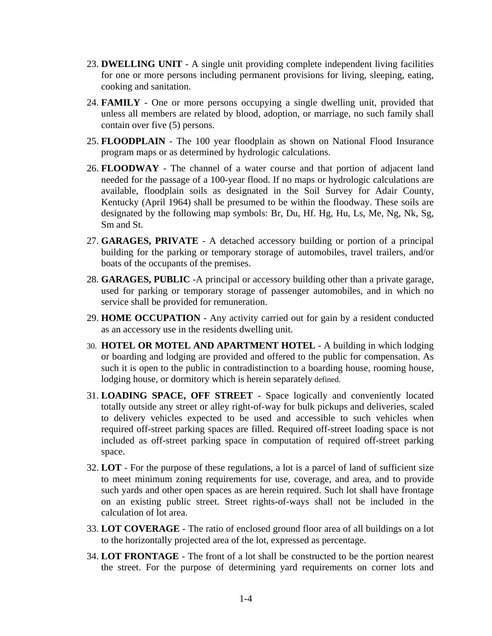- 23. **DWELLING UNIT** A single unit providing complete independent living facilities for one or more persons including permanent provisions for living, sleeping, eating, cooking and sanitation.
- 24. **FAMILY** One or more persons occupying a single dwelling unit, provided that unless all members are related by blood, adoption, or marriage, no such family shall contain over five (5) persons.
- 25. **FLOODPLAIN** The 100 year floodplain as shown on National Flood Insurance program maps or as determined by hydrologic calculations.
- 26. **FLOODWAY** The channel of a water course and that portion of adjacent land needed for the passage of a 100-year flood. If no maps or hydrologic calculations are available, floodplain soils as designated in the Soil Survey for Adair County, Kentucky (April 1964) shall be presumed to be within the floodway. These soils are designated by the following map symbols: Br, Du, Hf. Hg, Hu, Ls, Me, Ng, Nk, Sg, Sm and St.
- 27. **GARAGES, PRIVATE** A detached accessory building or portion of a principal building for the parking or temporary storage of automobiles, travel trailers, and/or boats of the occupants of the premises.
- 28. **GARAGES, PUBLIC** -A principal or accessory building other than a private garage, used for parking or temporary storage of passenger automobiles, and in which no service shall be provided for remuneration.
- 29. **HOME OCCUPATION** Any activity carried out for gain by a resident conducted as an accessory use in the residents dwelling unit.
- 30. **HOTEL OR MOTEL AND APARTMENT HOTEL** A building in which lodging or boarding and lodging are provided and offered to the public for compensation. As such it is open to the public in contradistinction to a boarding house, rooming house, lodging house, or dormitory which is herein separately defined.
- 31. **LOADING SPACE, OFF STREET** Space logically and conveniently located totally outside any street or alley right-of-way for bulk pickups and deliveries, scaled to delivery vehicles expected to be used and accessible to such vehicles when required off-street parking spaces are filled. Required off-street loading space is not included as off-street parking space in computation of required off-street parking space.
- 32. **LOT** For the purpose of these regulations, a lot is a parcel of land of sufficient size to meet minimum zoning requirements for use, coverage, and area, and to provide such yards and other open spaces as are herein required. Such lot shall have frontage on an existing public street. Street rights-of-ways shall not be included in the calculation of lot area.
- 33. **LOT COVERAGE** The ratio of enclosed ground floor area of all buildings on a lot to the horizontally projected area of the lot, expressed as percentage.
- 34. **LOT FRONTAGE** The front of a lot shall be constructed to be the portion nearest the street. For the purpose of determining yard requirements on corner lots and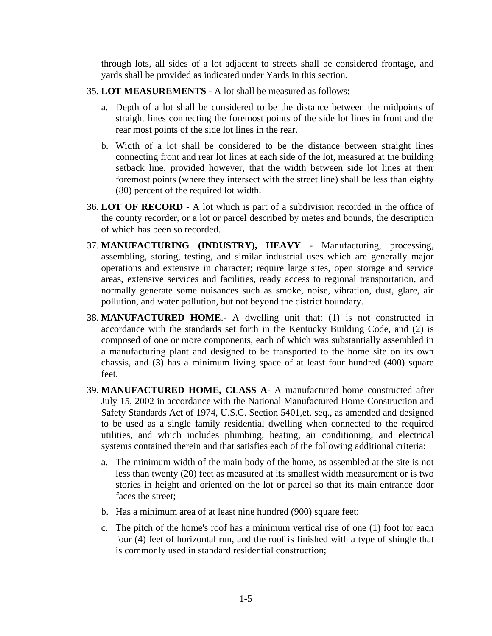through lots, all sides of a lot adjacent to streets shall be considered frontage, and yards shall be provided as indicated under Yards in this section.

- 35. **LOT MEASUREMENTS** A lot shall be measured as follows:
	- a. Depth of a lot shall be considered to be the distance between the midpoints of straight lines connecting the foremost points of the side lot lines in front and the rear most points of the side lot lines in the rear.
	- b. Width of a lot shall be considered to be the distance between straight lines connecting front and rear lot lines at each side of the lot, measured at the building setback line, provided however, that the width between side lot lines at their foremost points (where they intersect with the street line) shall be less than eighty (80) percent of the required lot width.
- 36. **LOT OF RECORD** A lot which is part of a subdivision recorded in the office of the county recorder, or a lot or parcel described by metes and bounds, the description of which has been so recorded.
- 37. **MANUFACTURING (INDUSTRY), HEAVY** Manufacturing, processing, assembling, storing, testing, and similar industrial uses which are generally major operations and extensive in character; require large sites, open storage and service areas, extensive services and facilities, ready access to regional transportation, and normally generate some nuisances such as smoke, noise, vibration, dust, glare, air pollution, and water pollution, but not beyond the district boundary.
- 38. **MANUFACTURED HOME**.- A dwelling unit that: (1) is not constructed in accordance with the standards set forth in the Kentucky Building Code, and (2) is composed of one or more components, each of which was substantially assembled in a manufacturing plant and designed to be transported to the home site on its own chassis, and (3) has a minimum living space of at least four hundred (400) square feet.
- 39. **MANUFACTURED HOME, CLASS A** A manufactured home constructed after July 15, 2002 in accordance with the National Manufactured Home Construction and Safety Standards Act of 1974, U.S.C. Section 5401,et. seq., as amended and designed to be used as a single family residential dwelling when connected to the required utilities, and which includes plumbing, heating, air conditioning, and electrical systems contained therein and that satisfies each of the following additional criteria:
	- a. The minimum width of the main body of the home, as assembled at the site is not less than twenty (20) feet as measured at its smallest width measurement or is two stories in height and oriented on the lot or parcel so that its main entrance door faces the street;
	- b. Has a minimum area of at least nine hundred (900) square feet;
	- c. The pitch of the home's roof has a minimum vertical rise of one (1) foot for each four (4) feet of horizontal run, and the roof is finished with a type of shingle that is commonly used in standard residential construction;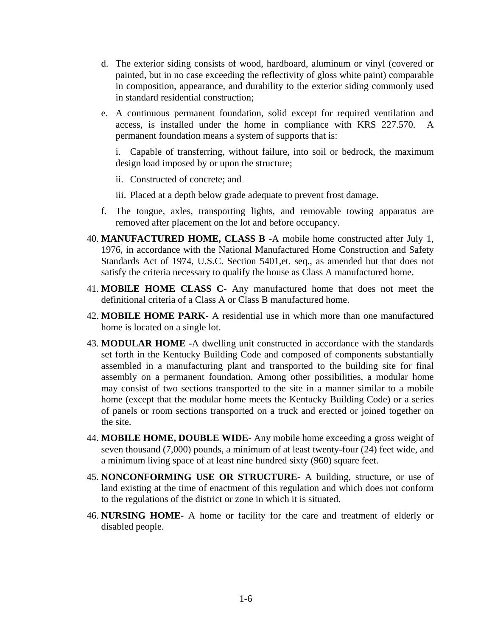- d. The exterior siding consists of wood, hardboard, aluminum or vinyl (covered or painted, but in no case exceeding the reflectivity of gloss white paint) comparable in composition, appearance, and durability to the exterior siding commonly used in standard residential construction;
- e. A continuous permanent foundation, solid except for required ventilation and access, is installed under the home in compliance with KRS 227.570. A permanent foundation means a system of supports that is:

i. Capable of transferring, without failure, into soil or bedrock, the maximum design load imposed by or upon the structure;

ii. Constructed of concrete; and

iii. Placed at a depth below grade adequate to prevent frost damage.

- f. The tongue, axles, transporting lights, and removable towing apparatus are removed after placement on the lot and before occupancy.
- 40. **MANUFACTURED HOME, CLASS B** -A mobile home constructed after July 1, 1976, in accordance with the National Manufactured Home Construction and Safety Standards Act of 1974, U.S.C. Section 5401,et. seq., as amended but that does not satisfy the criteria necessary to qualify the house as Class A manufactured home.
- 41. **MOBlLE HOME CLASS C** Any manufactured home that does not meet the definitional criteria of a Class A or Class B manufactured home.
- 42. **MOBILE HOME PARK** A residential use in which more than one manufactured home is located on a single lot.
- 43. **MODULAR HOME** -A dwelling unit constructed in accordance with the standards set forth in the Kentucky Building Code and composed of components substantially assembled in a manufacturing plant and transported to the building site for final assembly on a permanent foundation. Among other possibilities, a modular home may consist of two sections transported to the site in a manner similar to a mobile home (except that the modular home meets the Kentucky Building Code) or a series of panels or room sections transported on a truck and erected or joined together on the site.
- 44. **MOBILE HOME, DOUBLE WIDE** Any mobile home exceeding a gross weight of seven thousand (7,000) pounds, a minimum of at least twenty-four (24) feet wide, and a minimum living space of at least nine hundred sixty (960) square feet.
- 45. **NONCONFORMING USE OR STRUCTURE-** A building, structure, or use of land existing at the time of enactment of this regulation and which does not conform to the regulations of the district or zone in which it is situated.
- 46. **NURSING HOME-** A home or facility for the care and treatment of elderly or disabled people.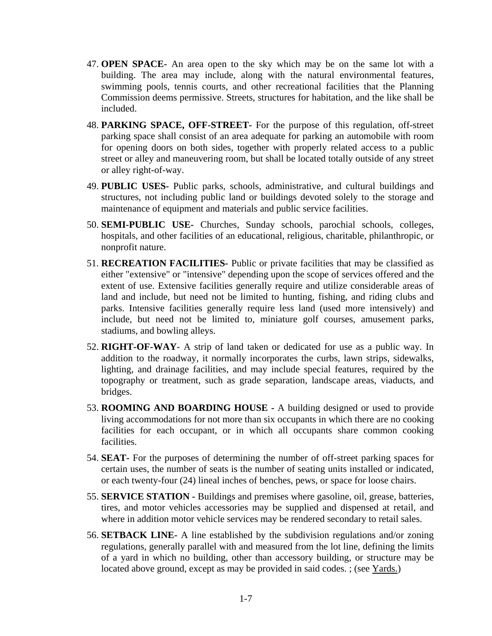- 47. **OPEN SPACE-** An area open to the sky which may be on the same lot with a building. The area may include, along with the natural environmental features, swimming pools, tennis courts, and other recreational facilities that the Planning Commission deems permissive. Streets, structures for habitation, and the like shall be included.
- 48. **PARKING SPACE, OFF-STREET-** For the purpose of this regulation, off-street parking space shall consist of an area adequate for parking an automobile with room for opening doors on both sides, together with properly related access to a public street or alley and maneuvering room, but shall be located totally outside of any street or alley right-of-way.
- 49. **PUBLIC USES-** Public parks, schools, administrative, and cultural buildings and structures, not including public land or buildings devoted solely to the storage and maintenance of equipment and materials and public service facilities.
- 50. **SEMI-PUBLIC USE-** Churches, Sunday schools, parochial schools, colleges, hospitals, and other facilities of an educational, religious, charitable, philanthropic, or nonprofit nature.
- 51. **RECREATION FACILITIES-** Public or private facilities that may be classified as either "extensive" or "intensive" depending upon the scope of services offered and the extent of use. Extensive facilities generally require and utilize considerable areas of land and include, but need not be limited to hunting, fishing, and riding clubs and parks. Intensive facilities generally require less land (used more intensively) and include, but need not be limited to, miniature golf courses, amusement parks, stadiums, and bowling alleys.
- 52. **RIGHT-OF-WAY** A strip of land taken or dedicated for use as a public way. In addition to the roadway, it normally incorporates the curbs, lawn strips, sidewalks, lighting, and drainage facilities, and may include special features, required by the topography or treatment, such as grade separation, landscape areas, viaducts, and bridges.
- 53. **ROOMING AND BOARDING HOUSE -** A building designed or used to provide living accommodations for not more than six occupants in which there are no cooking facilities for each occupant, or in which all occupants share common cooking facilities.
- 54. **SEAT-** For the purposes of determining the number of off-street parking spaces for certain uses, the number of seats is the number of seating units installed or indicated, or each twenty-four (24) lineal inches of benches, pews, or space for loose chairs.
- 55. **SERVICE STATION -** Buildings and premises where gasoline, oil, grease, batteries, tires, and motor vehicles accessories may be supplied and dispensed at retail, and where in addition motor vehicle services may be rendered secondary to retail sales.
- 56. **SETBACK LINE-** A line established by the subdivision regulations and/or zoning regulations, generally parallel with and measured from the lot line, defining the limits of a yard in which no building, other than accessory building, or structure may be located above ground, except as may be provided in said codes. ; (see Yards.)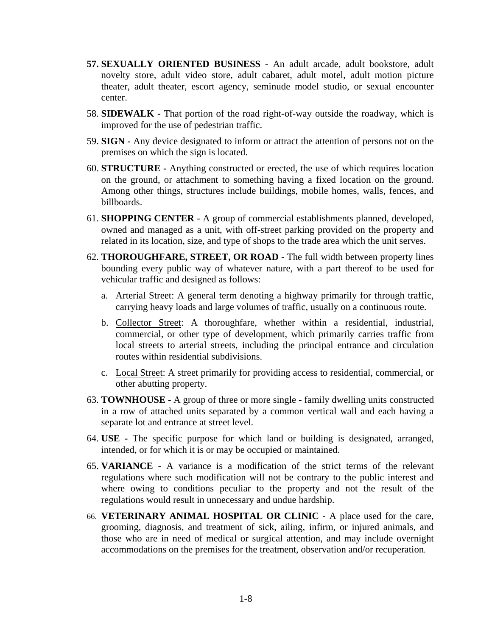- **57. SEXUALLY ORIENTED BUSINESS** An adult arcade, adult bookstore, adult novelty store, adult video store, adult cabaret, adult motel, adult motion picture theater, adult theater, escort agency, seminude model studio, or sexual encounter center.
- 58. **SIDEWALK -** That portion of the road right-of-way outside the roadway, which is improved for the use of pedestrian traffic.
- 59. **SIGN -** Any device designated to inform or attract the attention of persons not on the premises on which the sign is located.
- 60. **STRUCTURE -** Anything constructed or erected, the use of which requires location on the ground, or attachment to something having a fixed location on the ground. Among other things, structures include buildings, mobile homes, walls, fences, and billboards.
- 61. **SHOPPING CENTER** A group of commercial establishments planned, developed, owned and managed as a unit, with off-street parking provided on the property and related in its location, size, and type of shops to the trade area which the unit serves.
- 62. **THOROUGHFARE, STREET, OR ROAD -** The full width between property lines bounding every public way of whatever nature, with a part thereof to be used for vehicular traffic and designed as follows:
	- a. Arterial Street: A general term denoting a highway primarily for through traffic, carrying heavy loads and large volumes of traffic, usually on a continuous route.
	- b. Collector Street: A thoroughfare, whether within a residential, industrial, commercial, or other type of development, which primarily carries traffic from local streets to arterial streets, including the principal entrance and circulation routes within residential subdivisions.
	- c. Local Street: A street primarily for providing access to residential, commercial, or other abutting property.
- 63. **TOWNHOUSE -** A group of three or more single family dwelling units constructed in a row of attached units separated by a common vertical wall and each having a separate lot and entrance at street level.
- 64. **USE -** The specific purpose for which land or building is designated, arranged, intended, or for which it is or may be occupied or maintained.
- 65. **VARIANCE -** A variance is a modification of the strict terms of the relevant regulations where such modification will not be contrary to the public interest and where owing to conditions peculiar to the property and not the result of the regulations would result in unnecessary and undue hardship.
- 66. **VETERINARY ANIMAL HOSPITAL OR CLINIC -** A place used for the care, grooming, diagnosis, and treatment of sick, ailing, infirm, or injured animals, and those who are in need of medical or surgical attention, and may include overnight accommodations on the premises for the treatment, observation and/or recuperation.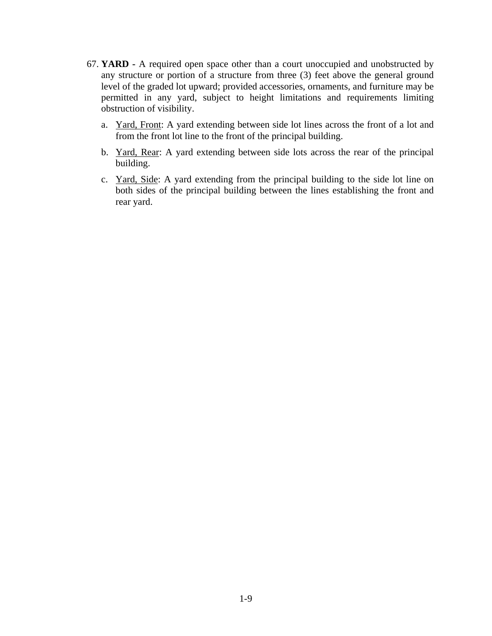- 67. **YARD -** A required open space other than a court unoccupied and unobstructed by any structure or portion of a structure from three (3) feet above the general ground level of the graded lot upward; provided accessories, ornaments, and furniture may be permitted in any yard, subject to height limitations and requirements limiting obstruction of visibility.
	- a. Yard, Front: A yard extending between side lot lines across the front of a lot and from the front lot line to the front of the principal building.
	- b. Yard, Rear: A yard extending between side lots across the rear of the principal building.
	- c. Yard, Side: A yard extending from the principal building to the side lot line on both sides of the principal building between the lines establishing the front and rear yard.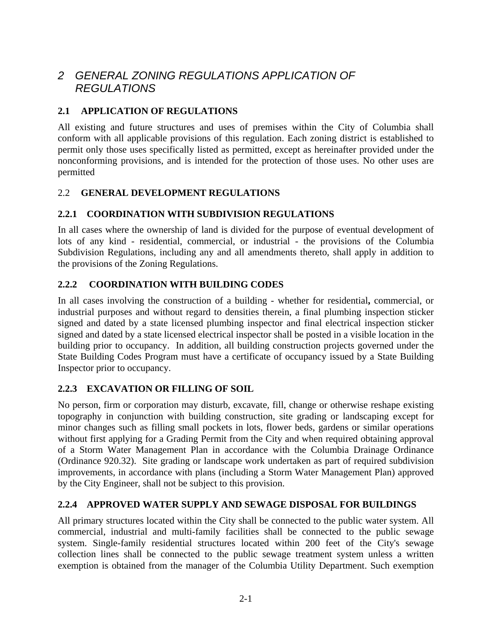# *2 GENERAL ZONING REGULATIONS APPLICATION OF REGULATIONS*

### **2.1 APPLICATION OF REGULATIONS**

All existing and future structures and uses of premises within the City of Columbia shall conform with all applicable provisions of this regulation. Each zoning district is established to permit only those uses specifically listed as permitted, except as hereinafter provided under the nonconforming provisions, and is intended for the protection of those uses. No other uses are permitted

### 2.2 **GENERAL DEVELOPMENT REGULATIONS**

### **2.2.1 COORDINATION WITH SUBDIVISION REGULATIONS**

In all cases where the ownership of land is divided for the purpose of eventual development of lots of any kind - residential, commercial, or industrial - the provisions of the Columbia Subdivision Regulations, including any and all amendments thereto, shall apply in addition to the provisions of the Zoning Regulations.

### **2.2.2 COORDINATION WITH BUILDING CODES**

In all cases involving the construction of a building - whether for residential**,** commercial, or industrial purposes and without regard to densities therein, a final plumbing inspection sticker signed and dated by a state licensed plumbing inspector and final electrical inspection sticker signed and dated by a state licensed electrical inspector shall be posted in a visible location in the building prior to occupancy. In addition, all building construction projects governed under the State Building Codes Program must have a certificate of occupancy issued by a State Building Inspector prior to occupancy.

#### **2.2.3 EXCAVATION OR FILLING OF SOIL**

No person, firm or corporation may disturb, excavate, fill, change or otherwise reshape existing topography in conjunction with building construction, site grading or landscaping except for minor changes such as filling small pockets in lots, flower beds, gardens or similar operations without first applying for a Grading Permit from the City and when required obtaining approval of a Storm Water Management Plan in accordance with the Columbia Drainage Ordinance (Ordinance 920.32). Site grading or landscape work undertaken as part of required subdivision improvements, in accordance with plans (including a Storm Water Management Plan) approved by the City Engineer, shall not be subject to this provision.

#### **2.2.4 APPROVED WATER SUPPLY AND SEWAGE DISPOSAL FOR BUILDINGS**

All primary structures located within the City shall be connected to the public water system. All commercial, industrial and multi-family facilities shall be connected to the public sewage system. Single-family residential structures located within 200 feet of the City's sewage collection lines shall be connected to the public sewage treatment system unless a written exemption is obtained from the manager of the Columbia Utility Department. Such exemption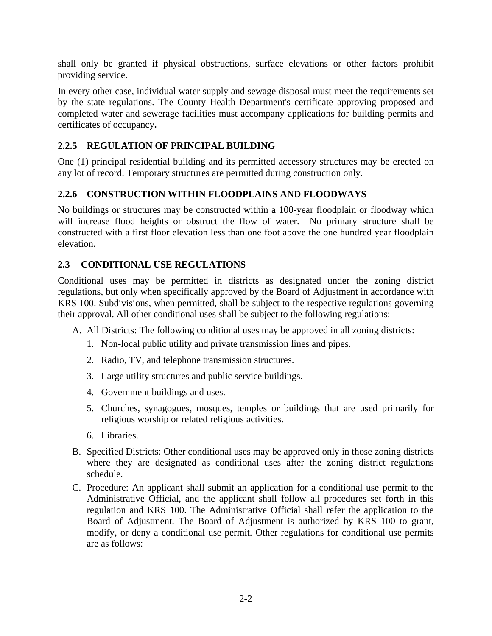shall only be granted if physical obstructions, surface elevations or other factors prohibit providing service.

In every other case, individual water supply and sewage disposal must meet the requirements set by the state regulations. The County Health Department's certificate approving proposed and completed water and sewerage facilities must accompany applications for building permits and certificates of occupancy**.**

## **2.2.5 REGULATION OF PRINCIPAL BUILDING**

One (1) principal residential building and its permitted accessory structures may be erected on any lot of record. Temporary structures are permitted during construction only.

## **2.2.6 CONSTRUCTION WITHIN FLOODPLAINS AND FLOODWAYS**

No buildings or structures may be constructed within a 100-year floodplain or floodway which will increase flood heights or obstruct the flow of water. No primary structure shall be constructed with a first floor elevation less than one foot above the one hundred year floodplain elevation.

### **2.3 CONDITIONAL USE REGULATIONS**

Conditional uses may be permitted in districts as designated under the zoning district regulations, but only when specifically approved by the Board of Adjustment in accordance with KRS 100. Subdivisions, when permitted, shall be subject to the respective regulations governing their approval. All other conditional uses shall be subject to the following regulations:

- A. All Districts: The following conditional uses may be approved in all zoning districts:
	- 1. Non-local public utility and private transmission lines and pipes.
	- 2. Radio, TV, and telephone transmission structures.
	- 3. Large utility structures and public service buildings.
	- 4. Government buildings and uses.
	- 5. Churches, synagogues, mosques, temples or buildings that are used primarily for religious worship or related religious activities.
	- 6. Libraries.
- B. Specified Districts: Other conditional uses may be approved only in those zoning districts where they are designated as conditional uses after the zoning district regulations schedule.
- C. Procedure: An applicant shall submit an application for a conditional use permit to the Administrative Official, and the applicant shall follow all procedures set forth in this regulation and KRS 100. The Administrative Official shall refer the application to the Board of Adjustment. The Board of Adjustment is authorized by KRS 100 to grant, modify, or deny a conditional use permit. Other regulations for conditional use permits are as follows: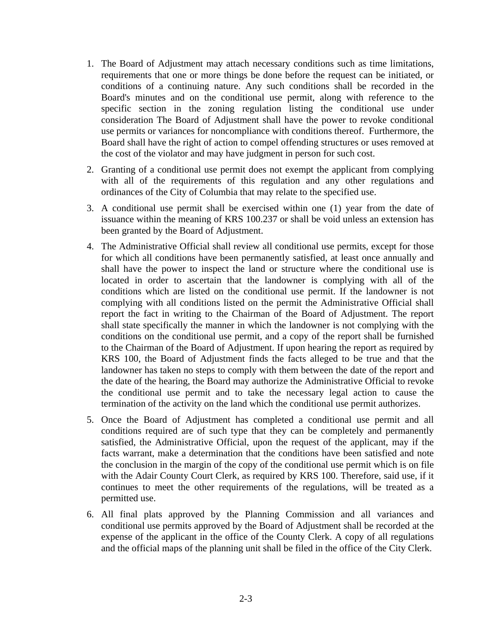- 1. The Board of Adjustment may attach necessary conditions such as time limitations, requirements that one or more things be done before the request can be initiated, or conditions of a continuing nature. Any such conditions shall be recorded in the Board's minutes and on the conditional use permit, along with reference to the specific section in the zoning regulation listing the conditional use under consideration The Board of Adjustment shall have the power to revoke conditional use permits or variances for noncompliance with conditions thereof. Furthermore, the Board shall have the right of action to compel offending structures or uses removed at the cost of the violator and may have judgment in person for such cost.
- 2. Granting of a conditional use permit does not exempt the applicant from complying with all of the requirements of this regulation and any other regulations and ordinances of the City of Columbia that may relate to the specified use.
- 3. A conditional use permit shall be exercised within one (1) year from the date of issuance within the meaning of KRS 100.237 or shall be void unless an extension has been granted by the Board of Adjustment.
- 4. The Administrative Official shall review all conditional use permits, except for those for which all conditions have been permanently satisfied, at least once annually and shall have the power to inspect the land or structure where the conditional use is located in order to ascertain that the landowner is complying with all of the conditions which are listed on the conditional use permit. If the landowner is not complying with all conditions listed on the permit the Administrative Official shall report the fact in writing to the Chairman of the Board of Adjustment. The report shall state specifically the manner in which the landowner is not complying with the conditions on the conditional use permit, and a copy of the report shall be furnished to the Chairman of the Board of Adjustment. If upon hearing the report as required by KRS 100, the Board of Adjustment finds the facts alleged to be true and that the landowner has taken no steps to comply with them between the date of the report and the date of the hearing, the Board may authorize the Administrative Official to revoke the conditional use permit and to take the necessary legal action to cause the termination of the activity on the land which the conditional use permit authorizes.
- 5. Once the Board of Adjustment has completed a conditional use permit and all conditions required are of such type that they can be completely and permanently satisfied, the Administrative Official, upon the request of the applicant, may if the facts warrant, make a determination that the conditions have been satisfied and note the conclusion in the margin of the copy of the conditional use permit which is on file with the Adair County Court Clerk, as required by KRS 100. Therefore, said use, if it continues to meet the other requirements of the regulations, will be treated as a permitted use.
- 6. All final plats approved by the Planning Commission and all variances and conditional use permits approved by the Board of Adjustment shall be recorded at the expense of the applicant in the office of the County Clerk. A copy of all regulations and the official maps of the planning unit shall be filed in the office of the City Clerk.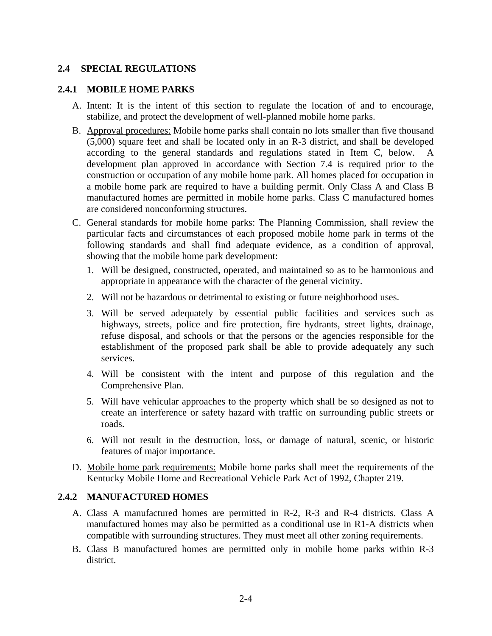#### **2.4 SPECIAL REGULATIONS**

#### **2.4.1 MOBILE HOME PARKS**

- A. Intent: It is the intent of this section to regulate the location of and to encourage, stabilize, and protect the development of well-planned mobile home parks.
- B. Approval procedures: Mobile home parks shall contain no lots smaller than five thousand (5,000) square feet and shall be located only in an R-3 district, and shall be developed according to the general standards and regulations stated in Item C, below. A development plan approved in accordance with Section 7.4 is required prior to the construction or occupation of any mobile home park. All homes placed for occupation in a mobile home park are required to have a building permit. Only Class A and Class B manufactured homes are permitted in mobile home parks. Class C manufactured homes are considered nonconforming structures.
- C. General standards for mobile home parks: The Planning Commission, shall review the particular facts and circumstances of each proposed mobile home park in terms of the following standards and shall find adequate evidence, as a condition of approval, showing that the mobile home park development:
	- 1. Will be designed, constructed, operated, and maintained so as to be harmonious and appropriate in appearance with the character of the general vicinity.
	- 2. Will not be hazardous or detrimental to existing or future neighborhood uses.
	- 3. Will be served adequately by essential public facilities and services such as highways, streets, police and fire protection, fire hydrants, street lights, drainage, refuse disposal, and schools or that the persons or the agencies responsible for the establishment of the proposed park shall be able to provide adequately any such services.
	- 4. Will be consistent with the intent and purpose of this regulation and the Comprehensive Plan.
	- 5. Will have vehicular approaches to the property which shall be so designed as not to create an interference or safety hazard with traffic on surrounding public streets or roads.
	- 6. Will not result in the destruction, loss, or damage of natural, scenic, or historic features of major importance.
- D. Mobile home park requirements: Mobile home parks shall meet the requirements of the Kentucky Mobile Home and Recreational Vehicle Park Act of 1992, Chapter 219.

#### **2.4.2 MANUFACTURED HOMES**

- A. Class A manufactured homes are permitted in R-2, R-3 and R-4 districts. Class A manufactured homes may also be permitted as a conditional use in R1-A districts when compatible with surrounding structures. They must meet all other zoning requirements.
- B. Class B manufactured homes are permitted only in mobile home parks within R-3 district.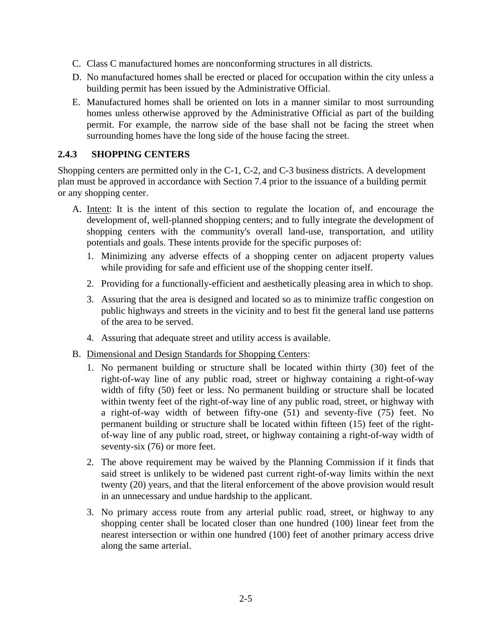- C. Class C manufactured homes are nonconforming structures in all districts.
- D. No manufactured homes shall be erected or placed for occupation within the city unless a building permit has been issued by the Administrative Official.
- E. Manufactured homes shall be oriented on lots in a manner similar to most surrounding homes unless otherwise approved by the Administrative Official as part of the building permit. For example, the narrow side of the base shall not be facing the street when surrounding homes have the long side of the house facing the street.

#### **2.4.3 SHOPPING CENTERS**

Shopping centers are permitted only in the C-1, C-2, and C-3 business districts. A development plan must be approved in accordance with Section 7.4 prior to the issuance of a building permit or any shopping center.

- A. Intent: It is the intent of this section to regulate the location of, and encourage the development of, well-planned shopping centers; and to fully integrate the development of shopping centers with the community's overall land-use, transportation, and utility potentials and goals. These intents provide for the specific purposes of:
	- 1. Minimizing any adverse effects of a shopping center on adjacent property values while providing for safe and efficient use of the shopping center itself.
	- 2. Providing for a functionally-efficient and aesthetically pleasing area in which to shop.
	- 3. Assuring that the area is designed and located so as to minimize traffic congestion on public highways and streets in the vicinity and to best fit the general land use patterns of the area to be served.
	- 4. Assuring that adequate street and utility access is available.
- B. Dimensional and Design Standards for Shopping Centers:
	- 1. No permanent building or structure shall be located within thirty (30) feet of the right-of-way line of any public road, street or highway containing a right-of-way width of fifty (50) feet or less. No permanent building or structure shall be located within twenty feet of the right-of-way line of any public road, street, or highway with a right-of-way width of between fifty-one (51) and seventy-five (75) feet. No permanent building or structure shall be located within fifteen (15) feet of the rightof-way line of any public road, street, or highway containing a right-of-way width of seventy-six (76) or more feet.
	- 2. The above requirement may be waived by the Planning Commission if it finds that said street is unlikely to be widened past current right-of-way limits within the next twenty (20) years, and that the literal enforcement of the above provision would result in an unnecessary and undue hardship to the applicant.
	- 3. No primary access route from any arterial public road, street, or highway to any shopping center shall be located closer than one hundred (100) linear feet from the nearest intersection or within one hundred (100) feet of another primary access drive along the same arterial.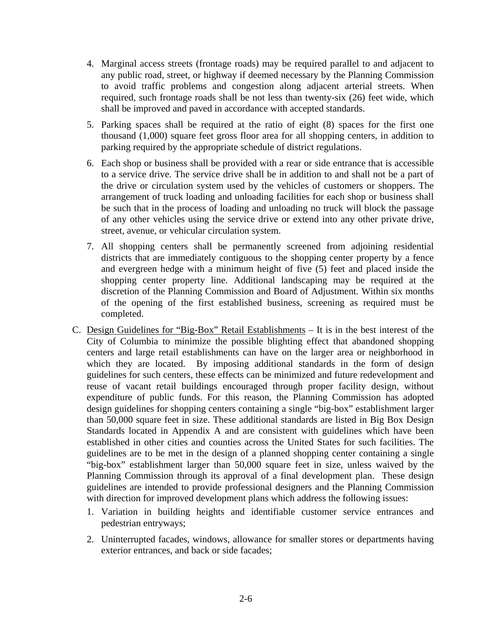- 4. Marginal access streets (frontage roads) may be required parallel to and adjacent to any public road, street, or highway if deemed necessary by the Planning Commission to avoid traffic problems and congestion along adjacent arterial streets. When required, such frontage roads shall be not less than twenty-six (26) feet wide, which shall be improved and paved in accordance with accepted standards.
- 5. Parking spaces shall be required at the ratio of eight (8) spaces for the first one thousand (1,000) square feet gross floor area for all shopping centers, in addition to parking required by the appropriate schedule of district regulations.
- 6. Each shop or business shall be provided with a rear or side entrance that is accessible to a service drive. The service drive shall be in addition to and shall not be a part of the drive or circulation system used by the vehicles of customers or shoppers. The arrangement of truck loading and unloading facilities for each shop or business shall be such that in the process of loading and unloading no truck will block the passage of any other vehicles using the service drive or extend into any other private drive, street, avenue, or vehicular circulation system.
- 7. All shopping centers shall be permanently screened from adjoining residential districts that are immediately contiguous to the shopping center property by a fence and evergreen hedge with a minimum height of five (5) feet and placed inside the shopping center property line. Additional landscaping may be required at the discretion of the Planning Commission and Board of Adjustment. Within six months of the opening of the first established business, screening as required must be completed.
- C. Design Guidelines for "Big-Box" Retail Establishments It is in the best interest of the City of Columbia to minimize the possible blighting effect that abandoned shopping centers and large retail establishments can have on the larger area or neighborhood in which they are located. By imposing additional standards in the form of design guidelines for such centers, these effects can be minimized and future redevelopment and reuse of vacant retail buildings encouraged through proper facility design, without expenditure of public funds. For this reason, the Planning Commission has adopted design guidelines for shopping centers containing a single "big-box" establishment larger than 50,000 square feet in size. These additional standards are listed in Big Box Design Standards located in Appendix A and are consistent with guidelines which have been established in other cities and counties across the United States for such facilities. The guidelines are to be met in the design of a planned shopping center containing a single "big-box" establishment larger than 50,000 square feet in size, unless waived by the Planning Commission through its approval of a final development plan. These design guidelines are intended to provide professional designers and the Planning Commission with direction for improved development plans which address the following issues:
	- 1. Variation in building heights and identifiable customer service entrances and pedestrian entryways;
	- 2. Uninterrupted facades, windows, allowance for smaller stores or departments having exterior entrances, and back or side facades;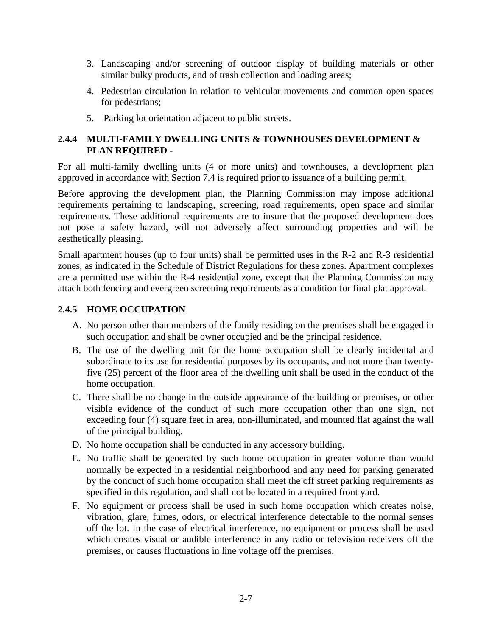- 3. Landscaping and/or screening of outdoor display of building materials or other similar bulky products, and of trash collection and loading areas;
- 4. Pedestrian circulation in relation to vehicular movements and common open spaces for pedestrians;
- 5. Parking lot orientation adjacent to public streets.

#### **2.4.4 MULTI-FAMILY DWELLING UNITS & TOWNHOUSES DEVELOPMENT & PLAN REQUIRED -**

For all multi-family dwelling units (4 or more units) and townhouses, a development plan approved in accordance with Section 7.4 is required prior to issuance of a building permit.

Before approving the development plan, the Planning Commission may impose additional requirements pertaining to landscaping, screening, road requirements, open space and similar requirements. These additional requirements are to insure that the proposed development does not pose a safety hazard, will not adversely affect surrounding properties and will be aesthetically pleasing.

Small apartment houses (up to four units) shall be permitted uses in the R-2 and R-3 residential zones, as indicated in the Schedule of District Regulations for these zones. Apartment complexes are a permitted use within the R-4 residential zone, except that the Planning Commission may attach both fencing and evergreen screening requirements as a condition for final plat approval.

#### **2.4.5 HOME OCCUPATION**

- A. No person other than members of the family residing on the premises shall be engaged in such occupation and shall be owner occupied and be the principal residence.
- B. The use of the dwelling unit for the home occupation shall be clearly incidental and subordinate to its use for residential purposes by its occupants, and not more than twentyfive (25) percent of the floor area of the dwelling unit shall be used in the conduct of the home occupation.
- C. There shall be no change in the outside appearance of the building or premises, or other visible evidence of the conduct of such more occupation other than one sign, not exceeding four (4) square feet in area, non-illuminated, and mounted flat against the wall of the principal building.
- D. No home occupation shall be conducted in any accessory building.
- E. No traffic shall be generated by such home occupation in greater volume than would normally be expected in a residential neighborhood and any need for parking generated by the conduct of such home occupation shall meet the off street parking requirements as specified in this regulation, and shall not be located in a required front yard.
- F. No equipment or process shall be used in such home occupation which creates noise, vibration, glare, fumes, odors, or electrical interference detectable to the normal senses off the lot. In the case of electrical interference, no equipment or process shall be used which creates visual or audible interference in any radio or television receivers off the premises, or causes fluctuations in line voltage off the premises.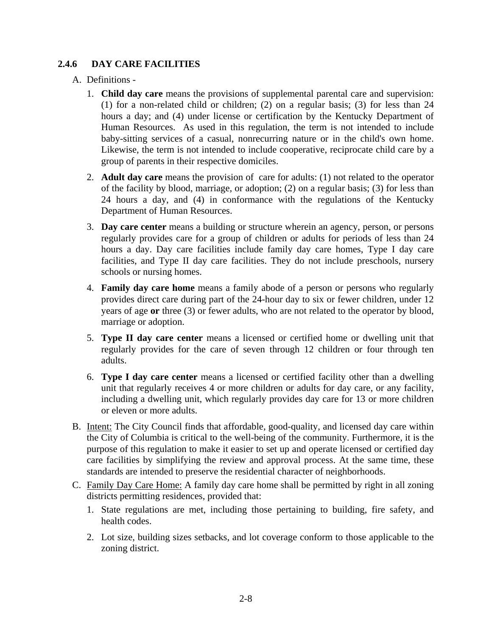#### **2.4.6 DAY CARE FACILITIES**

#### A. Definitions -

- 1. **Child day care** means the provisions of supplemental parental care and supervision: (1) for a non-related child or children; (2) on a regular basis; (3) for less than 24 hours a day; and (4) under license or certification by the Kentucky Department of Human Resources. As used in this regulation, the term is not intended to include baby-sitting services of a casual, nonrecurring nature or in the child's own home. Likewise, the term is not intended to include cooperative, reciprocate child care by a group of parents in their respective domiciles.
- 2. **Adult day care** means the provision of care for adults: (1) not related to the operator of the facility by blood, marriage, or adoption; (2) on a regular basis; (3) for less than 24 hours a day, and (4) in conformance with the regulations of the Kentucky Department of Human Resources.
- 3. **Day care center** means a building or structure wherein an agency, person, or persons regularly provides care for a group of children or adults for periods of less than 24 hours a day. Day care facilities include family day care homes, Type I day care facilities, and Type II day care facilities. They do not include preschools, nursery schools or nursing homes.
- 4. **Family day care home** means a family abode of a person or persons who regularly provides direct care during part of the 24-hour day to six or fewer children, under 12 years of age **or** three (3) or fewer adults, who are not related to the operator by blood, marriage or adoption.
- 5. **Type II day care center** means a licensed or certified home or dwelling unit that regularly provides for the care of seven through 12 children or four through ten adults.
- 6. **Type I day care center** means a licensed or certified facility other than a dwelling unit that regularly receives 4 or more children or adults for day care, or any facility, including a dwelling unit, which regularly provides day care for 13 or more children or eleven or more adults.
- B. Intent: The City Council finds that affordable, good-quality, and licensed day care within the City of Columbia is critical to the well-being of the community. Furthermore, it is the purpose of this regulation to make it easier to set up and operate licensed or certified day care facilities by simplifying the review and approval process. At the same time, these standards are intended to preserve the residential character of neighborhoods.
- C. Family Day Care Home: A family day care home shall be permitted by right in all zoning districts permitting residences, provided that:
	- 1. State regulations are met, including those pertaining to building, fire safety, and health codes.
	- 2. Lot size, building sizes setbacks, and lot coverage conform to those applicable to the zoning district.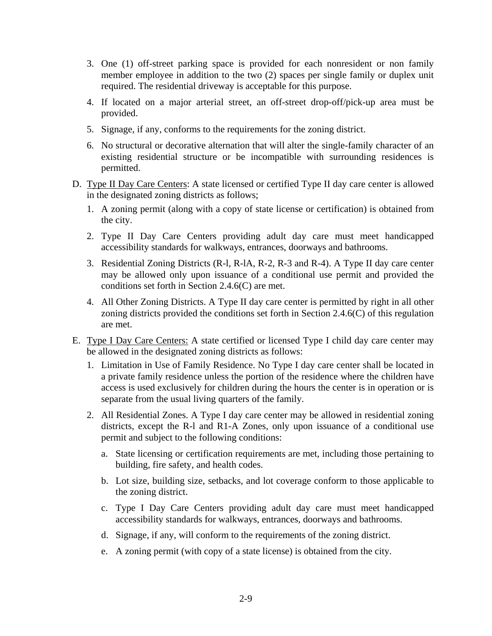- 3. One (1) off-street parking space is provided for each nonresident or non family member employee in addition to the two (2) spaces per single family or duplex unit required. The residential driveway is acceptable for this purpose.
- 4. If located on a major arterial street, an off-street drop-off/pick-up area must be provided.
- 5. Signage, if any, conforms to the requirements for the zoning district.
- 6. No structural or decorative alternation that will alter the single-family character of an existing residential structure or be incompatible with surrounding residences is permitted.
- D. Type II Day Care Centers: A state licensed or certified Type II day care center is allowed in the designated zoning districts as follows;
	- 1. A zoning permit (along with a copy of state license or certification) is obtained from the city.
	- 2. Type II Day Care Centers providing adult day care must meet handicapped accessibility standards for walkways, entrances, doorways and bathrooms.
	- 3. Residential Zoning Districts (R-l, R-lA, R-2, R-3 and R-4). A Type II day care center may be allowed only upon issuance of a conditional use permit and provided the conditions set forth in Section 2.4.6(C) are met.
	- 4. All Other Zoning Districts. A Type II day care center is permitted by right in all other zoning districts provided the conditions set forth in Section 2.4.6(C) of this regulation are met.
- E. Type I Day Care Centers: A state certified or licensed Type I child day care center may be allowed in the designated zoning districts as follows:
	- 1. Limitation in Use of Family Residence. No Type I day care center shall be located in a private family residence unless the portion of the residence where the children have access is used exclusively for children during the hours the center is in operation or is separate from the usual living quarters of the family.
	- 2. All Residential Zones. A Type I day care center may be allowed in residential zoning districts, except the R-l and R1-A Zones, only upon issuance of a conditional use permit and subject to the following conditions:
		- a. State licensing or certification requirements are met, including those pertaining to building, fire safety, and health codes.
		- b. Lot size, building size, setbacks, and lot coverage conform to those applicable to the zoning district.
		- c. Type I Day Care Centers providing adult day care must meet handicapped accessibility standards for walkways, entrances, doorways and bathrooms.
		- d. Signage, if any, will conform to the requirements of the zoning district.
		- e. A zoning permit (with copy of a state license) is obtained from the city.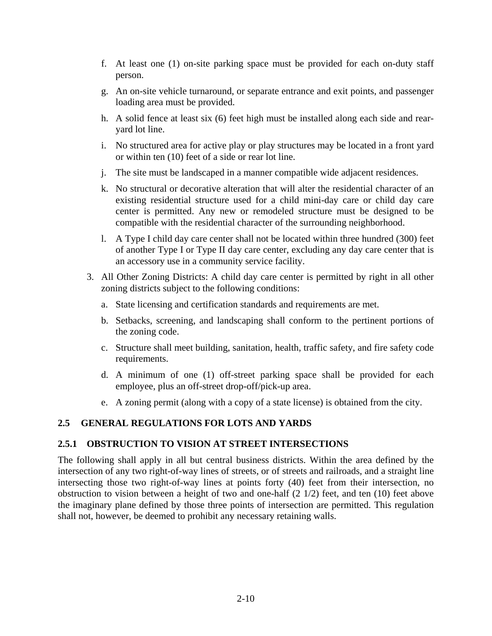- f. At least one (1) on-site parking space must be provided for each on-duty staff person.
- g. An on-site vehicle turnaround, or separate entrance and exit points, and passenger loading area must be provided.
- h. A solid fence at least six (6) feet high must be installed along each side and rearyard lot line.
- i. No structured area for active play or play structures may be located in a front yard or within ten (10) feet of a side or rear lot line.
- j. The site must be landscaped in a manner compatible wide adjacent residences.
- k. No structural or decorative alteration that will alter the residential character of an existing residential structure used for a child mini-day care or child day care center is permitted. Any new or remodeled structure must be designed to be compatible with the residential character of the surrounding neighborhood.
- l. A Type I child day care center shall not be located within three hundred (300) feet of another Type I or Type II day care center, excluding any day care center that is an accessory use in a community service facility.
- 3. All Other Zoning Districts: A child day care center is permitted by right in all other zoning districts subject to the following conditions:
	- a. State licensing and certification standards and requirements are met.
	- b. Setbacks, screening, and landscaping shall conform to the pertinent portions of the zoning code.
	- c. Structure shall meet building, sanitation, health, traffic safety, and fire safety code requirements.
	- d. A minimum of one (1) off-street parking space shall be provided for each employee, plus an off-street drop-off/pick-up area.
	- e. A zoning permit (along with a copy of a state license) is obtained from the city.

#### **2.5 GENERAL REGULATIONS FOR LOTS AND YARDS**

#### **2.5.1 OBSTRUCTION TO VISION AT STREET INTERSECTIONS**

The following shall apply in all but central business districts. Within the area defined by the intersection of any two right-of-way lines of streets, or of streets and railroads, and a straight line intersecting those two right-of-way lines at points forty (40) feet from their intersection, no obstruction to vision between a height of two and one-half (2 1/2) feet, and ten (10) feet above the imaginary plane defined by those three points of intersection are permitted. This regulation shall not, however, be deemed to prohibit any necessary retaining walls.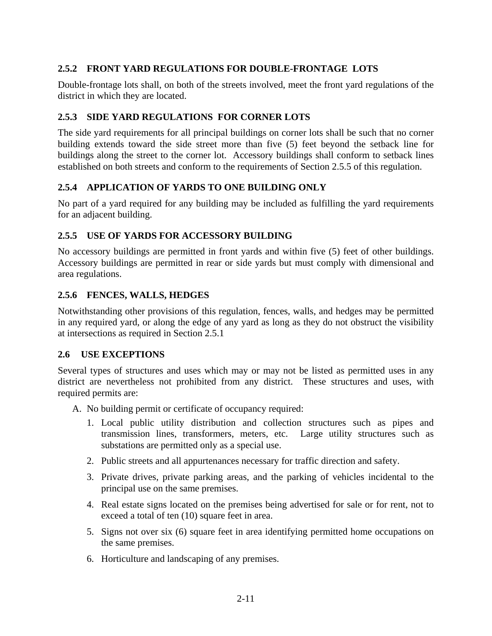### **2.5.2 FRONT YARD REGULATIONS FOR DOUBLE-FRONTAGE LOTS**

Double-frontage lots shall, on both of the streets involved, meet the front yard regulations of the district in which they are located.

#### **2.5.3 SIDE YARD REGULATIONS FOR CORNER LOTS**

The side yard requirements for all principal buildings on corner lots shall be such that no corner building extends toward the side street more than five (5) feet beyond the setback line for buildings along the street to the corner lot. Accessory buildings shall conform to setback lines established on both streets and conform to the requirements of Section 2.5.5 of this regulation.

#### **2.5.4 APPLICATION OF YARDS TO ONE BUILDING ONLY**

No part of a yard required for any building may be included as fulfilling the yard requirements for an adjacent building.

#### **2.5.5 USE OF YARDS FOR ACCESSORY BUILDING**

No accessory buildings are permitted in front yards and within five (5) feet of other buildings. Accessory buildings are permitted in rear or side yards but must comply with dimensional and area regulations.

#### **2.5.6 FENCES, WALLS, HEDGES**

Notwithstanding other provisions of this regulation, fences, walls, and hedges may be permitted in any required yard, or along the edge of any yard as long as they do not obstruct the visibility at intersections as required in Section 2.5.1

#### **2.6 USE EXCEPTIONS**

Several types of structures and uses which may or may not be listed as permitted uses in any district are nevertheless not prohibited from any district. These structures and uses, with required permits are:

- A. No building permit or certificate of occupancy required:
	- 1. Local public utility distribution and collection structures such as pipes and transmission lines, transformers, meters, etc. Large utility structures such as substations are permitted only as a special use.
	- 2. Public streets and all appurtenances necessary for traffic direction and safety.
	- 3. Private drives, private parking areas, and the parking of vehicles incidental to the principal use on the same premises.
	- 4. Real estate signs located on the premises being advertised for sale or for rent, not to exceed a total of ten (10) square feet in area.
	- 5. Signs not over six (6) square feet in area identifying permitted home occupations on the same premises.
	- 6. Horticulture and landscaping of any premises.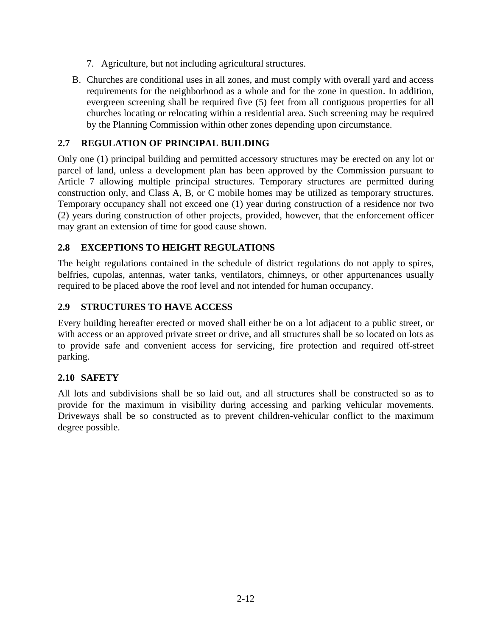- 7. Agriculture, but not including agricultural structures.
- B. Churches are conditional uses in all zones, and must comply with overall yard and access requirements for the neighborhood as a whole and for the zone in question. In addition, evergreen screening shall be required five (5) feet from all contiguous properties for all churches locating or relocating within a residential area. Such screening may be required by the Planning Commission within other zones depending upon circumstance.

# **2.7 REGULATION OF PRINCIPAL BUILDING**

Only one (1) principal building and permitted accessory structures may be erected on any lot or parcel of land, unless a development plan has been approved by the Commission pursuant to Article 7 allowing multiple principal structures. Temporary structures are permitted during construction only, and Class A, B, or C mobile homes may be utilized as temporary structures. Temporary occupancy shall not exceed one (1) year during construction of a residence nor two (2) years during construction of other projects, provided, however, that the enforcement officer may grant an extension of time for good cause shown.

### **2.8 EXCEPTIONS TO HEIGHT REGULATIONS**

The height regulations contained in the schedule of district regulations do not apply to spires, belfries, cupolas, antennas, water tanks, ventilators, chimneys, or other appurtenances usually required to be placed above the roof level and not intended for human occupancy.

### **2.9 STRUCTURES TO HAVE ACCESS**

Every building hereafter erected or moved shall either be on a lot adjacent to a public street, or with access or an approved private street or drive, and all structures shall be so located on lots as to provide safe and convenient access for servicing, fire protection and required off-street parking.

### **2.10 SAFETY**

All lots and subdivisions shall be so laid out, and all structures shall be constructed so as to provide for the maximum in visibility during accessing and parking vehicular movements. Driveways shall be so constructed as to prevent children-vehicular conflict to the maximum degree possible.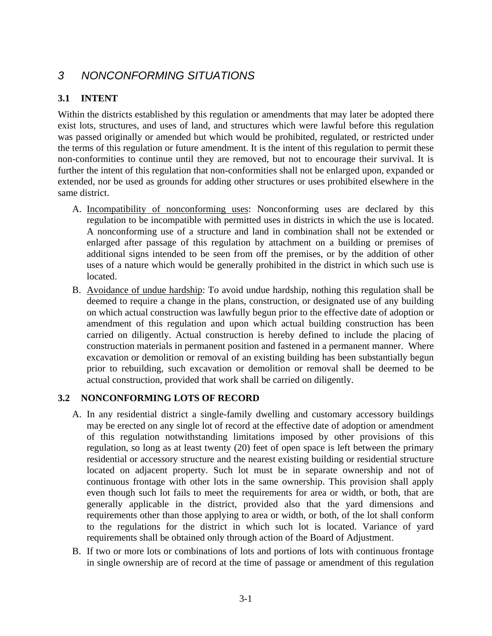# *3 NONCONFORMING SITUATIONS*

# **3.1 INTENT**

Within the districts established by this regulation or amendments that may later be adopted there exist lots, structures, and uses of land, and structures which were lawful before this regulation was passed originally or amended but which would be prohibited, regulated, or restricted under the terms of this regulation or future amendment. It is the intent of this regulation to permit these non-conformities to continue until they are removed, but not to encourage their survival. It is further the intent of this regulation that non-conformities shall not be enlarged upon, expanded or extended, nor be used as grounds for adding other structures or uses prohibited elsewhere in the same district.

- A. Incompatibility of nonconforming uses: Nonconforming uses are declared by this regulation to be incompatible with permitted uses in districts in which the use is located. A nonconforming use of a structure and land in combination shall not be extended or enlarged after passage of this regulation by attachment on a building or premises of additional signs intended to be seen from off the premises, or by the addition of other uses of a nature which would be generally prohibited in the district in which such use is located.
- B. Avoidance of undue hardship: To avoid undue hardship, nothing this regulation shall be deemed to require a change in the plans, construction, or designated use of any building on which actual construction was lawfully begun prior to the effective date of adoption or amendment of this regulation and upon which actual building construction has been carried on diligently. Actual construction is hereby defined to include the placing of construction materials in permanent position and fastened in a permanent manner. Where excavation or demolition or removal of an existing building has been substantially begun prior to rebuilding, such excavation or demolition or removal shall be deemed to be actual construction, provided that work shall be carried on diligently.

### **3.2 NONCONFORMING LOTS OF RECORD**

- A. In any residential district a single-family dwelling and customary accessory buildings may be erected on any single lot of record at the effective date of adoption or amendment of this regulation notwithstanding limitations imposed by other provisions of this regulation, so long as at least twenty (20) feet of open space is left between the primary residential or accessory structure and the nearest existing building or residential structure located on adjacent property. Such lot must be in separate ownership and not of continuous frontage with other lots in the same ownership. This provision shall apply even though such lot fails to meet the requirements for area or width, or both, that are generally applicable in the district, provided also that the yard dimensions and requirements other than those applying to area or width, or both, of the lot shall conform to the regulations for the district in which such lot is located. Variance of yard requirements shall be obtained only through action of the Board of Adjustment.
- B. If two or more lots or combinations of lots and portions of lots with continuous frontage in single ownership are of record at the time of passage or amendment of this regulation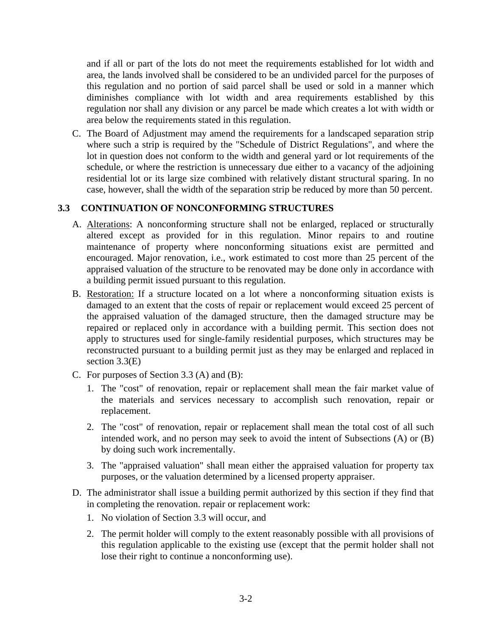and if all or part of the lots do not meet the requirements established for lot width and area, the lands involved shall be considered to be an undivided parcel for the purposes of this regulation and no portion of said parcel shall be used or sold in a manner which diminishes compliance with lot width and area requirements established by this regulation nor shall any division or any parcel be made which creates a lot with width or area below the requirements stated in this regulation.

C. The Board of Adjustment may amend the requirements for a landscaped separation strip where such a strip is required by the "Schedule of District Regulations", and where the lot in question does not conform to the width and general yard or lot requirements of the schedule, or where the restriction is unnecessary due either to a vacancy of the adjoining residential lot or its large size combined with relatively distant structural sparing. In no case, however, shall the width of the separation strip be reduced by more than 50 percent.

### **3.3 CONTINUATION OF NONCONFORMING STRUCTURES**

- A. Alterations: A nonconforming structure shall not be enlarged, replaced or structurally altered except as provided for in this regulation. Minor repairs to and routine maintenance of property where nonconforming situations exist are permitted and encouraged. Major renovation, i.e., work estimated to cost more than 25 percent of the appraised valuation of the structure to be renovated may be done only in accordance with a building permit issued pursuant to this regulation.
- B. Restoration: If a structure located on a lot where a nonconforming situation exists is damaged to an extent that the costs of repair or replacement would exceed 25 percent of the appraised valuation of the damaged structure, then the damaged structure may be repaired or replaced only in accordance with a building permit. This section does not apply to structures used for single-family residential purposes, which structures may be reconstructed pursuant to a building permit just as they may be enlarged and replaced in section 3.3(E)
- C. For purposes of Section 3.3 (A) and (B):
	- 1. The "cost" of renovation, repair or replacement shall mean the fair market value of the materials and services necessary to accomplish such renovation, repair or replacement.
	- 2. The "cost" of renovation, repair or replacement shall mean the total cost of all such intended work, and no person may seek to avoid the intent of Subsections (A) or (B) by doing such work incrementally.
	- 3. The "appraised valuation" shall mean either the appraised valuation for property tax purposes, or the valuation determined by a licensed property appraiser.
- D. The administrator shall issue a building permit authorized by this section if they find that in completing the renovation. repair or replacement work:
	- 1. No violation of Section 3.3 will occur, and
	- 2. The permit holder will comply to the extent reasonably possible with all provisions of this regulation applicable to the existing use (except that the permit holder shall not lose their right to continue a nonconforming use).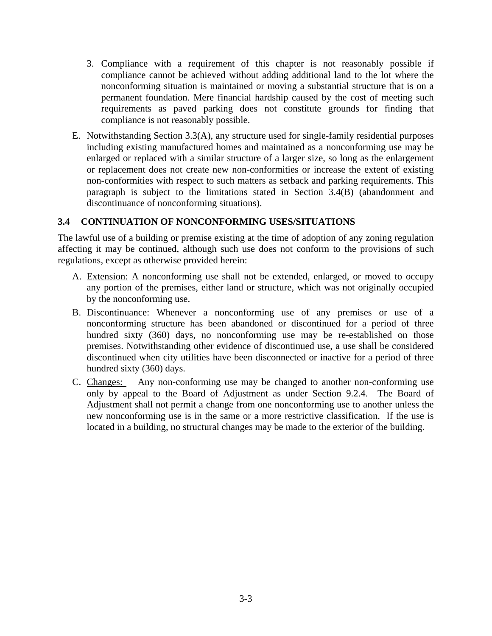- 3. Compliance with a requirement of this chapter is not reasonably possible if compliance cannot be achieved without adding additional land to the lot where the nonconforming situation is maintained or moving a substantial structure that is on a permanent foundation. Mere financial hardship caused by the cost of meeting such requirements as paved parking does not constitute grounds for finding that compliance is not reasonably possible.
- E. Notwithstanding Section 3.3(A), any structure used for single-family residential purposes including existing manufactured homes and maintained as a nonconforming use may be enlarged or replaced with a similar structure of a larger size, so long as the enlargement or replacement does not create new non-conformities or increase the extent of existing non-conformities with respect to such matters as setback and parking requirements. This paragraph is subject to the limitations stated in Section 3.4(B) (abandonment and discontinuance of nonconforming situations).

#### **3.4 CONTINUATION OF NONCONFORMING USES/SITUATIONS**

The lawful use of a building or premise existing at the time of adoption of any zoning regulation affecting it may be continued, although such use does not conform to the provisions of such regulations, except as otherwise provided herein:

- A. Extension: A nonconforming use shall not be extended, enlarged, or moved to occupy any portion of the premises, either land or structure, which was not originally occupied by the nonconforming use.
- B. Discontinuance: Whenever a nonconforming use of any premises or use of a nonconforming structure has been abandoned or discontinued for a period of three hundred sixty (360) days, no nonconforming use may be re-established on those premises. Notwithstanding other evidence of discontinued use, a use shall be considered discontinued when city utilities have been disconnected or inactive for a period of three hundred sixty (360) days.
- C. Changes: Any non-conforming use may be changed to another non-conforming use only by appeal to the Board of Adjustment as under Section 9.2.4. The Board of Adjustment shall not permit a change from one nonconforming use to another unless the new nonconforming use is in the same or a more restrictive classification. If the use is located in a building, no structural changes may be made to the exterior of the building.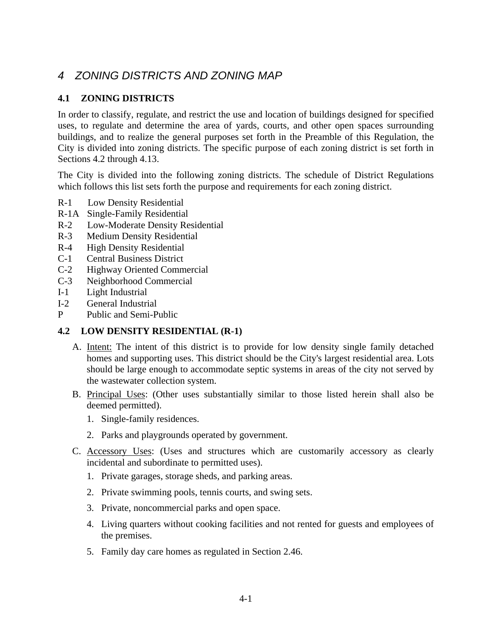# *4 ZONING DISTRICTS AND ZONING MAP*

### **4.1 ZONING DISTRICTS**

In order to classify, regulate, and restrict the use and location of buildings designed for specified uses, to regulate and determine the area of yards, courts, and other open spaces surrounding buildings, and to realize the general purposes set forth in the Preamble of this Regulation, the City is divided into zoning districts. The specific purpose of each zoning district is set forth in Sections 4.2 through 4.13.

The City is divided into the following zoning districts. The schedule of District Regulations which follows this list sets forth the purpose and requirements for each zoning district.

- R-1 Low Density Residential
- R-1A Single-Family Residential
- R-2 Low-Moderate Density Residential
- R-3 Medium Density Residential
- R-4 High Density Residential
- C-1 Central Business District
- C-2 Highway Oriented Commercial
- C-3 Neighborhood Commercial
- I-1 Light Industrial
- I-2 General Industrial
- P Public and Semi-Public

#### **4.2 LOW DENSITY RESIDENTIAL (R-1)**

- A. Intent: The intent of this district is to provide for low density single family detached homes and supporting uses. This district should be the City's largest residential area. Lots should be large enough to accommodate septic systems in areas of the city not served by the wastewater collection system.
- B. Principal Uses: (Other uses substantially similar to those listed herein shall also be deemed permitted).
	- 1. Single-family residences.
	- 2. Parks and playgrounds operated by government.
- C. Accessory Uses: (Uses and structures which are customarily accessory as clearly incidental and subordinate to permitted uses).
	- 1. Private garages, storage sheds, and parking areas.
	- 2. Private swimming pools, tennis courts, and swing sets.
	- 3. Private, noncommercial parks and open space.
	- 4. Living quarters without cooking facilities and not rented for guests and employees of the premises.
	- 5. Family day care homes as regulated in Section 2.46.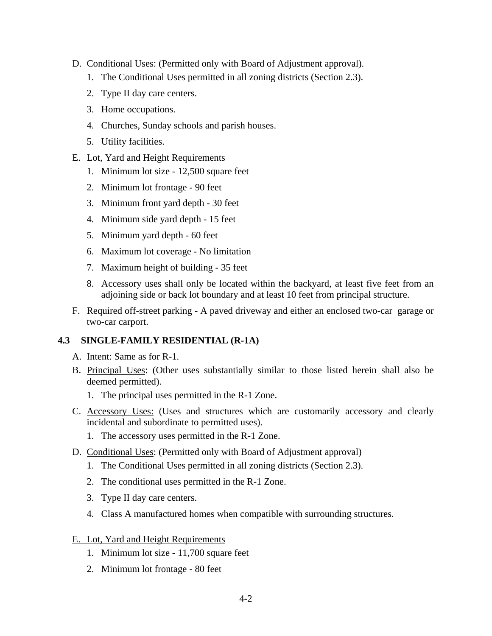- D. Conditional Uses: (Permitted only with Board of Adjustment approval).
	- 1. The Conditional Uses permitted in all zoning districts (Section 2.3).
	- 2. Type II day care centers.
	- 3. Home occupations.
	- 4. Churches, Sunday schools and parish houses.
	- 5. Utility facilities.
- E. Lot, Yard and Height Requirements
	- 1. Minimum lot size 12,500 square feet
	- 2. Minimum lot frontage 90 feet
	- 3. Minimum front yard depth 30 feet
	- 4. Minimum side yard depth 15 feet
	- 5. Minimum yard depth 60 feet
	- 6. Maximum lot coverage No limitation
	- 7. Maximum height of building 35 feet
	- 8. Accessory uses shall only be located within the backyard, at least five feet from an adjoining side or back lot boundary and at least 10 feet from principal structure.
- F. Required off-street parking A paved driveway and either an enclosed two-car garage or two-car carport.

#### **4.3 SINGLE-FAMILY RESIDENTIAL (R-1A)**

- A. Intent: Same as for R-1.
- B. Principal Uses: (Other uses substantially similar to those listed herein shall also be deemed permitted).
	- 1. The principal uses permitted in the R-1 Zone.
- C. Accessory Uses: (Uses and structures which are customarily accessory and clearly incidental and subordinate to permitted uses).
	- 1. The accessory uses permitted in the R-1 Zone.
- D. Conditional Uses: (Permitted only with Board of Adjustment approval)
	- 1. The Conditional Uses permitted in all zoning districts (Section 2.3).
	- 2. The conditional uses permitted in the R-1 Zone.
	- 3. Type II day care centers.
	- 4. Class A manufactured homes when compatible with surrounding structures.
- E. Lot, Yard and Height Requirements
	- 1. Minimum lot size 11,700 square feet
	- 2. Minimum lot frontage 80 feet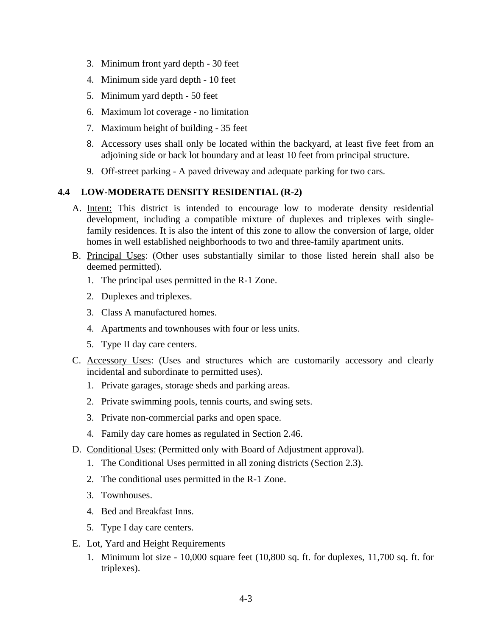- 3. Minimum front yard depth 30 feet
- 4. Minimum side yard depth 10 feet
- 5. Minimum yard depth 50 feet
- 6. Maximum lot coverage no limitation
- 7. Maximum height of building 35 feet
- 8. Accessory uses shall only be located within the backyard, at least five feet from an adjoining side or back lot boundary and at least 10 feet from principal structure.
- 9. Off-street parking A paved driveway and adequate parking for two cars.

#### **4.4 LOW-MODERATE DENSITY RESIDENTIAL (R-2)**

- A. Intent: This district is intended to encourage low to moderate density residential development, including a compatible mixture of duplexes and triplexes with singlefamily residences. It is also the intent of this zone to allow the conversion of large, older homes in well established neighborhoods to two and three-family apartment units.
- B. Principal Uses: (Other uses substantially similar to those listed herein shall also be deemed permitted).
	- 1. The principal uses permitted in the R-1 Zone.
	- 2. Duplexes and triplexes.
	- 3. Class A manufactured homes.
	- 4. Apartments and townhouses with four or less units.
	- 5. Type II day care centers.
- C. Accessory Uses: (Uses and structures which are customarily accessory and clearly incidental and subordinate to permitted uses).
	- 1. Private garages, storage sheds and parking areas.
	- 2. Private swimming pools, tennis courts, and swing sets.
	- 3. Private non-commercial parks and open space.
	- 4. Family day care homes as regulated in Section 2.46.
- D. Conditional Uses: (Permitted only with Board of Adjustment approval).
	- 1. The Conditional Uses permitted in all zoning districts (Section 2.3).
	- 2. The conditional uses permitted in the R-1 Zone.
	- 3. Townhouses.
	- 4. Bed and Breakfast Inns.
	- 5. Type I day care centers.
- E. Lot, Yard and Height Requirements
	- 1. Minimum lot size 10,000 square feet (10,800 sq. ft. for duplexes, 11,700 sq. ft. for triplexes).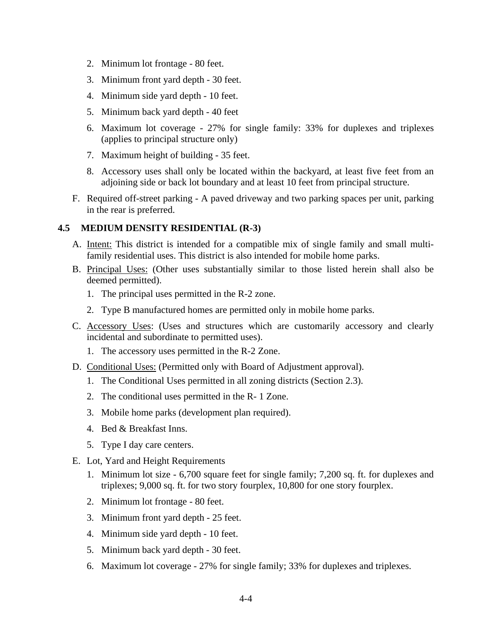- 2. Minimum lot frontage 80 feet.
- 3. Minimum front yard depth 30 feet.
- 4. Minimum side yard depth 10 feet.
- 5. Minimum back yard depth 40 feet
- 6. Maximum lot coverage 27% for single family: 33% for duplexes and triplexes (applies to principal structure only)
- 7. Maximum height of building 35 feet.
- 8. Accessory uses shall only be located within the backyard, at least five feet from an adjoining side or back lot boundary and at least 10 feet from principal structure.
- F. Required off-street parking A paved driveway and two parking spaces per unit, parking in the rear is preferred.

#### **4.5 MEDIUM DENSITY RESIDENTIAL (R-3)**

- A. Intent: This district is intended for a compatible mix of single family and small multifamily residential uses. This district is also intended for mobile home parks.
- B. Principal Uses: (Other uses substantially similar to those listed herein shall also be deemed permitted).
	- 1. The principal uses permitted in the R-2 zone.
	- 2. Type B manufactured homes are permitted only in mobile home parks.
- C. Accessory Uses: (Uses and structures which are customarily accessory and clearly incidental and subordinate to permitted uses).
	- 1. The accessory uses permitted in the R-2 Zone.
- D. Conditional Uses: (Permitted only with Board of Adjustment approval).
	- 1. The Conditional Uses permitted in all zoning districts (Section 2.3).
	- 2. The conditional uses permitted in the R- 1 Zone.
	- 3. Mobile home parks (development plan required).
	- 4. Bed & Breakfast Inns.
	- 5. Type I day care centers.
- E. Lot, Yard and Height Requirements
	- 1. Minimum lot size 6,700 square feet for single family; 7,200 sq. ft. for duplexes and triplexes; 9,000 sq. ft. for two story fourplex, 10,800 for one story fourplex.
	- 2. Minimum lot frontage 80 feet.
	- 3. Minimum front yard depth 25 feet.
	- 4. Minimum side yard depth 10 feet.
	- 5. Minimum back yard depth 30 feet.
	- 6. Maximum lot coverage 27% for single family; 33% for duplexes and triplexes.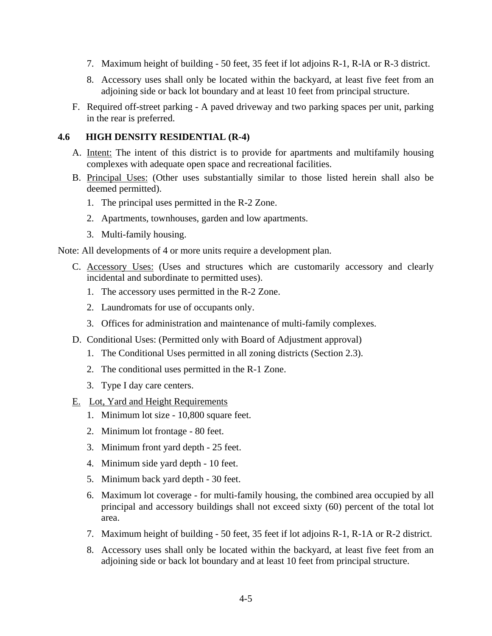- 7. Maximum height of building 50 feet, 35 feet if lot adjoins R-1, R-lA or R-3 district.
- 8. Accessory uses shall only be located within the backyard, at least five feet from an adjoining side or back lot boundary and at least 10 feet from principal structure.
- F. Required off-street parking A paved driveway and two parking spaces per unit, parking in the rear is preferred.

#### **4.6 HIGH DENSITY RESIDENTIAL (R-4)**

- A. Intent: The intent of this district is to provide for apartments and multifamily housing complexes with adequate open space and recreational facilities.
- B. Principal Uses: (Other uses substantially similar to those listed herein shall also be deemed permitted).
	- 1. The principal uses permitted in the R-2 Zone.
	- 2. Apartments, townhouses, garden and low apartments.
	- 3. Multi-family housing.

Note: All developments of 4 or more units require a development plan.

- C. Accessory Uses: (Uses and structures which are customarily accessory and clearly incidental and subordinate to permitted uses).
	- 1. The accessory uses permitted in the R-2 Zone.
	- 2. Laundromats for use of occupants only.
	- 3. Offices for administration and maintenance of multi-family complexes.
- D. Conditional Uses: (Permitted only with Board of Adjustment approval)
	- 1. The Conditional Uses permitted in all zoning districts (Section 2.3).
	- 2. The conditional uses permitted in the R-1 Zone.
	- 3. Type I day care centers.
- E. Lot, Yard and Height Requirements
	- 1. Minimum lot size 10,800 square feet.
	- 2. Minimum lot frontage 80 feet.
	- 3. Minimum front yard depth 25 feet.
	- 4. Minimum side yard depth 10 feet.
	- 5. Minimum back yard depth 30 feet.
	- 6. Maximum lot coverage for multi-family housing, the combined area occupied by all principal and accessory buildings shall not exceed sixty (60) percent of the total lot area.
	- 7. Maximum height of building 50 feet, 35 feet if lot adjoins R-1, R-1A or R-2 district.
	- 8. Accessory uses shall only be located within the backyard, at least five feet from an adjoining side or back lot boundary and at least 10 feet from principal structure.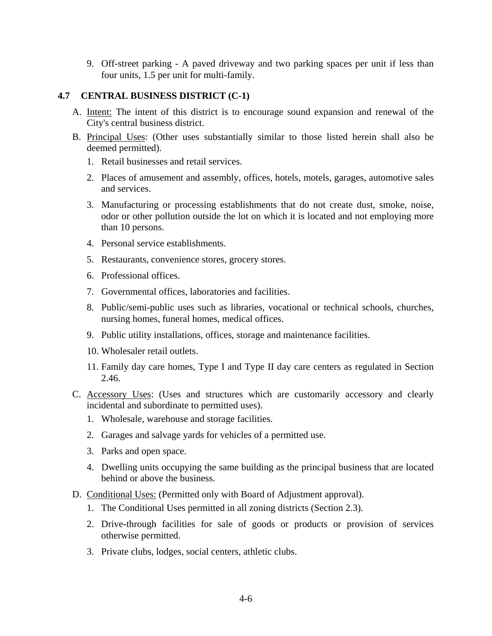9. Off-street parking - A paved driveway and two parking spaces per unit if less than four units, 1.5 per unit for multi-family.

#### **4.7 CENTRAL BUSINESS DISTRICT (C-1)**

- A. Intent: The intent of this district is to encourage sound expansion and renewal of the City's central business district.
- B. Principal Uses: (Other uses substantially similar to those listed herein shall also be deemed permitted).
	- 1. Retail businesses and retail services.
	- 2. Places of amusement and assembly, offices, hotels, motels, garages, automotive sales and services.
	- 3. Manufacturing or processing establishments that do not create dust, smoke, noise, odor or other pollution outside the lot on which it is located and not employing more than 10 persons.
	- 4. Personal service establishments.
	- 5. Restaurants, convenience stores, grocery stores.
	- 6. Professional offices.
	- 7. Governmental offices, laboratories and facilities.
	- 8. Public/semi-public uses such as libraries, vocational or technical schools, churches, nursing homes, funeral homes, medical offices.
	- 9. Public utility installations, offices, storage and maintenance facilities.
	- 10. Wholesaler retail outlets.
	- 11. Family day care homes, Type I and Type II day care centers as regulated in Section 2.46.
- C. Accessory Uses: (Uses and structures which are customarily accessory and clearly incidental and subordinate to permitted uses).
	- 1. Wholesale, warehouse and storage facilities.
	- 2. Garages and salvage yards for vehicles of a permitted use.
	- 3. Parks and open space.
	- 4. Dwelling units occupying the same building as the principal business that are located behind or above the business.
- D. Conditional Uses: (Permitted only with Board of Adjustment approval).
	- 1. The Conditional Uses permitted in all zoning districts (Section 2.3).
	- 2. Drive-through facilities for sale of goods or products or provision of services otherwise permitted.
	- 3. Private clubs, lodges, social centers, athletic clubs.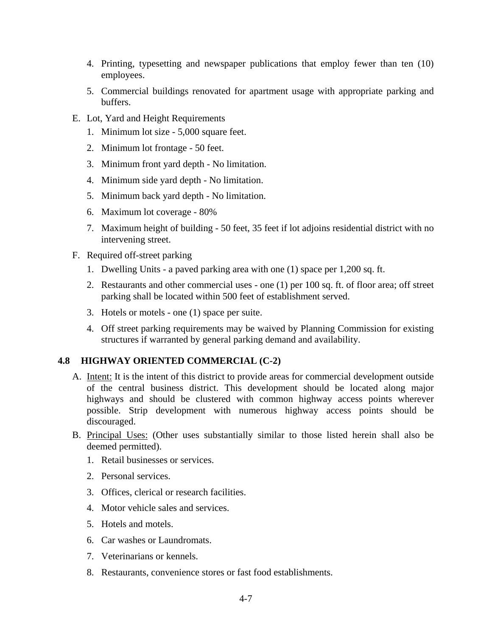- 4. Printing, typesetting and newspaper publications that employ fewer than ten (10) employees.
- 5. Commercial buildings renovated for apartment usage with appropriate parking and buffers.
- E. Lot, Yard and Height Requirements
	- 1. Minimum lot size 5,000 square feet.
	- 2. Minimum lot frontage 50 feet.
	- 3. Minimum front yard depth No limitation.
	- 4. Minimum side yard depth No limitation.
	- 5. Minimum back yard depth No limitation.
	- 6. Maximum lot coverage 80%
	- 7. Maximum height of building 50 feet, 35 feet if lot adjoins residential district with no intervening street.
- F. Required off-street parking
	- 1. Dwelling Units a paved parking area with one (1) space per 1,200 sq. ft.
	- 2. Restaurants and other commercial uses one (1) per 100 sq. ft. of floor area; off street parking shall be located within 500 feet of establishment served.
	- 3. Hotels or motels one (1) space per suite.
	- 4. Off street parking requirements may be waived by Planning Commission for existing structures if warranted by general parking demand and availability.

#### **4.8 HIGHWAY ORIENTED COMMERCIAL (C-2)**

- A. Intent: It is the intent of this district to provide areas for commercial development outside of the central business district. This development should be located along major highways and should be clustered with common highway access points wherever possible. Strip development with numerous highway access points should be discouraged.
- B. Principal Uses: (Other uses substantially similar to those listed herein shall also be deemed permitted).
	- 1. Retail businesses or services.
	- 2. Personal services.
	- 3. Offices, clerical or research facilities.
	- 4. Motor vehicle sales and services.
	- 5. Hotels and motels.
	- 6. Car washes or Laundromats.
	- 7. Veterinarians or kennels.
	- 8. Restaurants, convenience stores or fast food establishments.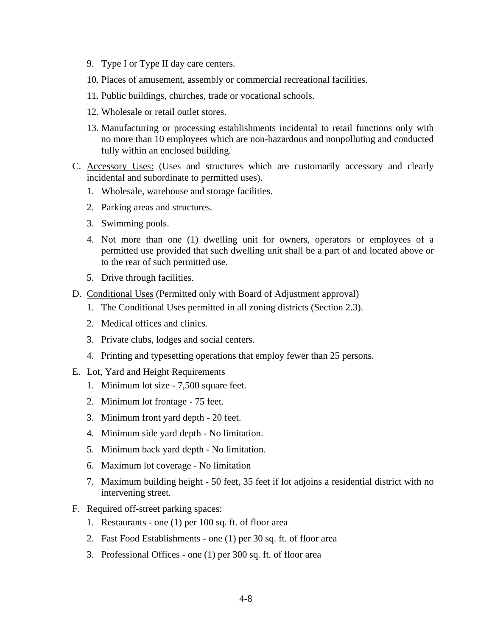- 9. Type I or Type II day care centers.
- 10. Places of amusement, assembly or commercial recreational facilities.
- 11. Public buildings, churches, trade or vocational schools.
- 12. Wholesale or retail outlet stores.
- 13. Manufacturing or processing establishments incidental to retail functions only with no more than 10 employees which are non-hazardous and nonpolluting and conducted fully within an enclosed building.
- C. Accessory Uses: (Uses and structures which are customarily accessory and clearly incidental and subordinate to permitted uses).
	- 1. Wholesale, warehouse and storage facilities.
	- 2. Parking areas and structures.
	- 3. Swimming pools.
	- 4. Not more than one (1) dwelling unit for owners, operators or employees of a permitted use provided that such dwelling unit shall be a part of and located above or to the rear of such permitted use.
	- 5. Drive through facilities.
- D. Conditional Uses (Permitted only with Board of Adjustment approval)
	- 1. The Conditional Uses permitted in all zoning districts (Section 2.3).
	- 2. Medical offices and clinics.
	- 3. Private clubs, lodges and social centers.
	- 4. Printing and typesetting operations that employ fewer than 25 persons.
- E. Lot, Yard and Height Requirements
	- 1. Minimum lot size 7,500 square feet.
	- 2. Minimum lot frontage 75 feet.
	- 3. Minimum front yard depth 20 feet.
	- 4. Minimum side yard depth No limitation.
	- 5. Minimum back yard depth No limitation.
	- 6. Maximum lot coverage No limitation
	- 7. Maximum building height 50 feet, 35 feet if lot adjoins a residential district with no intervening street.
- F. Required off-street parking spaces:
	- 1. Restaurants one (1) per 100 sq. ft. of floor area
	- 2. Fast Food Establishments one (1) per 30 sq. ft. of floor area
	- 3. Professional Offices one (1) per 300 sq. ft. of floor area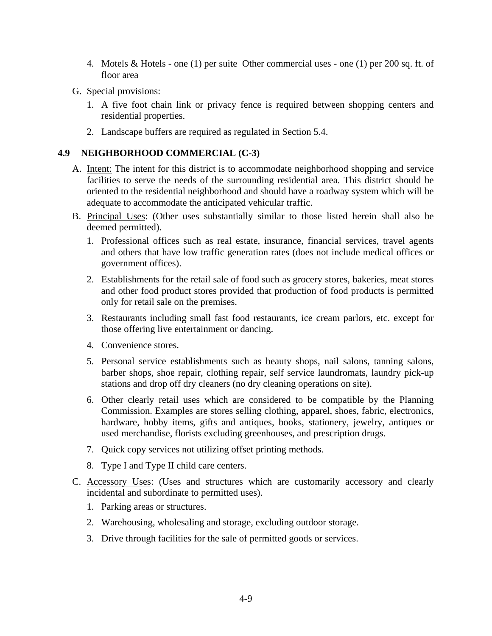- 4. Motels & Hotels one (1) per suite Other commercial uses one (1) per 200 sq. ft. of floor area
- G. Special provisions:
	- 1. A five foot chain link or privacy fence is required between shopping centers and residential properties.
	- 2. Landscape buffers are required as regulated in Section 5.4.

### **4.9 NEIGHBORHOOD COMMERCIAL (C-3)**

- A. Intent: The intent for this district is to accommodate neighborhood shopping and service facilities to serve the needs of the surrounding residential area. This district should be oriented to the residential neighborhood and should have a roadway system which will be adequate to accommodate the anticipated vehicular traffic.
- B. Principal Uses: (Other uses substantially similar to those listed herein shall also be deemed permitted).
	- 1. Professional offices such as real estate, insurance, financial services, travel agents and others that have low traffic generation rates (does not include medical offices or government offices).
	- 2. Establishments for the retail sale of food such as grocery stores, bakeries, meat stores and other food product stores provided that production of food products is permitted only for retail sale on the premises.
	- 3. Restaurants including small fast food restaurants, ice cream parlors, etc. except for those offering live entertainment or dancing.
	- 4. Convenience stores.
	- 5. Personal service establishments such as beauty shops, nail salons, tanning salons, barber shops, shoe repair, clothing repair, self service laundromats, laundry pick-up stations and drop off dry cleaners (no dry cleaning operations on site).
	- 6. Other clearly retail uses which are considered to be compatible by the Planning Commission. Examples are stores selling clothing, apparel, shoes, fabric, electronics, hardware, hobby items, gifts and antiques, books, stationery, jewelry, antiques or used merchandise, florists excluding greenhouses, and prescription drugs.
	- 7. Quick copy services not utilizing offset printing methods.
	- 8. Type I and Type II child care centers.
- C. Accessory Uses: (Uses and structures which are customarily accessory and clearly incidental and subordinate to permitted uses).
	- 1. Parking areas or structures.
	- 2. Warehousing, wholesaling and storage, excluding outdoor storage.
	- 3. Drive through facilities for the sale of permitted goods or services.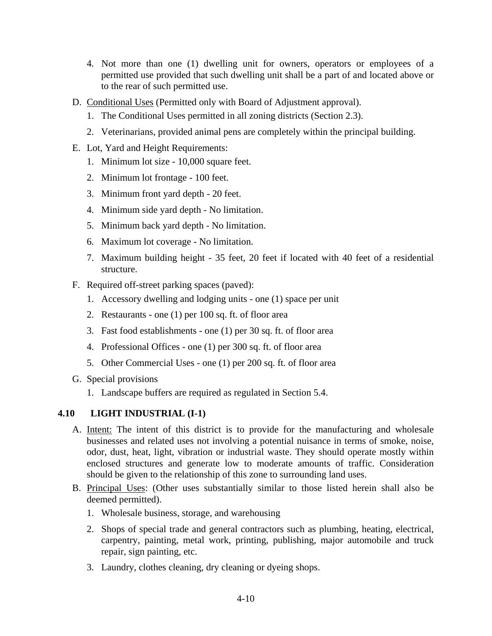- 4. Not more than one (1) dwelling unit for owners, operators or employees of a permitted use provided that such dwelling unit shall be a part of and located above or to the rear of such permitted use.
- D. Conditional Uses (Permitted only with Board of Adjustment approval).
	- 1. The Conditional Uses permitted in all zoning districts (Section 2.3).
	- 2. Veterinarians, provided animal pens are completely within the principal building.
- E. Lot, Yard and Height Requirements:
	- 1. Minimum lot size 10,000 square feet.
	- 2. Minimum lot frontage 100 feet.
	- 3. Minimum front yard depth 20 feet.
	- 4. Minimum side yard depth No limitation.
	- 5. Minimum back yard depth No limitation.
	- 6. Maximum lot coverage No limitation.
	- 7. Maximum building height 35 feet, 20 feet if located with 40 feet of a residential structure.
- F. Required off-street parking spaces (paved):
	- 1. Accessory dwelling and lodging units one (1) space per unit
	- 2. Restaurants one (1) per 100 sq. ft. of floor area
	- 3. Fast food establishments one (1) per 30 sq. ft. of floor area
	- 4. Professional Offices one (1) per 300 sq. ft. of floor area
	- 5. Other Commercial Uses one (1) per 200 sq. ft. of floor area
- G. Special provisions
	- 1. Landscape buffers are required as regulated in Section 5.4.

### **4.10 LIGHT INDUSTRIAL (I-1)**

- A. Intent: The intent of this district is to provide for the manufacturing and wholesale businesses and related uses not involving a potential nuisance in terms of smoke, noise, odor, dust, heat, light, vibration or industrial waste. They should operate mostly within enclosed structures and generate low to moderate amounts of traffic. Consideration should be given to the relationship of this zone to surrounding land uses.
- B. Principal Uses: (Other uses substantially similar to those listed herein shall also be deemed permitted).
	- 1. Wholesale business, storage, and warehousing
	- 2. Shops of special trade and general contractors such as plumbing, heating, electrical, carpentry, painting, metal work, printing, publishing, major automobile and truck repair, sign painting, etc.
	- 3. Laundry, clothes cleaning, dry cleaning or dyeing shops.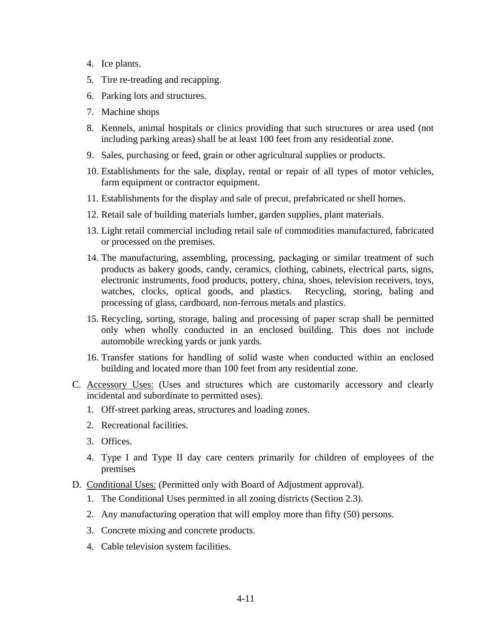- 4. Ice plants.
- 5. Tire re-treading and recapping.
- 6. Parking lots and structures.
- 7. Machine shops
- 8. Kennels, animal hospitals or clinics providing that such structures or area used (not including parking areas) shall be at least 100 feet from any residential zone.
- 9. Sales, purchasing or feed, grain or other agricultural supplies or products.
- 10. Establishments for the sale, display, rental or repair of all types of motor vehicles, farm equipment or contractor equipment.
- 11. Establishments for the display and sale of precut, prefabricated or shell homes.
- 12. Retail sale of building materials lumber, garden supplies, plant materials.
- 13. Light retail commercial including retail sale of commodities manufactured, fabricated or processed on the premises.
- 14. The manufacturing, assembling, processing, packaging or similar treatment of such products as bakery goods, candy, ceramics, clothing, cabinets, electrical parts, signs, electronic instruments, food products, pottery, china, shoes, television receivers, toys, watches, clocks, optical goods, and plastics. Recycling, storing, baling and processing of glass, cardboard, non-ferrous metals and plastics.
- 15. Recycling, sorting, storage, baling and processing of paper scrap shall be permitted only when wholly conducted in an enclosed building. This does not include automobile wrecking yards or junk yards.
- 16. Transfer stations for handling of solid waste when conducted within an enclosed building and located more than 100 feet from any residential zone.
- C. Accessory Uses: (Uses and structures which are customarily accessory and clearly incidental and subordinate to permitted uses).
	- 1. Off-street parking areas, structures and loading zones.
	- 2. Recreational facilities.
	- 3. Offices.
	- 4. Type I and Type II day care centers primarily for children of employees of the premises
- D. Conditional Uses: (Permitted only with Board of Adjustment approval).
	- 1. The Conditional Uses permitted in all zoning districts (Section 2.3).
	- 2. Any manufacturing operation that will employ more than fifty (50) persons.
	- 3. Concrete mixing and concrete products.
	- 4. Cable television system facilities.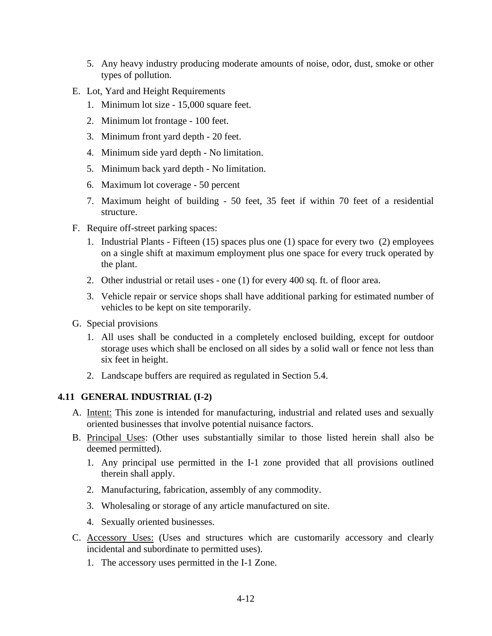- 5. Any heavy industry producing moderate amounts of noise, odor, dust, smoke or other types of pollution.
- E. Lot, Yard and Height Requirements
	- 1. Minimum lot size 15,000 square feet.
	- 2. Minimum lot frontage 100 feet.
	- 3. Minimum front yard depth 20 feet.
	- 4. Minimum side yard depth No limitation.
	- 5. Minimum back yard depth No limitation.
	- 6. Maximum lot coverage 50 percent
	- 7. Maximum height of building 50 feet, 35 feet if within 70 feet of a residential structure.
- F. Require off-street parking spaces:
	- 1. Industrial Plants Fifteen (15) spaces plus one (1) space for every two (2) employees on a single shift at maximum employment plus one space for every truck operated by the plant.
	- 2. Other industrial or retail uses one (1) for every 400 sq. ft. of floor area.
	- 3. Vehicle repair or service shops shall have additional parking for estimated number of vehicles to be kept on site temporarily.
- G. Special provisions
	- 1. All uses shall be conducted in a completely enclosed building, except for outdoor storage uses which shall be enclosed on all sides by a solid wall or fence not less than six feet in height.
	- 2. Landscape buffers are required as regulated in Section 5.4.

### **4.11 GENERAL INDUSTRIAL (I-2)**

- A. Intent: This zone is intended for manufacturing, industrial and related uses and sexually oriented businesses that involve potential nuisance factors.
- B. Principal Uses: (Other uses substantially similar to those listed herein shall also be deemed permitted).
	- 1. Any principal use permitted in the I-1 zone provided that all provisions outlined therein shall apply.
	- 2. Manufacturing, fabrication, assembly of any commodity.
	- 3. Wholesaling or storage of any article manufactured on site.
	- 4. Sexually oriented businesses.
- C. Accessory Uses: (Uses and structures which are customarily accessory and clearly incidental and subordinate to permitted uses).
	- 1. The accessory uses permitted in the I-1 Zone.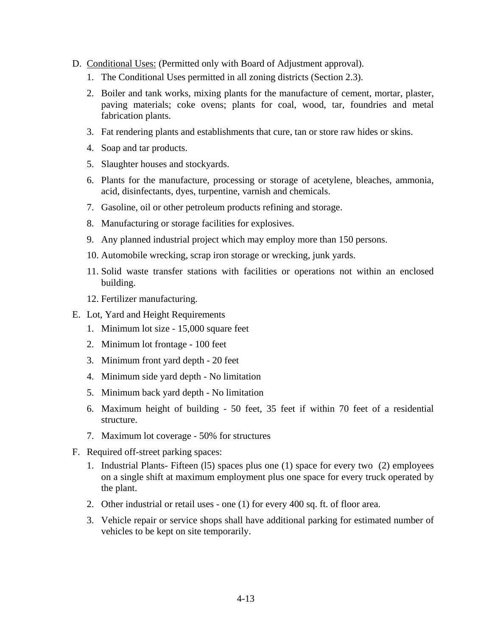- D. Conditional Uses: (Permitted only with Board of Adjustment approval).
	- 1. The Conditional Uses permitted in all zoning districts (Section 2.3).
	- 2. Boiler and tank works, mixing plants for the manufacture of cement, mortar, plaster, paving materials; coke ovens; plants for coal, wood, tar, foundries and metal fabrication plants.
	- 3. Fat rendering plants and establishments that cure, tan or store raw hides or skins.
	- 4. Soap and tar products.
	- 5. Slaughter houses and stockyards.
	- 6. Plants for the manufacture, processing or storage of acetylene, bleaches, ammonia, acid, disinfectants, dyes, turpentine, varnish and chemicals.
	- 7. Gasoline, oil or other petroleum products refining and storage.
	- 8. Manufacturing or storage facilities for explosives.
	- 9. Any planned industrial project which may employ more than 150 persons.
	- 10. Automobile wrecking, scrap iron storage or wrecking, junk yards.
	- 11. Solid waste transfer stations with facilities or operations not within an enclosed building.
	- 12. Fertilizer manufacturing.
- E. Lot, Yard and Height Requirements
	- 1. Minimum lot size 15,000 square feet
	- 2. Minimum lot frontage 100 feet
	- 3. Minimum front yard depth 20 feet
	- 4. Minimum side yard depth No limitation
	- 5. Minimum back yard depth No limitation
	- 6. Maximum height of building 50 feet, 35 feet if within 70 feet of a residential structure.
	- 7. Maximum lot coverage 50% for structures
- F. Required off-street parking spaces:
	- 1. Industrial Plants- Fifteen (l5) spaces plus one (1) space for every two (2) employees on a single shift at maximum employment plus one space for every truck operated by the plant.
	- 2. Other industrial or retail uses one (1) for every 400 sq. ft. of floor area.
	- 3. Vehicle repair or service shops shall have additional parking for estimated number of vehicles to be kept on site temporarily.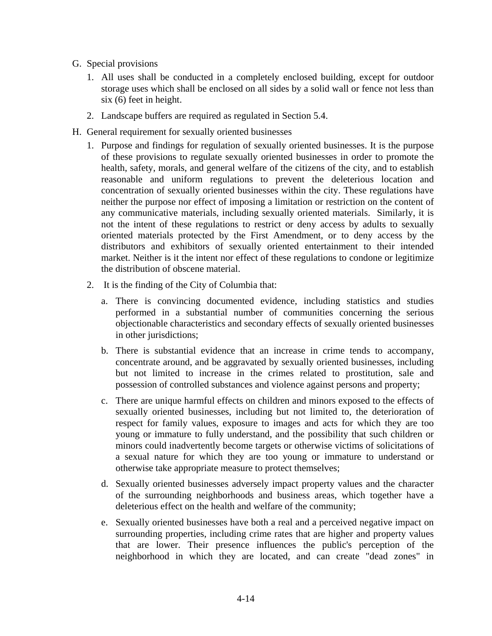- G. Special provisions
	- 1. All uses shall be conducted in a completely enclosed building, except for outdoor storage uses which shall be enclosed on all sides by a solid wall or fence not less than six (6) feet in height.
	- 2. Landscape buffers are required as regulated in Section 5.4.
- H. General requirement for sexually oriented businesses
	- 1. Purpose and findings for regulation of sexually oriented businesses. It is the purpose of these provisions to regulate sexually oriented businesses in order to promote the health, safety, morals, and general welfare of the citizens of the city, and to establish reasonable and uniform regulations to prevent the deleterious location and concentration of sexually oriented businesses within the city. These regulations have neither the purpose nor effect of imposing a limitation or restriction on the content of any communicative materials, including sexually oriented materials. Similarly, it is not the intent of these regulations to restrict or deny access by adults to sexually oriented materials protected by the First Amendment, or to deny access by the distributors and exhibitors of sexually oriented entertainment to their intended market. Neither is it the intent nor effect of these regulations to condone or legitimize the distribution of obscene material.
	- 2. It is the finding of the City of Columbia that:
		- a. There is convincing documented evidence, including statistics and studies performed in a substantial number of communities concerning the serious objectionable characteristics and secondary effects of sexually oriented businesses in other jurisdictions;
		- b. There is substantial evidence that an increase in crime tends to accompany, concentrate around, and be aggravated by sexually oriented businesses, including but not limited to increase in the crimes related to prostitution, sale and possession of controlled substances and violence against persons and property;
		- c. There are unique harmful effects on children and minors exposed to the effects of sexually oriented businesses, including but not limited to, the deterioration of respect for family values, exposure to images and acts for which they are too young or immature to fully understand, and the possibility that such children or minors could inadvertently become targets or otherwise victims of solicitations of a sexual nature for which they are too young or immature to understand or otherwise take appropriate measure to protect themselves;
		- d. Sexually oriented businesses adversely impact property values and the character of the surrounding neighborhoods and business areas, which together have a deleterious effect on the health and welfare of the community;
		- e. Sexually oriented businesses have both a real and a perceived negative impact on surrounding properties, including crime rates that are higher and property values that are lower. Their presence influences the public's perception of the neighborhood in which they are located, and can create "dead zones" in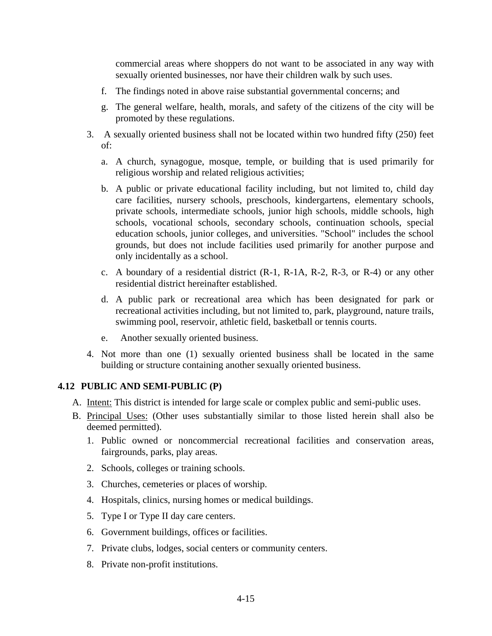commercial areas where shoppers do not want to be associated in any way with sexually oriented businesses, nor have their children walk by such uses.

- f. The findings noted in above raise substantial governmental concerns; and
- g. The general welfare, health, morals, and safety of the citizens of the city will be promoted by these regulations.
- 3. A sexually oriented business shall not be located within two hundred fifty (250) feet of:
	- a. A church, synagogue, mosque, temple, or building that is used primarily for religious worship and related religious activities;
	- b. A public or private educational facility including, but not limited to, child day care facilities, nursery schools, preschools, kindergartens, elementary schools, private schools, intermediate schools, junior high schools, middle schools, high schools, vocational schools, secondary schools, continuation schools, special education schools, junior colleges, and universities. "School" includes the school grounds, but does not include facilities used primarily for another purpose and only incidentally as a school.
	- c. A boundary of a residential district (R-1, R-1A, R-2, R-3, or R-4) or any other residential district hereinafter established.
	- d. A public park or recreational area which has been designated for park or recreational activities including, but not limited to, park, playground, nature trails, swimming pool, reservoir, athletic field, basketball or tennis courts.
	- e. Another sexually oriented business.
- 4. Not more than one (1) sexually oriented business shall be located in the same building or structure containing another sexually oriented business.

#### **4.12 PUBLIC AND SEMI-PUBLIC (P)**

- A. Intent: This district is intended for large scale or complex public and semi-public uses.
- B. Principal Uses: (Other uses substantially similar to those listed herein shall also be deemed permitted).
	- 1. Public owned or noncommercial recreational facilities and conservation areas, fairgrounds, parks, play areas.
	- 2. Schools, colleges or training schools.
	- 3. Churches, cemeteries or places of worship.
	- 4. Hospitals, clinics, nursing homes or medical buildings.
	- 5. Type I or Type II day care centers.
	- 6. Government buildings, offices or facilities.
	- 7. Private clubs, lodges, social centers or community centers.
	- 8. Private non-profit institutions.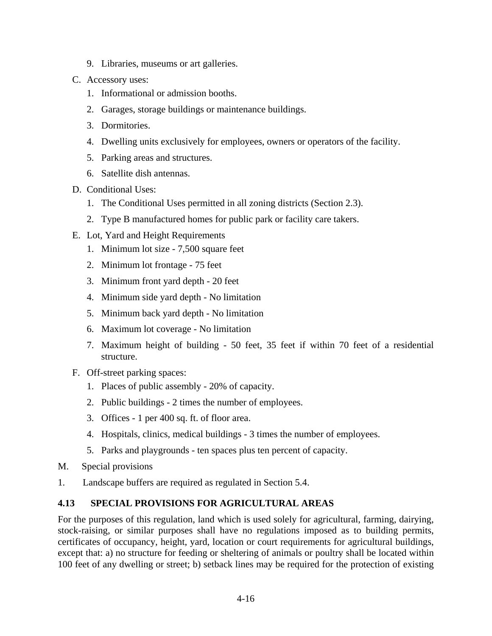- 9. Libraries, museums or art galleries.
- C. Accessory uses:
	- 1. Informational or admission booths.
	- 2. Garages, storage buildings or maintenance buildings.
	- 3. Dormitories.
	- 4. Dwelling units exclusively for employees, owners or operators of the facility.
	- 5. Parking areas and structures.
	- 6. Satellite dish antennas.
- D. Conditional Uses:
	- 1. The Conditional Uses permitted in all zoning districts (Section 2.3).
	- 2. Type B manufactured homes for public park or facility care takers.
- E. Lot, Yard and Height Requirements
	- 1. Minimum lot size 7,500 square feet
	- 2. Minimum lot frontage 75 feet
	- 3. Minimum front yard depth 20 feet
	- 4. Minimum side yard depth No limitation
	- 5. Minimum back yard depth No limitation
	- 6. Maximum lot coverage No limitation
	- 7. Maximum height of building 50 feet, 35 feet if within 70 feet of a residential structure.
- F. Off-street parking spaces:
	- 1. Places of public assembly 20% of capacity.
	- 2. Public buildings 2 times the number of employees.
	- 3. Offices 1 per 400 sq. ft. of floor area.
	- 4. Hospitals, clinics, medical buildings 3 times the number of employees.
	- 5. Parks and playgrounds ten spaces plus ten percent of capacity.
- M. Special provisions
- 1. Landscape buffers are required as regulated in Section 5.4.

### **4.13 SPECIAL PROVISIONS FOR AGRICULTURAL AREAS**

For the purposes of this regulation, land which is used solely for agricultural, farming, dairying, stock-raising, or similar purposes shall have no regulations imposed as to building permits, certificates of occupancy, height, yard, location or court requirements for agricultural buildings, except that: a) no structure for feeding or sheltering of animals or poultry shall be located within 100 feet of any dwelling or street; b) setback lines may be required for the protection of existing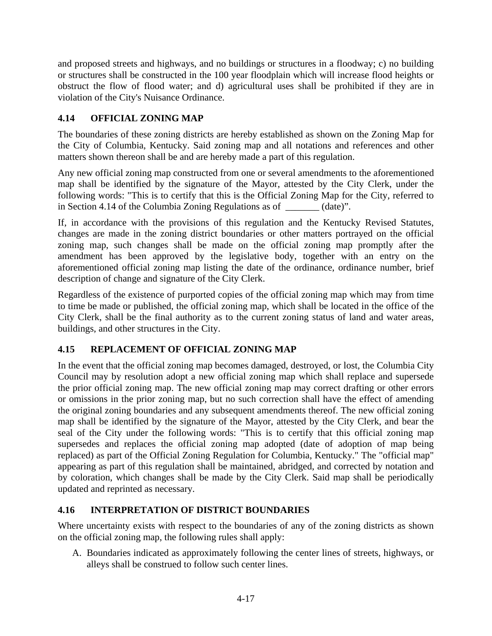and proposed streets and highways, and no buildings or structures in a floodway; c) no building or structures shall be constructed in the 100 year floodplain which will increase flood heights or obstruct the flow of flood water; and d) agricultural uses shall be prohibited if they are in violation of the City's Nuisance Ordinance.

# **4.14 OFFICIAL ZONING MAP**

The boundaries of these zoning districts are hereby established as shown on the Zoning Map for the City of Columbia, Kentucky. Said zoning map and all notations and references and other matters shown thereon shall be and are hereby made a part of this regulation.

Any new official zoning map constructed from one or several amendments to the aforementioned map shall be identified by the signature of the Mayor, attested by the City Clerk, under the following words: "This is to certify that this is the Official Zoning Map for the City, referred to in Section 4.14 of the Columbia Zoning Regulations as of \_\_\_\_\_\_\_ (date)".

If, in accordance with the provisions of this regulation and the Kentucky Revised Statutes, changes are made in the zoning district boundaries or other matters portrayed on the official zoning map, such changes shall be made on the official zoning map promptly after the amendment has been approved by the legislative body, together with an entry on the aforementioned official zoning map listing the date of the ordinance, ordinance number, brief description of change and signature of the City Clerk.

Regardless of the existence of purported copies of the official zoning map which may from time to time be made or published, the official zoning map, which shall be located in the office of the City Clerk, shall be the final authority as to the current zoning status of land and water areas, buildings, and other structures in the City.

# **4.15 REPLACEMENT OF OFFICIAL ZONING MAP**

In the event that the official zoning map becomes damaged, destroyed, or lost, the Columbia City Council may by resolution adopt a new official zoning map which shall replace and supersede the prior official zoning map. The new official zoning map may correct drafting or other errors or omissions in the prior zoning map, but no such correction shall have the effect of amending the original zoning boundaries and any subsequent amendments thereof. The new official zoning map shall be identified by the signature of the Mayor, attested by the City Clerk, and bear the seal of the City under the following words: "This is to certify that this official zoning map supersedes and replaces the official zoning map adopted (date of adoption of map being replaced) as part of the Official Zoning Regulation for Columbia, Kentucky." The "official map" appearing as part of this regulation shall be maintained, abridged, and corrected by notation and by coloration, which changes shall be made by the City Clerk. Said map shall be periodically updated and reprinted as necessary.

# **4.16 INTERPRETATION OF DISTRICT BOUNDARIES**

Where uncertainty exists with respect to the boundaries of any of the zoning districts as shown on the official zoning map, the following rules shall apply:

A. Boundaries indicated as approximately following the center lines of streets, highways, or alleys shall be construed to follow such center lines.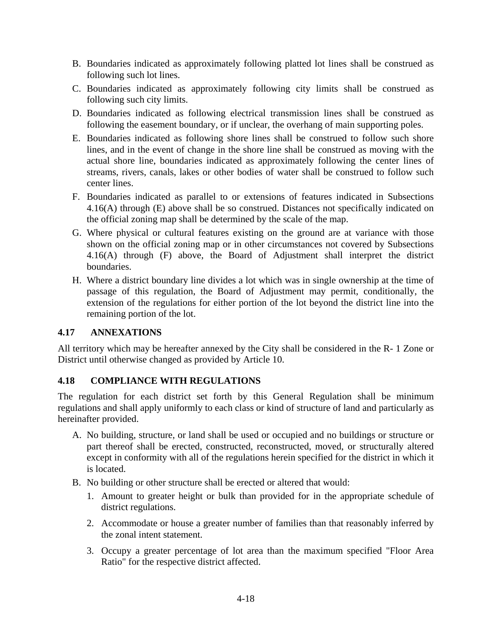- B. Boundaries indicated as approximately following platted lot lines shall be construed as following such lot lines.
- C. Boundaries indicated as approximately following city limits shall be construed as following such city limits.
- D. Boundaries indicated as following electrical transmission lines shall be construed as following the easement boundary, or if unclear, the overhang of main supporting poles.
- E. Boundaries indicated as following shore lines shall be construed to follow such shore lines, and in the event of change in the shore line shall be construed as moving with the actual shore line, boundaries indicated as approximately following the center lines of streams, rivers, canals, lakes or other bodies of water shall be construed to follow such center lines.
- F. Boundaries indicated as parallel to or extensions of features indicated in Subsections 4.16(A) through (E) above shall be so construed. Distances not specifically indicated on the official zoning map shall be determined by the scale of the map.
- G. Where physical or cultural features existing on the ground are at variance with those shown on the official zoning map or in other circumstances not covered by Subsections 4.16(A) through (F) above, the Board of Adjustment shall interpret the district boundaries.
- H. Where a district boundary line divides a lot which was in single ownership at the time of passage of this regulation, the Board of Adjustment may permit, conditionally, the extension of the regulations for either portion of the lot beyond the district line into the remaining portion of the lot.

### **4.17 ANNEXATIONS**

All territory which may be hereafter annexed by the City shall be considered in the R- 1 Zone or District until otherwise changed as provided by Article 10.

# **4.18 COMPLIANCE WITH REGULATIONS**

The regulation for each district set forth by this General Regulation shall be minimum regulations and shall apply uniformly to each class or kind of structure of land and particularly as hereinafter provided.

- A. No building, structure, or land shall be used or occupied and no buildings or structure or part thereof shall be erected, constructed, reconstructed, moved, or structurally altered except in conformity with all of the regulations herein specified for the district in which it is located.
- B. No building or other structure shall be erected or altered that would:
	- 1. Amount to greater height or bulk than provided for in the appropriate schedule of district regulations.
	- 2. Accommodate or house a greater number of families than that reasonably inferred by the zonal intent statement.
	- 3. Occupy a greater percentage of lot area than the maximum specified "Floor Area Ratio" for the respective district affected.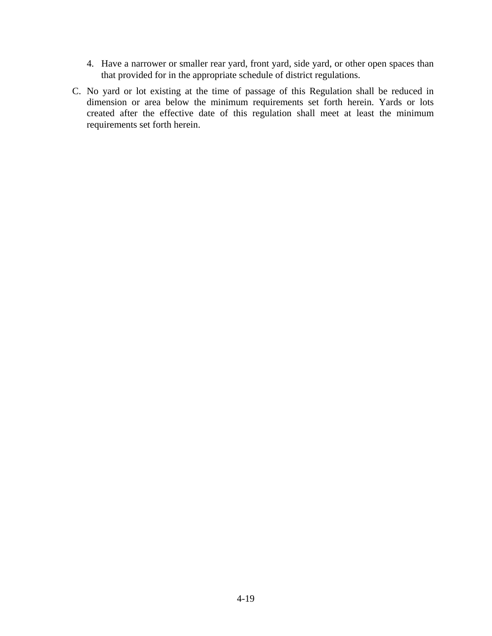- 4. Have a narrower or smaller rear yard, front yard, side yard, or other open spaces than that provided for in the appropriate schedule of district regulations.
- C. No yard or lot existing at the time of passage of this Regulation shall be reduced in dimension or area below the minimum requirements set forth herein. Yards or lots created after the effective date of this regulation shall meet at least the minimum requirements set forth herein.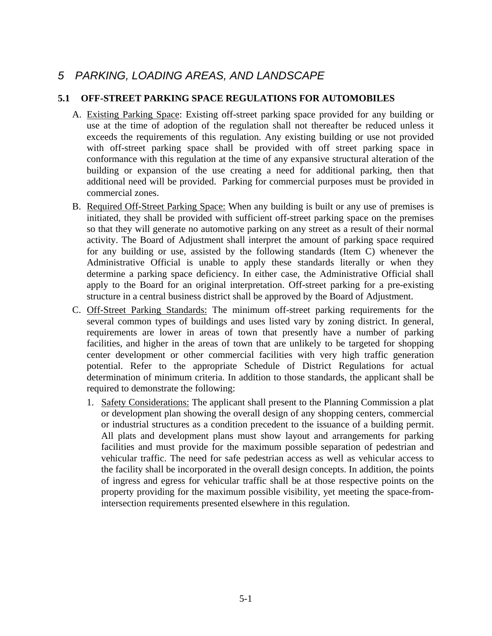# *5 PARKING, LOADING AREAS, AND LANDSCAPE*

### **5.1 OFF-STREET PARKING SPACE REGULATIONS FOR AUTOMOBILES**

- A. Existing Parking Space: Existing off-street parking space provided for any building or use at the time of adoption of the regulation shall not thereafter be reduced unless it exceeds the requirements of this regulation. Any existing building or use not provided with off-street parking space shall be provided with off street parking space in conformance with this regulation at the time of any expansive structural alteration of the building or expansion of the use creating a need for additional parking, then that additional need will be provided. Parking for commercial purposes must be provided in commercial zones.
- B. Required Off-Street Parking Space: When any building is built or any use of premises is initiated, they shall be provided with sufficient off-street parking space on the premises so that they will generate no automotive parking on any street as a result of their normal activity. The Board of Adjustment shall interpret the amount of parking space required for any building or use, assisted by the following standards (Item C) whenever the Administrative Official is unable to apply these standards literally or when they determine a parking space deficiency. In either case, the Administrative Official shall apply to the Board for an original interpretation. Off-street parking for a pre-existing structure in a central business district shall be approved by the Board of Adjustment.
- C. Off-Street Parking Standards: The minimum off-street parking requirements for the several common types of buildings and uses listed vary by zoning district. In general, requirements are lower in areas of town that presently have a number of parking facilities, and higher in the areas of town that are unlikely to be targeted for shopping center development or other commercial facilities with very high traffic generation potential. Refer to the appropriate Schedule of District Regulations for actual determination of minimum criteria. In addition to those standards, the applicant shall be required to demonstrate the following:
	- 1. Safety Considerations: The applicant shall present to the Planning Commission a plat or development plan showing the overall design of any shopping centers, commercial or industrial structures as a condition precedent to the issuance of a building permit. All plats and development plans must show layout and arrangements for parking facilities and must provide for the maximum possible separation of pedestrian and vehicular traffic. The need for safe pedestrian access as well as vehicular access to the facility shall be incorporated in the overall design concepts. In addition, the points of ingress and egress for vehicular traffic shall be at those respective points on the property providing for the maximum possible visibility, yet meeting the space-fromintersection requirements presented elsewhere in this regulation.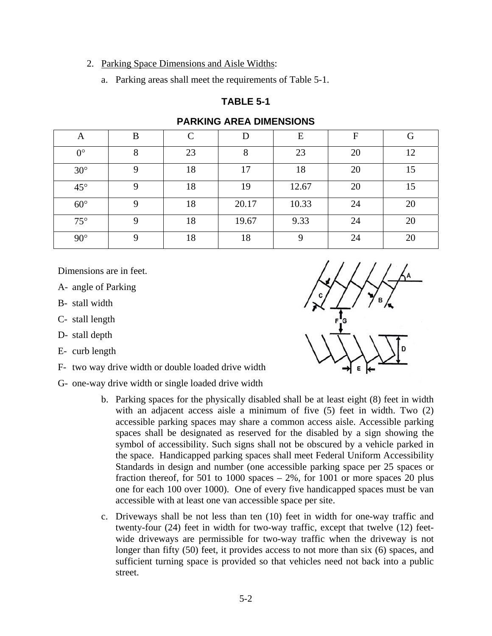#### 2. Parking Space Dimensions and Aisle Widths:

a. Parking areas shall meet the requirements of Table 5-1.

#### **TABLE 5-1**

| A            | B | $\curvearrowright$ | D     | E     | $\mathbf F$ | G  |
|--------------|---|--------------------|-------|-------|-------------|----|
| $0^{\circ}$  | 8 | 23                 | 8     | 23    | 20          | 12 |
| $30^\circ$   | 9 | 18                 | 17    | 18    | 20          | 15 |
| $45^{\circ}$ | Q | 18                 | 19    | 12.67 | 20          | 15 |
| $60^\circ$   | Q | 18                 | 20.17 | 10.33 | 24          | 20 |
| $75^{\circ}$ | 9 | 18                 | 19.67 | 9.33  | 24          | 20 |
| $90^\circ$   | Q | 18                 | 18    | 9     | 24          | 20 |

### **PARKING AREA DIMENSIONS**

Dimensions are in feet.

A- angle of Parking

B- stall width

C- stall length

D- stall depth

E- curb length

F- two way drive width or double loaded drive width

G- one-way drive width or single loaded drive width

- b. Parking spaces for the physically disabled shall be at least eight (8) feet in width with an adjacent access aisle a minimum of five (5) feet in width. Two (2) accessible parking spaces may share a common access aisle. Accessible parking spaces shall be designated as reserved for the disabled by a sign showing the symbol of accessibility. Such signs shall not be obscured by a vehicle parked in the space. Handicapped parking spaces shall meet Federal Uniform Accessibility Standards in design and number (one accessible parking space per 25 spaces or fraction thereof, for 501 to 1000 spaces  $-2\%$ , for 1001 or more spaces 20 plus one for each 100 over 1000). One of every five handicapped spaces must be van accessible with at least one van accessible space per site.
- c. Driveways shall be not less than ten (10) feet in width for one-way traffic and twenty-four (24) feet in width for two-way traffic, except that twelve (12) feetwide driveways are permissible for two-way traffic when the driveway is not longer than fifty (50) feet, it provides access to not more than six (6) spaces, and sufficient turning space is provided so that vehicles need not back into a public street.

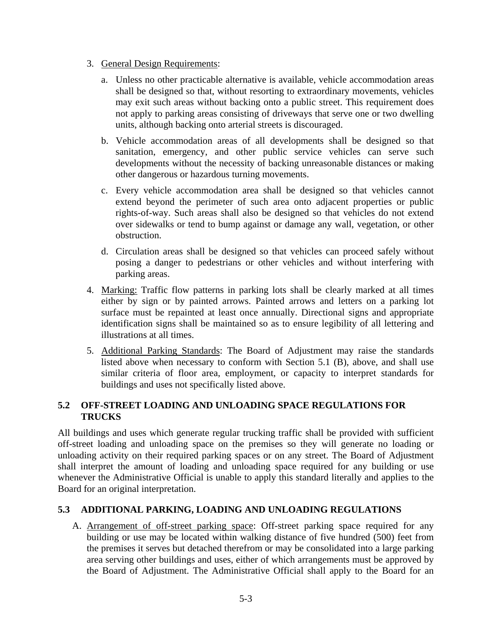- 3. General Design Requirements:
	- a. Unless no other practicable alternative is available, vehicle accommodation areas shall be designed so that, without resorting to extraordinary movements, vehicles may exit such areas without backing onto a public street. This requirement does not apply to parking areas consisting of driveways that serve one or two dwelling units, although backing onto arterial streets is discouraged.
	- b. Vehicle accommodation areas of all developments shall be designed so that sanitation, emergency, and other public service vehicles can serve such developments without the necessity of backing unreasonable distances or making other dangerous or hazardous turning movements.
	- c. Every vehicle accommodation area shall be designed so that vehicles cannot extend beyond the perimeter of such area onto adjacent properties or public rights-of-way. Such areas shall also be designed so that vehicles do not extend over sidewalks or tend to bump against or damage any wall, vegetation, or other obstruction.
	- d. Circulation areas shall be designed so that vehicles can proceed safely without posing a danger to pedestrians or other vehicles and without interfering with parking areas.
- 4. Marking: Traffic flow patterns in parking lots shall be clearly marked at all times either by sign or by painted arrows. Painted arrows and letters on a parking lot surface must be repainted at least once annually. Directional signs and appropriate identification signs shall be maintained so as to ensure legibility of all lettering and illustrations at all times.
- 5. Additional Parking Standards: The Board of Adjustment may raise the standards listed above when necessary to conform with Section 5.1 (B), above, and shall use similar criteria of floor area, employment, or capacity to interpret standards for buildings and uses not specifically listed above.

### **5.2 OFF-STREET LOADING AND UNLOADING SPACE REGULATIONS FOR TRUCKS**

All buildings and uses which generate regular trucking traffic shall be provided with sufficient off-street loading and unloading space on the premises so they will generate no loading or unloading activity on their required parking spaces or on any street. The Board of Adjustment shall interpret the amount of loading and unloading space required for any building or use whenever the Administrative Official is unable to apply this standard literally and applies to the Board for an original interpretation.

# **5.3 ADDITIONAL PARKING, LOADING AND UNLOADING REGULATIONS**

A. Arrangement of off-street parking space: Off-street parking space required for any building or use may be located within walking distance of five hundred (500) feet from the premises it serves but detached therefrom or may be consolidated into a large parking area serving other buildings and uses, either of which arrangements must be approved by the Board of Adjustment. The Administrative Official shall apply to the Board for an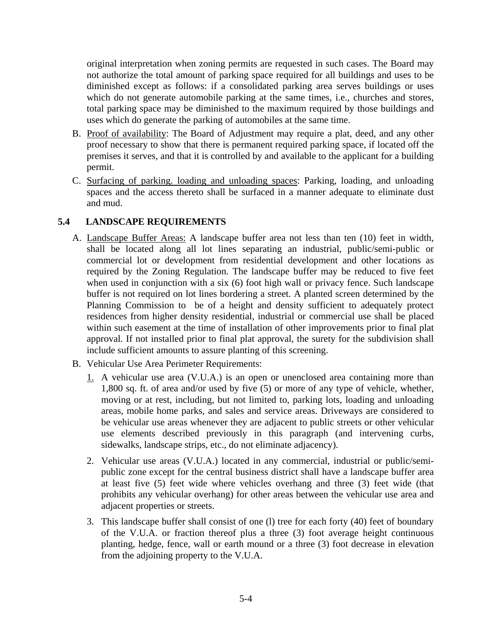original interpretation when zoning permits are requested in such cases. The Board may not authorize the total amount of parking space required for all buildings and uses to be diminished except as follows: if a consolidated parking area serves buildings or uses which do not generate automobile parking at the same times, i.e., churches and stores, total parking space may be diminished to the maximum required by those buildings and uses which do generate the parking of automobiles at the same time.

- B. Proof of availability: The Board of Adjustment may require a plat, deed, and any other proof necessary to show that there is permanent required parking space, if located off the premises it serves, and that it is controlled by and available to the applicant for a building permit.
- C. Surfacing of parking. loading and unloading spaces: Parking, loading, and unloading spaces and the access thereto shall be surfaced in a manner adequate to eliminate dust and mud.

### **5.4 LANDSCAPE REQUIREMENTS**

- A. Landscape Buffer Areas: A landscape buffer area not less than ten (10) feet in width, shall be located along all lot lines separating an industrial, public/semi-public or commercial lot or development from residential development and other locations as required by the Zoning Regulation. The landscape buffer may be reduced to five feet when used in conjunction with a six (6) foot high wall or privacy fence. Such landscape buffer is not required on lot lines bordering a street. A planted screen determined by the Planning Commission to be of a height and density sufficient to adequately protect residences from higher density residential, industrial or commercial use shall be placed within such easement at the time of installation of other improvements prior to final plat approval. If not installed prior to final plat approval, the surety for the subdivision shall include sufficient amounts to assure planting of this screening.
- B. Vehicular Use Area Perimeter Requirements:
	- 1. A vehicular use area (V.U.A.) is an open or unenclosed area containing more than 1,800 sq. ft. of area and/or used by five (5) or more of any type of vehicle, whether, moving or at rest, including, but not limited to, parking lots, loading and unloading areas, mobile home parks, and sales and service areas. Driveways are considered to be vehicular use areas whenever they are adjacent to public streets or other vehicular use elements described previously in this paragraph (and intervening curbs, sidewalks, landscape strips, etc., do not eliminate adjacency).
	- 2. Vehicular use areas (V.U.A.) located in any commercial, industrial or public/semipublic zone except for the central business district shall have a landscape buffer area at least five (5) feet wide where vehicles overhang and three (3) feet wide (that prohibits any vehicular overhang) for other areas between the vehicular use area and adjacent properties or streets.
	- 3. This landscape buffer shall consist of one (l) tree for each forty (40) feet of boundary of the V.U.A. or fraction thereof plus a three (3) foot average height continuous planting, hedge, fence, wall or earth mound or a three (3) foot decrease in elevation from the adjoining property to the V.U.A.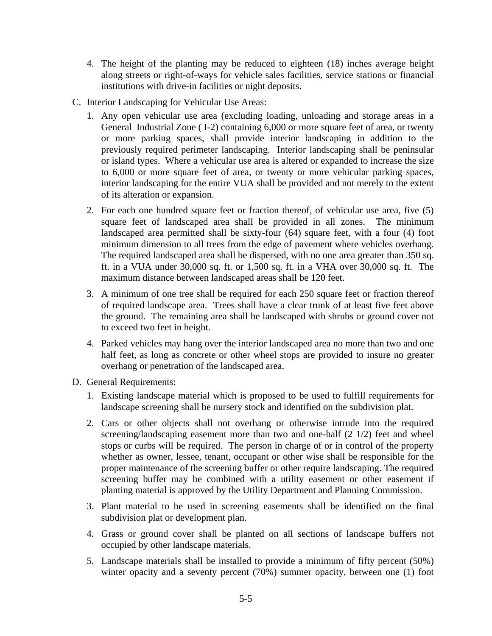- 4. The height of the planting may be reduced to eighteen (18) inches average height along streets or right-of-ways for vehicle sales facilities, service stations or financial institutions with drive-in facilities or night deposits.
- C. Interior Landscaping for Vehicular Use Areas:
	- 1. Any open vehicular use area (excluding loading, unloading and storage areas in a General Industrial Zone ( I-2) containing 6,000 or more square feet of area, or twenty or more parking spaces, shall provide interior landscaping in addition to the previously required perimeter landscaping. Interior landscaping shall be peninsular or island types. Where a vehicular use area is altered or expanded to increase the size to 6,000 or more square feet of area, or twenty or more vehicular parking spaces, interior landscaping for the entire VUA shall be provided and not merely to the extent of its alteration or expansion.
	- 2. For each one hundred square feet or fraction thereof, of vehicular use area, five (5) square feet of landscaped area shall be provided in all zones. The minimum landscaped area permitted shall be sixty-four (64) square feet, with a four (4) foot minimum dimension to all trees from the edge of pavement where vehicles overhang. The required landscaped area shall be dispersed, with no one area greater than 350 sq. ft. in a VUA under 30,000 sq. ft. or 1,500 sq. ft. in a VHA over 30,000 sq. ft. The maximum distance between landscaped areas shall be 120 feet.
	- 3. A minimum of one tree shall be required for each 250 square feet or fraction thereof of required landscape area. Trees shall have a clear trunk of at least five feet above the ground. The remaining area shall be landscaped with shrubs or ground cover not to exceed two feet in height.
	- 4. Parked vehicles may hang over the interior landscaped area no more than two and one half feet, as long as concrete or other wheel stops are provided to insure no greater overhang or penetration of the landscaped area.
- D. General Requirements:
	- 1. Existing landscape material which is proposed to be used to fulfill requirements for landscape screening shall be nursery stock and identified on the subdivision plat.
	- 2. Cars or other objects shall not overhang or otherwise intrude into the required screening/landscaping easement more than two and one-half (2 1/2) feet and wheel stops or curbs will be required. The person in charge of or in control of the property whether as owner, lessee, tenant, occupant or other wise shall be responsible for the proper maintenance of the screening buffer or other require landscaping. The required screening buffer may be combined with a utility easement or other easement if planting material is approved by the Utility Department and Planning Commission.
	- 3. Plant material to be used in screening easements shall be identified on the final subdivision plat or development plan.
	- 4. Grass or ground cover shall be planted on all sections of landscape buffers not occupied by other landscape materials.
	- 5. Landscape materials shall be installed to provide a minimum of fifty percent (50%) winter opacity and a seventy percent (70%) summer opacity, between one (1) foot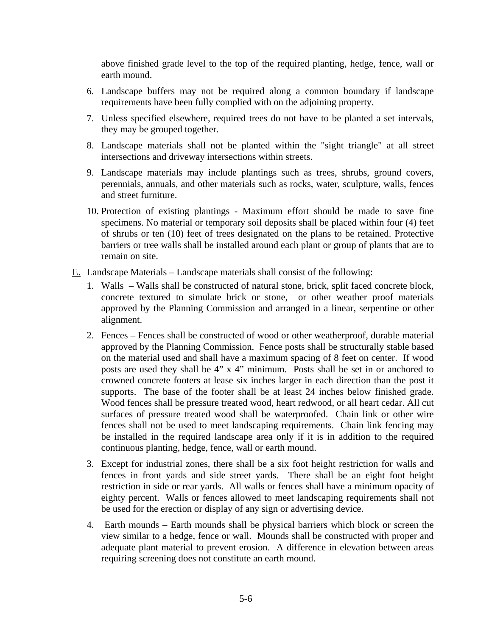above finished grade level to the top of the required planting, hedge, fence, wall or earth mound.

- 6. Landscape buffers may not be required along a common boundary if landscape requirements have been fully complied with on the adjoining property.
- 7. Unless specified elsewhere, required trees do not have to be planted a set intervals, they may be grouped together.
- 8. Landscape materials shall not be planted within the "sight triangle" at all street intersections and driveway intersections within streets.
- 9. Landscape materials may include plantings such as trees, shrubs, ground covers, perennials, annuals, and other materials such as rocks, water, sculpture, walls, fences and street furniture.
- 10. Protection of existing plantings Maximum effort should be made to save fine specimens. No material or temporary soil deposits shall be placed within four (4) feet of shrubs or ten (10) feet of trees designated on the plans to be retained. Protective barriers or tree walls shall be installed around each plant or group of plants that are to remain on site.
- E. Landscape Materials Landscape materials shall consist of the following:
	- 1. Walls Walls shall be constructed of natural stone, brick, split faced concrete block, concrete textured to simulate brick or stone, or other weather proof materials approved by the Planning Commission and arranged in a linear, serpentine or other alignment.
	- 2. Fences Fences shall be constructed of wood or other weatherproof, durable material approved by the Planning Commission. Fence posts shall be structurally stable based on the material used and shall have a maximum spacing of 8 feet on center. If wood posts are used they shall be 4" x 4" minimum. Posts shall be set in or anchored to crowned concrete footers at lease six inches larger in each direction than the post it supports. The base of the footer shall be at least 24 inches below finished grade. Wood fences shall be pressure treated wood, heart redwood, or all heart cedar. All cut surfaces of pressure treated wood shall be waterproofed. Chain link or other wire fences shall not be used to meet landscaping requirements. Chain link fencing may be installed in the required landscape area only if it is in addition to the required continuous planting, hedge, fence, wall or earth mound.
	- 3. Except for industrial zones, there shall be a six foot height restriction for walls and fences in front yards and side street yards. There shall be an eight foot height restriction in side or rear yards. All walls or fences shall have a minimum opacity of eighty percent. Walls or fences allowed to meet landscaping requirements shall not be used for the erection or display of any sign or advertising device.
	- 4. Earth mounds Earth mounds shall be physical barriers which block or screen the view similar to a hedge, fence or wall. Mounds shall be constructed with proper and adequate plant material to prevent erosion. A difference in elevation between areas requiring screening does not constitute an earth mound.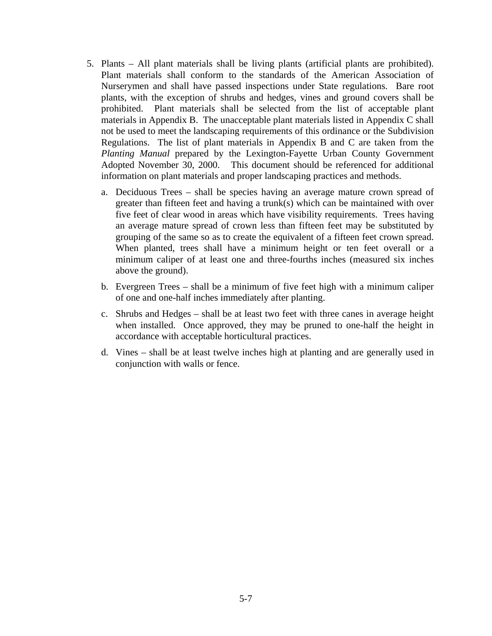- 5. Plants All plant materials shall be living plants (artificial plants are prohibited). Plant materials shall conform to the standards of the American Association of Nurserymen and shall have passed inspections under State regulations. Bare root plants, with the exception of shrubs and hedges, vines and ground covers shall be prohibited. Plant materials shall be selected from the list of acceptable plant materials in Appendix B. The unacceptable plant materials listed in Appendix C shall not be used to meet the landscaping requirements of this ordinance or the Subdivision Regulations. The list of plant materials in Appendix B and C are taken from the *Planting Manual* prepared by the Lexington-Fayette Urban County Government Adopted November 30, 2000. This document should be referenced for additional information on plant materials and proper landscaping practices and methods.
	- a. Deciduous Trees shall be species having an average mature crown spread of greater than fifteen feet and having a trunk(s) which can be maintained with over five feet of clear wood in areas which have visibility requirements. Trees having an average mature spread of crown less than fifteen feet may be substituted by grouping of the same so as to create the equivalent of a fifteen feet crown spread. When planted, trees shall have a minimum height or ten feet overall or a minimum caliper of at least one and three-fourths inches (measured six inches above the ground).
	- b. Evergreen Trees shall be a minimum of five feet high with a minimum caliper of one and one-half inches immediately after planting.
	- c. Shrubs and Hedges shall be at least two feet with three canes in average height when installed. Once approved, they may be pruned to one-half the height in accordance with acceptable horticultural practices.
	- d. Vines shall be at least twelve inches high at planting and are generally used in conjunction with walls or fence.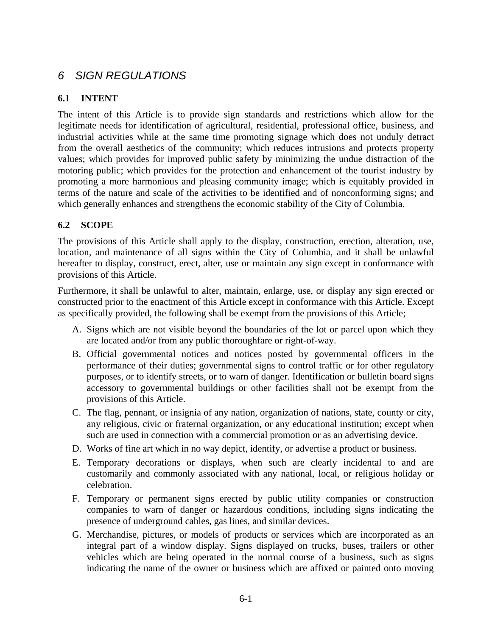# *6 SIGN REGULATIONS*

# **6.1 INTENT**

The intent of this Article is to provide sign standards and restrictions which allow for the legitimate needs for identification of agricultural, residential, professional office, business, and industrial activities while at the same time promoting signage which does not unduly detract from the overall aesthetics of the community; which reduces intrusions and protects property values; which provides for improved public safety by minimizing the undue distraction of the motoring public; which provides for the protection and enhancement of the tourist industry by promoting a more harmonious and pleasing community image; which is equitably provided in terms of the nature and scale of the activities to be identified and of nonconforming signs; and which generally enhances and strengthens the economic stability of the City of Columbia.

# **6.2 SCOPE**

The provisions of this Article shall apply to the display, construction, erection, alteration, use, location, and maintenance of all signs within the City of Columbia, and it shall be unlawful hereafter to display, construct, erect, alter, use or maintain any sign except in conformance with provisions of this Article.

Furthermore, it shall be unlawful to alter, maintain, enlarge, use, or display any sign erected or constructed prior to the enactment of this Article except in conformance with this Article. Except as specifically provided, the following shall be exempt from the provisions of this Article;

- A. Signs which are not visible beyond the boundaries of the lot or parcel upon which they are located and/or from any public thoroughfare or right-of-way.
- B. Official governmental notices and notices posted by governmental officers in the performance of their duties; governmental signs to control traffic or for other regulatory purposes, or to identify streets, or to warn of danger. Identification or bulletin board signs accessory to governmental buildings or other facilities shall not be exempt from the provisions of this Article.
- C. The flag, pennant, or insignia of any nation, organization of nations, state, county or city, any religious, civic or fraternal organization, or any educational institution; except when such are used in connection with a commercial promotion or as an advertising device.
- D. Works of fine art which in no way depict, identify, or advertise a product or business.
- E. Temporary decorations or displays, when such are clearly incidental to and are customarily and commonly associated with any national, local, or religious holiday or celebration.
- F. Temporary or permanent signs erected by public utility companies or construction companies to warn of danger or hazardous conditions, including signs indicating the presence of underground cables, gas lines, and similar devices.
- G. Merchandise, pictures, or models of products or services which are incorporated as an integral part of a window display. Signs displayed on trucks, buses, trailers or other vehicles which are being operated in the normal course of a business, such as signs indicating the name of the owner or business which are affixed or painted onto moving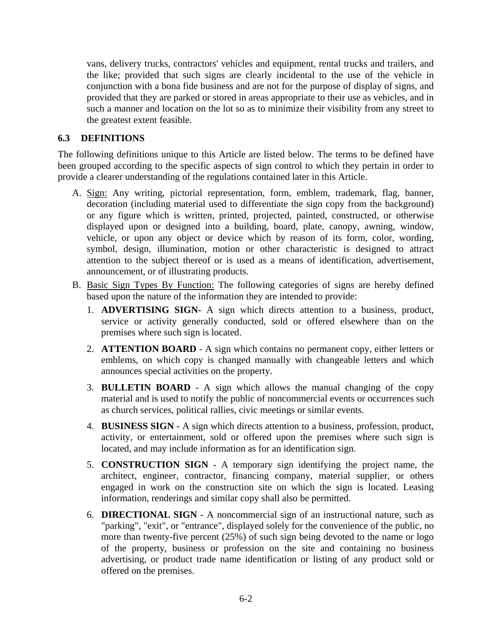vans, delivery trucks, contractors' vehicles and equipment, rental trucks and trailers, and the like; provided that such signs are clearly incidental to the use of the vehicle in conjunction with a bona fide business and are not for the purpose of display of signs, and provided that they are parked or stored in areas appropriate to their use as vehicles, and in such a manner and location on the lot so as to minimize their visibility from any street to the greatest extent feasible.

### **6.3 DEFINITIONS**

The following definitions unique to this Article are listed below. The terms to be defined have been grouped according to the specific aspects of sign control to which they pertain in order to provide a clearer understanding of the regulations contained later in this Article.

- A. Sign: Any writing, pictorial representation, form, emblem, trademark, flag, banner, decoration (including material used to differentiate the sign copy from the background) or any figure which is written, printed, projected, painted, constructed, or otherwise displayed upon or designed into a building, board, plate, canopy, awning, window, vehicle, or upon any object or device which by reason of its form, color, wording, symbol, design, illumination, motion or other characteristic is designed to attract attention to the subject thereof or is used as a means of identification, advertisement, announcement, or of illustrating products.
- B. Basic Sign Types By Function: The following categories of signs are hereby defined based upon the nature of the information they are intended to provide:
	- 1. **ADVERTISING SIGN-** A sign which directs attention to a business, product, service or activity generally conducted, sold or offered elsewhere than on the premises where such sign is located.
	- 2. **ATTENTION BOARD** A sign which contains no permanent copy, either letters or emblems, on which copy is changed manually with changeable letters and which announces special activities on the property.
	- 3. **BULLETIN BOARD** A sign which allows the manual changing of the copy material and is used to notify the public of noncommercial events or occurrences such as church services, political rallies, civic meetings or similar events.
	- 4. **BUSINESS SIGN** A sign which directs attention to a business, profession, product, activity, or entertainment, sold or offered upon the premises where such sign is located, and may include information as for an identification sign.
	- 5. **CONSTRUCTION SIGN** A temporary sign identifying the project name, the architect, engineer, contractor, financing company, material supplier, or others engaged in work on the construction site on which the sign is located. Leasing information, renderings and similar copy shall also be permitted.
	- 6. **DIRECTIONAL SIGN** A noncommercial sign of an instructional nature, such as "parking", "exit", or "entrance", displayed solely for the convenience of the public, no more than twenty-five percent (25%) of such sign being devoted to the name or logo of the property, business or profession on the site and containing no business advertising, or product trade name identification or listing of any product sold or offered on the premises.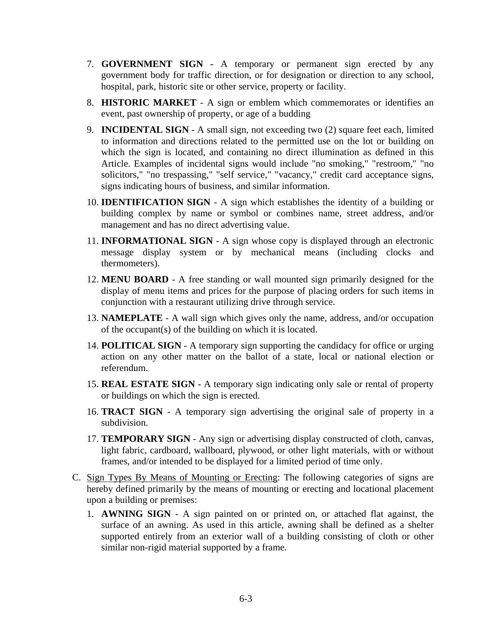- 7. **GOVERNMENT SIGN -** A temporary or permanent sign erected by any government body for traffic direction, or for designation or direction to any school, hospital, park, historic site or other service, property or facility.
- 8. **HISTORIC MARKET** A sign or emblem which commemorates or identifies an event, past ownership of property, or age of a budding
- 9. **INCIDENTAL SIGN** A small sign, not exceeding two (2) square feet each, limited to information and directions related to the permitted use on the lot or building on which the sign is located, and containing no direct illumination as defined in this Article. Examples of incidental signs would include "no smoking," "restroom," "no solicitors," "no trespassing," "self service," "vacancy," credit card acceptance signs, signs indicating hours of business, and similar information.
- 10. **IDENTIFICATION SIGN** A sign which establishes the identity of a building or building complex by name or symbol or combines name, street address, and/or management and has no direct advertising value.
- 11. **INFORMATIONAL SIGN** A sign whose copy is displayed through an electronic message display system or by mechanical means (including clocks and thermometers).
- 12. **MENU BOARD** A free standing or wall mounted sign primarily designed for the display of menu items and prices for the purpose of placing orders for such items in conjunction with a restaurant utilizing drive through service.
- 13. **NAMEPLATE** A wall sign which gives only the name, address, and/or occupation of the occupant(s) of the building on which it is located.
- 14. **POLITICAL SIGN** A temporary sign supporting the candidacy for office or urging action on any other matter on the ballot of a state, local or national election or referendum.
- 15. **REAL ESTATE SIGN -** A temporary sign indicating only sale or rental of property or buildings on which the sign is erected.
- 16. **TRACT SIGN** A temporary sign advertising the original sale of property in a subdivision.
- 17. **TEMPORARY SIGN** Any sign or advertising display constructed of cloth, canvas, light fabric, cardboard, wallboard, plywood, or other light materials, with or without frames, and/or intended to be displayed for a limited period of time only.
- C. Sign Types By Means of Mounting or Erecting: The following categories of signs are hereby defined primarily by the means of mounting or erecting and locational placement upon a building or premises:
	- 1. **AWNING SIGN** A sign painted on or printed on, or attached flat against, the surface of an awning. As used in this article, awning shall be defined as a shelter supported entirely from an exterior wall of a building consisting of cloth or other similar non-rigid material supported by a frame.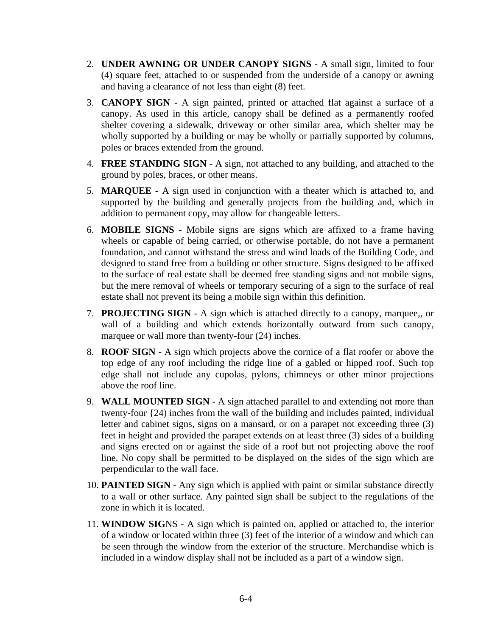- 2. **UNDER AWNING OR UNDER CANOPY SIGNS** A small sign, limited to four (4) square feet, attached to or suspended from the underside of a canopy or awning and having a clearance of not less than eight (8) feet.
- 3. **CANOPY SIGN -** A sign painted, printed or attached flat against a surface of a canopy. As used in this article, canopy shall be defined as a permanently roofed shelter covering a sidewalk, driveway or other similar area, which shelter may be wholly supported by a building or may be wholly or partially supported by columns, poles or braces extended from the ground.
- 4. **FREE STANDING SIGN** A sign, not attached to any building, and attached to the ground by poles, braces, or other means.
- 5. **MARQUEE -** A sign used in conjunction with a theater which is attached to, and supported by the building and generally projects from the building and, which in addition to permanent copy, may allow for changeable letters.
- 6. **MOBILE SIGNS -** Mobile signs are signs which are affixed to a frame having wheels or capable of being carried, or otherwise portable, do not have a permanent foundation, and cannot withstand the stress and wind loads of the Building Code, and designed to stand free from a building or other structure. Signs designed to be affixed to the surface of real estate shall be deemed free standing signs and not mobile signs, but the mere removal of wheels or temporary securing of a sign to the surface of real estate shall not prevent its being a mobile sign within this definition.
- 7. **PROJECTING SIGN** A sign which is attached directly to a canopy, marquee,, or wall of a building and which extends horizontally outward from such canopy, marquee or wall more than twenty-four (24) inches.
- 8. **ROOF SIGN** A sign which projects above the cornice of a flat roofer or above the top edge of any roof including the ridge line of a gabled or hipped roof. Such top edge shall not include any cupolas, pylons, chimneys or other minor projections above the roof line.
- 9. **WALL MOUNTED SIGN** A sign attached parallel to and extending not more than twenty-four {24) inches from the wall of the building and includes painted, individual letter and cabinet signs, signs on a mansard, or on a parapet not exceeding three (3) feet in height and provided the parapet extends on at least three (3) sides of a building and signs erected on or against the side of a roof but not projecting above the roof line. No copy shall be permitted to be displayed on the sides of the sign which are perpendicular to the wall face.
- 10. **PAINTED SIGN** Any sign which is applied with paint or similar substance directly to a wall or other surface. Any painted sign shall be subject to the regulations of the zone in which it is located.
- 11. **WINDOW SIG**NS A sign which is painted on, applied or attached to, the interior of a window or located within three (3) feet of the interior of a window and which can be seen through the window from the exterior of the structure. Merchandise which is included in a window display shall not be included as a part of a window sign.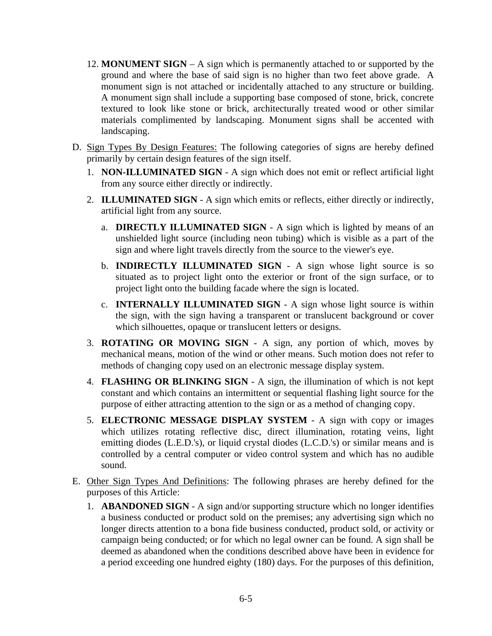- 12. **MONUMENT SIGN** A sign which is permanently attached to or supported by the ground and where the base of said sign is no higher than two feet above grade. A monument sign is not attached or incidentally attached to any structure or building. A monument sign shall include a supporting base composed of stone, brick, concrete textured to look like stone or brick, architecturally treated wood or other similar materials complimented by landscaping. Monument signs shall be accented with landscaping.
- D. Sign Types By Design Features: The following categories of signs are hereby defined primarily by certain design features of the sign itself.
	- 1. **NON-ILLUMINATED SIGN** A sign which does not emit or reflect artificial light from any source either directly or indirectly.
	- 2. **ILLUMINATED SIGN** A sign which emits or reflects, either directly or indirectly, artificial light from any source.
		- a. **DIRECTLY ILLUMINATED SIGN** A sign which is lighted by means of an unshielded light source (including neon tubing) which is visible as a part of the sign and where light travels directly from the source to the viewer's eye.
		- b. **INDIRECTLY ILLUMINATED SIGN** A sign whose light source is so situated as to project light onto the exterior or front of the sign surface, or to project light onto the building facade where the sign is located.
		- c. **INTERNALLY ILLUMINATED SIGN** A sign whose light source is within the sign, with the sign having a transparent or translucent background or cover which silhouettes, opaque or translucent letters or designs.
	- 3. **ROTATING OR MOVING SIGN** A sign, any portion of which, moves by mechanical means, motion of the wind or other means. Such motion does not refer to methods of changing copy used on an electronic message display system.
	- 4. **FLASHING OR BLINKING SIGN** A sign, the illumination of which is not kept constant and which contains an intermittent or sequential flashing light source for the purpose of either attracting attention to the sign or as a method of changing copy.
	- 5. **ELECTRONIC MESSAGE DISPLAY SYSTEM** A sign with copy or images which utilizes rotating reflective disc, direct illumination, rotating veins, light emitting diodes (L.E.D.'s), or liquid crystal diodes (L.C.D.'s) or similar means and is controlled by a central computer or video control system and which has no audible sound.
- E. Other Sign Types And Definitions: The following phrases are hereby defined for the purposes of this Article:
	- 1. **ABANDONED SIGN** A sign and/or supporting structure which no longer identifies a business conducted or product sold on the premises; any advertising sign which no longer directs attention to a bona fide business conducted, product sold, or activity or campaign being conducted; or for which no legal owner can be found. A sign shall be deemed as abandoned when the conditions described above have been in evidence for a period exceeding one hundred eighty (180) days. For the purposes of this definition,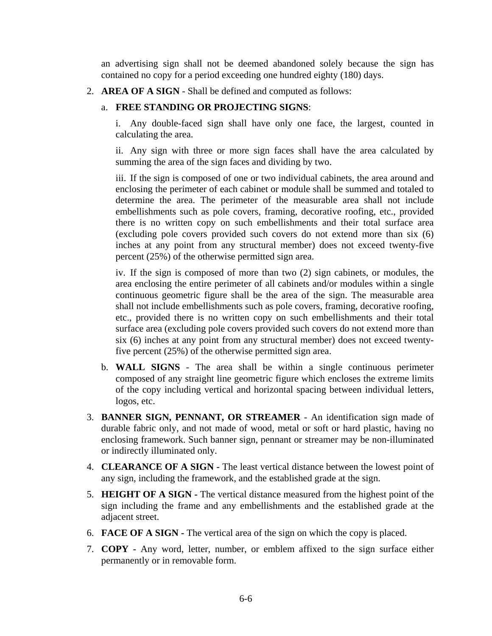an advertising sign shall not be deemed abandoned solely because the sign has contained no copy for a period exceeding one hundred eighty (180) days.

2. **AREA OF A SIGN** - Shall be defined and computed as follows:

### a. **FREE STANDING OR PROJECTING SIGNS**:

i. Any double-faced sign shall have only one face, the largest, counted in calculating the area.

ii. Any sign with three or more sign faces shall have the area calculated by summing the area of the sign faces and dividing by two.

iii. If the sign is composed of one or two individual cabinets, the area around and enclosing the perimeter of each cabinet or module shall be summed and totaled to determine the area. The perimeter of the measurable area shall not include embellishments such as pole covers, framing, decorative roofing, etc., provided there is no written copy on such embellishments and their total surface area (excluding pole covers provided such covers do not extend more than six (6) inches at any point from any structural member) does not exceed twenty-five percent (25%) of the otherwise permitted sign area.

iv. If the sign is composed of more than two (2) sign cabinets, or modules, the area enclosing the entire perimeter of all cabinets and/or modules within a single continuous geometric figure shall be the area of the sign. The measurable area shall not include embellishments such as pole covers, framing, decorative roofing, etc., provided there is no written copy on such embellishments and their total surface area (excluding pole covers provided such covers do not extend more than six (6) inches at any point from any structural member) does not exceed twentyfive percent (25%) of the otherwise permitted sign area.

- b. **WALL SIGNS** The area shall be within a single continuous perimeter composed of any straight line geometric figure which encloses the extreme limits of the copy including vertical and horizontal spacing between individual letters, logos, etc.
- 3. **BANNER SIGN, PENNANT, OR STREAMER** An identification sign made of durable fabric only, and not made of wood, metal or soft or hard plastic, having no enclosing framework. Such banner sign, pennant or streamer may be non-illuminated or indirectly illuminated only.
- 4. **CLEARANCE OF A SIGN -** The least vertical distance between the lowest point of any sign, including the framework, and the established grade at the sign.
- 5. **HEIGHT OF A SIGN -** The vertical distance measured from the highest point of the sign including the frame and any embellishments and the established grade at the adjacent street.
- 6. **FACE OF A SIGN -** The vertical area of the sign on which the copy is placed.
- 7. **COPY -** Any word, letter, number, or emblem affixed to the sign surface either permanently or in removable form.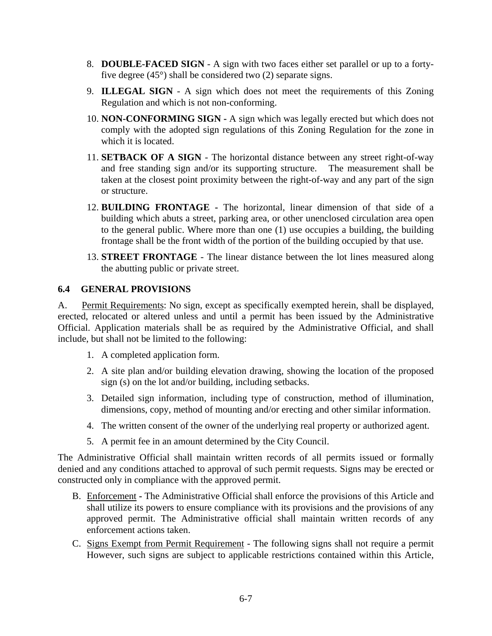- 8. **DOUBLE-FACED SIGN** A sign with two faces either set parallel or up to a fortyfive degree (45°) shall be considered two (2) separate signs.
- 9. **ILLEGAL SIGN** A sign which does not meet the requirements of this Zoning Regulation and which is not non-conforming.
- 10. **NON-CONFORMING SIGN -** A sign which was legally erected but which does not comply with the adopted sign regulations of this Zoning Regulation for the zone in which it is located.
- 11. **SETBACK OF A SIGN** The horizontal distance between any street right-of-way and free standing sign and/or its supporting structure. The measurement shall be taken at the closest point proximity between the right-of-way and any part of the sign or structure.
- 12. **BUILDING FRONTAGE -** The horizontal, linear dimension of that side of a building which abuts a street, parking area, or other unenclosed circulation area open to the general public. Where more than one (1) use occupies a building, the building frontage shall be the front width of the portion of the building occupied by that use.
- 13. **STREET FRONTAGE** The linear distance between the lot lines measured along the abutting public or private street.

### **6.4 GENERAL PROVISIONS**

A. Permit Requirements: No sign, except as specifically exempted herein, shall be displayed, erected, relocated or altered unless and until a permit has been issued by the Administrative Official. Application materials shall be as required by the Administrative Official, and shall include, but shall not be limited to the following:

- 1. A completed application form.
- 2. A site plan and/or building elevation drawing, showing the location of the proposed sign (s) on the lot and/or building, including setbacks.
- 3. Detailed sign information, including type of construction, method of illumination, dimensions, copy, method of mounting and/or erecting and other similar information.
- 4. The written consent of the owner of the underlying real property or authorized agent.
- 5. A permit fee in an amount determined by the City Council.

The Administrative Official shall maintain written records of all permits issued or formally denied and any conditions attached to approval of such permit requests. Signs may be erected or constructed only in compliance with the approved permit.

- B. Enforcement **-** The Administrative Official shall enforce the provisions of this Article and shall utilize its powers to ensure compliance with its provisions and the provisions of any approved permit. The Administrative official shall maintain written records of any enforcement actions taken.
- C. Signs Exempt from Permit Requirement The following signs shall not require a permit However, such signs are subject to applicable restrictions contained within this Article,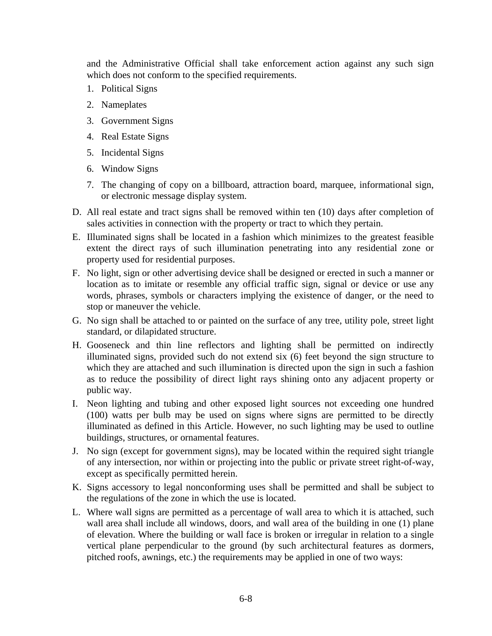and the Administrative Official shall take enforcement action against any such sign which does not conform to the specified requirements.

- 1. Political Signs
- 2. Nameplates
- 3. Government Signs
- 4. Real Estate Signs
- 5. Incidental Signs
- 6. Window Signs
- 7. The changing of copy on a billboard, attraction board, marquee, informational sign, or electronic message display system.
- D. All real estate and tract signs shall be removed within ten (10) days after completion of sales activities in connection with the property or tract to which they pertain.
- E. Illuminated signs shall be located in a fashion which minimizes to the greatest feasible extent the direct rays of such illumination penetrating into any residential zone or property used for residential purposes.
- F. No light, sign or other advertising device shall be designed or erected in such a manner or location as to imitate or resemble any official traffic sign, signal or device or use any words, phrases, symbols or characters implying the existence of danger, or the need to stop or maneuver the vehicle.
- G. No sign shall be attached to or painted on the surface of any tree, utility pole, street light standard, or dilapidated structure.
- H. Gooseneck and thin line reflectors and lighting shall be permitted on indirectly illuminated signs, provided such do not extend six (6) feet beyond the sign structure to which they are attached and such illumination is directed upon the sign in such a fashion as to reduce the possibility of direct light rays shining onto any adjacent property or public way.
- I. Neon lighting and tubing and other exposed light sources not exceeding one hundred (100) watts per bulb may be used on signs where signs are permitted to be directly illuminated as defined in this Article. However, no such lighting may be used to outline buildings, structures, or ornamental features.
- J. No sign (except for government signs), may be located within the required sight triangle of any intersection, nor within or projecting into the public or private street right-of-way, except as specifically permitted herein.
- K. Signs accessory to legal nonconforming uses shall be permitted and shall be subject to the regulations of the zone in which the use is located.
- L. Where wall signs are permitted as a percentage of wall area to which it is attached, such wall area shall include all windows, doors, and wall area of the building in one (1) plane of elevation. Where the building or wall face is broken or irregular in relation to a single vertical plane perpendicular to the ground (by such architectural features as dormers, pitched roofs, awnings, etc.) the requirements may be applied in one of two ways: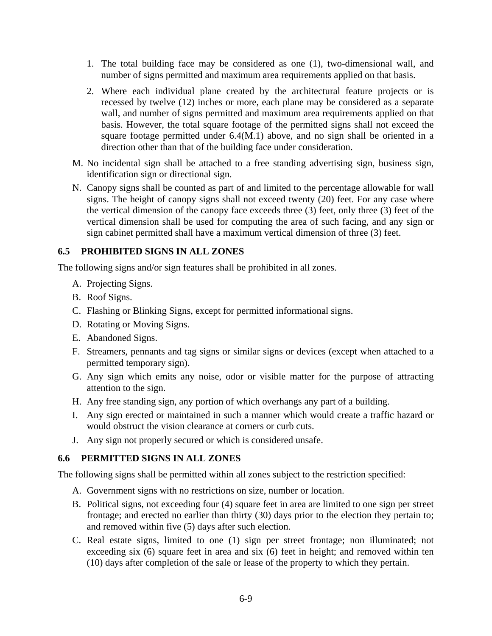- 1. The total building face may be considered as one (1), two-dimensional wall, and number of signs permitted and maximum area requirements applied on that basis.
- 2. Where each individual plane created by the architectural feature projects or is recessed by twelve (12) inches or more, each plane may be considered as a separate wall, and number of signs permitted and maximum area requirements applied on that basis. However, the total square footage of the permitted signs shall not exceed the square footage permitted under 6.4(M.1) above, and no sign shall be oriented in a direction other than that of the building face under consideration.
- M. No incidental sign shall be attached to a free standing advertising sign, business sign, identification sign or directional sign.
- N. Canopy signs shall be counted as part of and limited to the percentage allowable for wall signs. The height of canopy signs shall not exceed twenty (20) feet. For any case where the vertical dimension of the canopy face exceeds three (3) feet, only three (3) feet of the vertical dimension shall be used for computing the area of such facing, and any sign or sign cabinet permitted shall have a maximum vertical dimension of three (3) feet.

### **6.5 PROHIBITED SIGNS IN ALL ZONES**

The following signs and/or sign features shall be prohibited in all zones.

- A. Projecting Signs.
- B. Roof Signs.
- C. Flashing or Blinking Signs, except for permitted informational signs.
- D. Rotating or Moving Signs.
- E. Abandoned Signs.
- F. Streamers, pennants and tag signs or similar signs or devices (except when attached to a permitted temporary sign).
- G. Any sign which emits any noise, odor or visible matter for the purpose of attracting attention to the sign.
- H. Any free standing sign, any portion of which overhangs any part of a building.
- I. Any sign erected or maintained in such a manner which would create a traffic hazard or would obstruct the vision clearance at corners or curb cuts.
- J. Any sign not properly secured or which is considered unsafe.

### **6.6 PERMITTED SIGNS IN ALL ZONES**

The following signs shall be permitted within all zones subject to the restriction specified:

- A. Government signs with no restrictions on size, number or location.
- B. Political signs, not exceeding four (4) square feet in area are limited to one sign per street frontage; and erected no earlier than thirty (30) days prior to the election they pertain to; and removed within five (5) days after such election.
- C. Real estate signs, limited to one (1) sign per street frontage; non illuminated; not exceeding six (6) square feet in area and six (6) feet in height; and removed within ten (10) days after completion of the sale or lease of the property to which they pertain.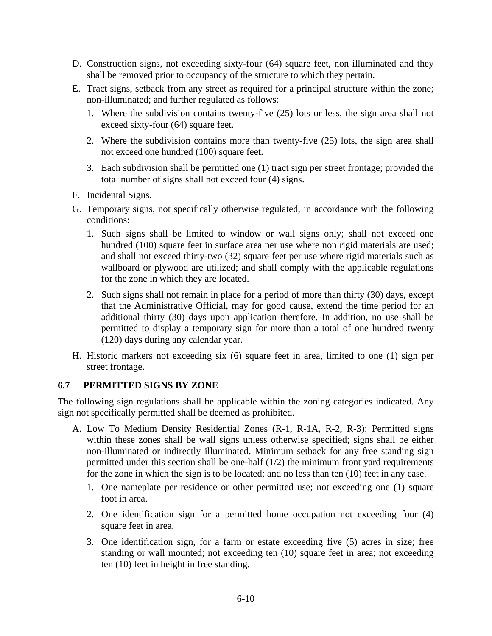- D. Construction signs, not exceeding sixty-four (64) square feet, non illuminated and they shall be removed prior to occupancy of the structure to which they pertain.
- E. Tract signs, setback from any street as required for a principal structure within the zone; non-illuminated; and further regulated as follows:
	- 1. Where the subdivision contains twenty-five (25) lots or less, the sign area shall not exceed sixty-four (64) square feet.
	- 2. Where the subdivision contains more than twenty-five (25) lots, the sign area shall not exceed one hundred (100) square feet.
	- 3. Each subdivision shall be permitted one (1) tract sign per street frontage; provided the total number of signs shall not exceed four (4) signs.
- F. Incidental Signs.
- G. Temporary signs, not specifically otherwise regulated, in accordance with the following conditions:
	- 1. Such signs shall be limited to window or wall signs only; shall not exceed one hundred (100) square feet in surface area per use where non rigid materials are used; and shall not exceed thirty-two (32) square feet per use where rigid materials such as wallboard or plywood are utilized; and shall comply with the applicable regulations for the zone in which they are located.
	- 2. Such signs shall not remain in place for a period of more than thirty (30) days, except that the Administrative Official, may for good cause, extend the time period for an additional thirty (30) days upon application therefore. In addition, no use shall be permitted to display a temporary sign for more than a total of one hundred twenty (120) days during any calendar year.
- H. Historic markers not exceeding six (6) square feet in area, limited to one (1) sign per street frontage.

# **6.7 PERMITTED SIGNS BY ZONE**

The following sign regulations shall be applicable within the zoning categories indicated. Any sign not specifically permitted shall be deemed as prohibited.

- A. Low To Medium Density Residential Zones (R-1, R-1A, R-2, R-3): Permitted signs within these zones shall be wall signs unless otherwise specified; signs shall be either non-illuminated or indirectly illuminated. Minimum setback for any free standing sign permitted under this section shall be one-half  $(1/2)$  the minimum front yard requirements for the zone in which the sign is to be located; and no less than ten (10) feet in any case.
	- 1. One nameplate per residence or other permitted use; not exceeding one (1) square foot in area.
	- 2. One identification sign for a permitted home occupation not exceeding four (4) square feet in area.
	- 3. One identification sign, for a farm or estate exceeding five (5) acres in size; free standing or wall mounted; not exceeding ten (10) square feet in area; not exceeding ten (10) feet in height in free standing.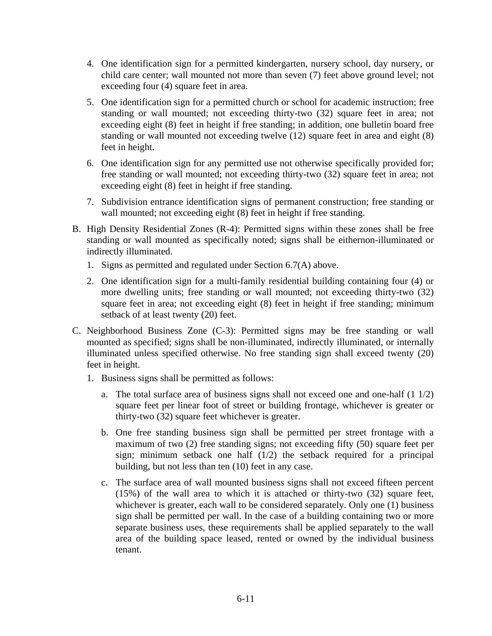- 4. One identification sign for a permitted kindergarten, nursery school, day nursery, or child care center; wall mounted not more than seven (7) feet above ground level; not exceeding four (4) square feet in area.
- 5. One identification sign for a permitted church or school for academic instruction; free standing or wall mounted; not exceeding thirty-two (32) square feet in area; not exceeding eight (8) feet in height if free standing; in addition, one bulletin board free standing or wall mounted not exceeding twelve (12) square feet in area and eight (8) feet in height.
- 6. One identification sign for any permitted use not otherwise specifically provided for; free standing or wall mounted; not exceeding thirty-two (32) square feet in area; not exceeding eight (8) feet in height if free standing.
- 7. Subdivision entrance identification signs of permanent construction; free standing or wall mounted; not exceeding eight (8) feet in height if free standing.
- B. High Density Residential Zones (R-4): Permitted signs within these zones shall be free standing or wall mounted as specifically noted; signs shall be eithernon-illuminated or indirectly illuminated.
	- 1. Signs as permitted and regulated under Section 6.7(A) above.
	- 2. One identification sign for a multi-family residential building containing four (4) or more dwelling units; free standing or wall mounted; not exceeding thirty-two (32) square feet in area; not exceeding eight (8) feet in height if free standing; minimum setback of at least twenty (20) feet.
- C. Neighborhood Business Zone (C-3): Permitted signs may be free standing or wall mounted as specified; signs shall be non-illuminated, indirectly illuminated, or internally illuminated unless specified otherwise. No free standing sign shall exceed twenty (20) feet in height.
	- 1. Business signs shall be permitted as follows:
		- a. The total surface area of business signs shall not exceed one and one-half (1 1/2) square feet per linear foot of street or building frontage, whichever is greater or thirty-two (32) square feet whichever is greater.
		- b. One free standing business sign shall be permitted per street frontage with a maximum of two (2) free standing signs; not exceeding fifty (50) square feet per sign; minimum setback one half  $(1/2)$  the setback required for a principal building, but not less than ten (10) feet in any case.
		- c. The surface area of wall mounted business signs shall not exceed fifteen percent (15%) of the wall area to which it is attached or thirty-two (32) square feet, whichever is greater, each wall to be considered separately. Only one (1) business sign shall be permitted per wall. In the case of a building containing two or more separate business uses, these requirements shall be applied separately to the wall area of the building space leased, rented or owned by the individual business tenant.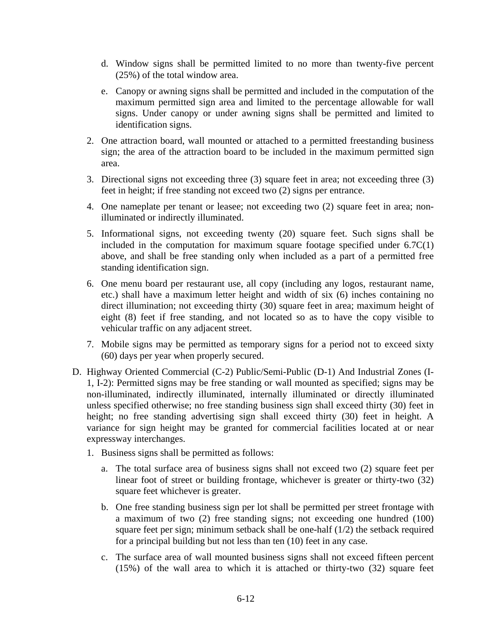- d. Window signs shall be permitted limited to no more than twenty-five percent (25%) of the total window area.
- e. Canopy or awning signs shall be permitted and included in the computation of the maximum permitted sign area and limited to the percentage allowable for wall signs. Under canopy or under awning signs shall be permitted and limited to identification signs.
- 2. One attraction board, wall mounted or attached to a permitted freestanding business sign; the area of the attraction board to be included in the maximum permitted sign area.
- 3. Directional signs not exceeding three (3) square feet in area; not exceeding three (3) feet in height; if free standing not exceed two (2) signs per entrance.
- 4. One nameplate per tenant or leasee; not exceeding two (2) square feet in area; nonilluminated or indirectly illuminated.
- 5. Informational signs, not exceeding twenty (20) square feet. Such signs shall be included in the computation for maximum square footage specified under  $6.7C(1)$ above, and shall be free standing only when included as a part of a permitted free standing identification sign.
- 6. One menu board per restaurant use, all copy (including any logos, restaurant name, etc.) shall have a maximum letter height and width of six (6) inches containing no direct illumination; not exceeding thirty (30) square feet in area; maximum height of eight (8) feet if free standing, and not located so as to have the copy visible to vehicular traffic on any adjacent street.
- 7. Mobile signs may be permitted as temporary signs for a period not to exceed sixty (60) days per year when properly secured.
- D. Highway Oriented Commercial (C-2) Public/Semi-Public (D-1) And Industrial Zones (I-1, I-2): Permitted signs may be free standing or wall mounted as specified; signs may be non-illuminated, indirectly illuminated, internally illuminated or directly illuminated unless specified otherwise; no free standing business sign shall exceed thirty (30) feet in height; no free standing advertising sign shall exceed thirty (30) feet in height. A variance for sign height may be granted for commercial facilities located at or near expressway interchanges.
	- 1. Business signs shall be permitted as follows:
		- a. The total surface area of business signs shall not exceed two (2) square feet per linear foot of street or building frontage, whichever is greater or thirty-two (32) square feet whichever is greater.
		- b. One free standing business sign per lot shall be permitted per street frontage with a maximum of two (2) free standing signs; not exceeding one hundred (100) square feet per sign; minimum setback shall be one-half  $(1/2)$  the setback required for a principal building but not less than ten (10) feet in any case.
		- c. The surface area of wall mounted business signs shall not exceed fifteen percent (15%) of the wall area to which it is attached or thirty-two (32) square feet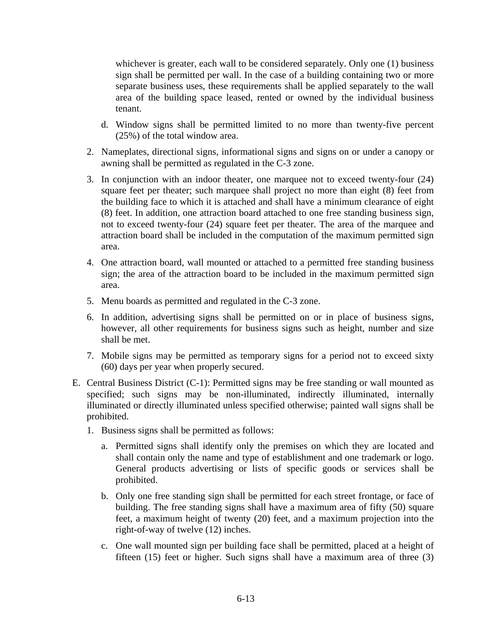whichever is greater, each wall to be considered separately. Only one (1) business sign shall be permitted per wall. In the case of a building containing two or more separate business uses, these requirements shall be applied separately to the wall area of the building space leased, rented or owned by the individual business tenant.

- d. Window signs shall be permitted limited to no more than twenty-five percent (25%) of the total window area.
- 2. Nameplates, directional signs, informational signs and signs on or under a canopy or awning shall be permitted as regulated in the C-3 zone.
- 3. In conjunction with an indoor theater, one marquee not to exceed twenty-four (24) square feet per theater; such marquee shall project no more than eight (8) feet from the building face to which it is attached and shall have a minimum clearance of eight (8) feet. In addition, one attraction board attached to one free standing business sign, not to exceed twenty-four (24) square feet per theater. The area of the marquee and attraction board shall be included in the computation of the maximum permitted sign area.
- 4. One attraction board, wall mounted or attached to a permitted free standing business sign; the area of the attraction board to be included in the maximum permitted sign area.
- 5. Menu boards as permitted and regulated in the C-3 zone.
- 6. In addition, advertising signs shall be permitted on or in place of business signs, however, all other requirements for business signs such as height, number and size shall be met.
- 7. Mobile signs may be permitted as temporary signs for a period not to exceed sixty (60) days per year when properly secured.
- E. Central Business District (C-1): Permitted signs may be free standing or wall mounted as specified; such signs may be non-illuminated, indirectly illuminated, internally illuminated or directly illuminated unless specified otherwise; painted wall signs shall be prohibited.
	- 1. Business signs shall be permitted as follows:
		- a. Permitted signs shall identify only the premises on which they are located and shall contain only the name and type of establishment and one trademark or logo. General products advertising or lists of specific goods or services shall be prohibited.
		- b. Only one free standing sign shall be permitted for each street frontage, or face of building. The free standing signs shall have a maximum area of fifty (50) square feet, a maximum height of twenty (20) feet, and a maximum projection into the right-of-way of twelve (12) inches.
		- c. One wall mounted sign per building face shall be permitted, placed at a height of fifteen (15) feet or higher. Such signs shall have a maximum area of three (3)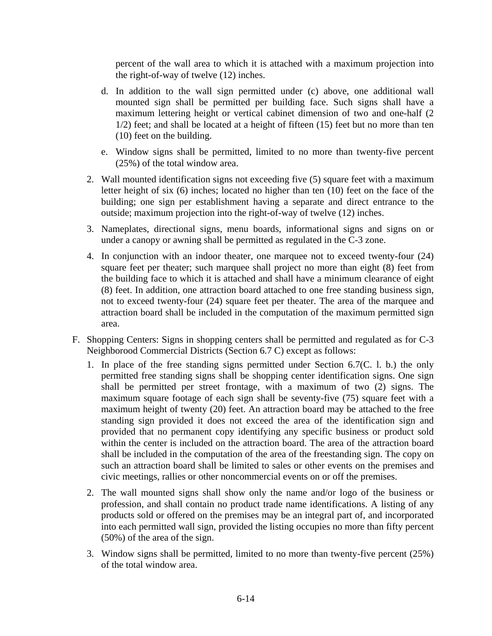percent of the wall area to which it is attached with a maximum projection into the right-of-way of twelve (12) inches.

- d. In addition to the wall sign permitted under (c) above, one additional wall mounted sign shall be permitted per building face. Such signs shall have a maximum lettering height or vertical cabinet dimension of two and one-half (2 1/2) feet; and shall be located at a height of fifteen (15) feet but no more than ten (10) feet on the building.
- e. Window signs shall be permitted, limited to no more than twenty-five percent (25%) of the total window area.
- 2. Wall mounted identification signs not exceeding five (5) square feet with a maximum letter height of six (6) inches; located no higher than ten (10) feet on the face of the building; one sign per establishment having a separate and direct entrance to the outside; maximum projection into the right-of-way of twelve (12) inches.
- 3. Nameplates, directional signs, menu boards, informational signs and signs on or under a canopy or awning shall be permitted as regulated in the C-3 zone.
- 4. In conjunction with an indoor theater, one marquee not to exceed twenty-four (24) square feet per theater; such marquee shall project no more than eight (8) feet from the building face to which it is attached and shall have a minimum clearance of eight (8) feet. In addition, one attraction board attached to one free standing business sign, not to exceed twenty-four (24) square feet per theater. The area of the marquee and attraction board shall be included in the computation of the maximum permitted sign area.
- F. Shopping Centers: Signs in shopping centers shall be permitted and regulated as for C-3 Neighborood Commercial Districts (Section 6.7 C) except as follows:
	- 1. In place of the free standing signs permitted under Section 6.7(C. l. b.) the only permitted free standing signs shall be shopping center identification signs. One sign shall be permitted per street frontage, with a maximum of two (2) signs. The maximum square footage of each sign shall be seventy-five (75) square feet with a maximum height of twenty (20) feet. An attraction board may be attached to the free standing sign provided it does not exceed the area of the identification sign and provided that no permanent copy identifying any specific business or product sold within the center is included on the attraction board. The area of the attraction board shall be included in the computation of the area of the freestanding sign. The copy on such an attraction board shall be limited to sales or other events on the premises and civic meetings, rallies or other noncommercial events on or off the premises.
	- 2. The wall mounted signs shall show only the name and/or logo of the business or profession, and shall contain no product trade name identifications. A listing of any products sold or offered on the premises may be an integral part of, and incorporated into each permitted wall sign, provided the listing occupies no more than fifty percent (50%) of the area of the sign.
	- 3. Window signs shall be permitted, limited to no more than twenty-five percent (25%) of the total window area.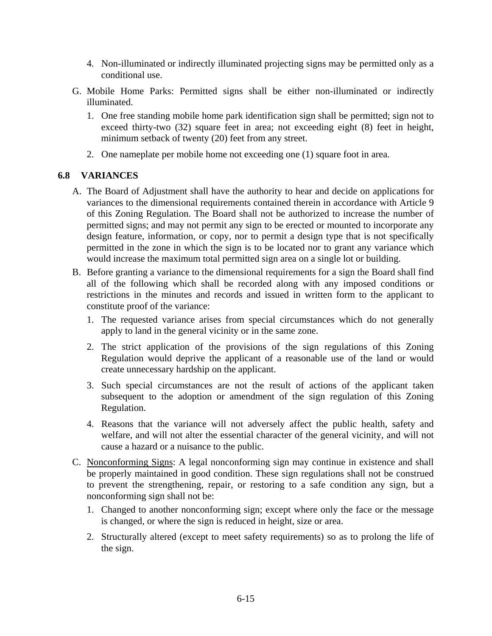- 4. Non-illuminated or indirectly illuminated projecting signs may be permitted only as a conditional use.
- G. Mobile Home Parks: Permitted signs shall be either non-illuminated or indirectly illuminated.
	- 1. One free standing mobile home park identification sign shall be permitted; sign not to exceed thirty-two (32) square feet in area; not exceeding eight (8) feet in height, minimum setback of twenty (20) feet from any street.
	- 2. One nameplate per mobile home not exceeding one (1) square foot in area.

### **6.8 VARIANCES**

- A. The Board of Adjustment shall have the authority to hear and decide on applications for variances to the dimensional requirements contained therein in accordance with Article 9 of this Zoning Regulation. The Board shall not be authorized to increase the number of permitted signs; and may not permit any sign to be erected or mounted to incorporate any design feature, information, or copy, nor to permit a design type that is not specifically permitted in the zone in which the sign is to be located nor to grant any variance which would increase the maximum total permitted sign area on a single lot or building.
- B. Before granting a variance to the dimensional requirements for a sign the Board shall find all of the following which shall be recorded along with any imposed conditions or restrictions in the minutes and records and issued in written form to the applicant to constitute proof of the variance:
	- 1. The requested variance arises from special circumstances which do not generally apply to land in the general vicinity or in the same zone.
	- 2. The strict application of the provisions of the sign regulations of this Zoning Regulation would deprive the applicant of a reasonable use of the land or would create unnecessary hardship on the applicant.
	- 3. Such special circumstances are not the result of actions of the applicant taken subsequent to the adoption or amendment of the sign regulation of this Zoning Regulation.
	- 4. Reasons that the variance will not adversely affect the public health, safety and welfare, and will not alter the essential character of the general vicinity, and will not cause a hazard or a nuisance to the public.
- C. Nonconforming Signs: A legal nonconforming sign may continue in existence and shall be properly maintained in good condition. These sign regulations shall not be construed to prevent the strengthening, repair, or restoring to a safe condition any sign, but a nonconforming sign shall not be:
	- 1. Changed to another nonconforming sign; except where only the face or the message is changed, or where the sign is reduced in height, size or area.
	- 2. Structurally altered (except to meet safety requirements) so as to prolong the life of the sign.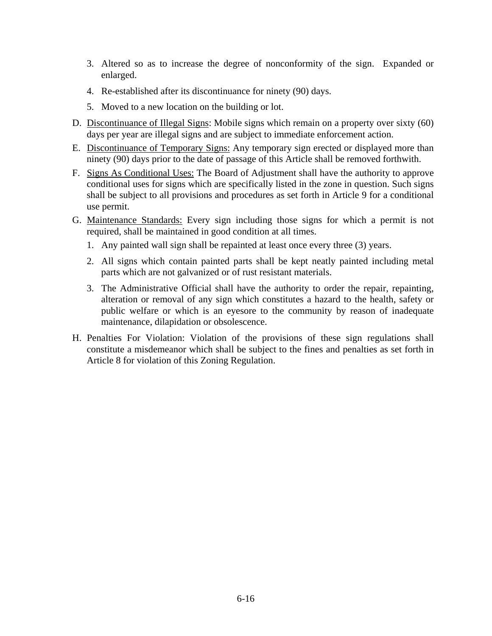- 3. Altered so as to increase the degree of nonconformity of the sign. Expanded or enlarged.
- 4. Re-established after its discontinuance for ninety (90) days.
- 5. Moved to a new location on the building or lot.
- D. Discontinuance of Illegal Signs: Mobile signs which remain on a property over sixty (60) days per year are illegal signs and are subject to immediate enforcement action.
- E. Discontinuance of Temporary Signs: Any temporary sign erected or displayed more than ninety (90) days prior to the date of passage of this Article shall be removed forthwith.
- F. Signs As Conditional Uses: The Board of Adjustment shall have the authority to approve conditional uses for signs which are specifically listed in the zone in question. Such signs shall be subject to all provisions and procedures as set forth in Article 9 for a conditional use permit.
- G. Maintenance Standards: Every sign including those signs for which a permit is not required, shall be maintained in good condition at all times.
	- 1. Any painted wall sign shall be repainted at least once every three (3) years.
	- 2. All signs which contain painted parts shall be kept neatly painted including metal parts which are not galvanized or of rust resistant materials.
	- 3. The Administrative Official shall have the authority to order the repair, repainting, alteration or removal of any sign which constitutes a hazard to the health, safety or public welfare or which is an eyesore to the community by reason of inadequate maintenance, dilapidation or obsolescence.
- H. Penalties For Violation: Violation of the provisions of these sign regulations shall constitute a misdemeanor which shall be subject to the fines and penalties as set forth in Article 8 for violation of this Zoning Regulation.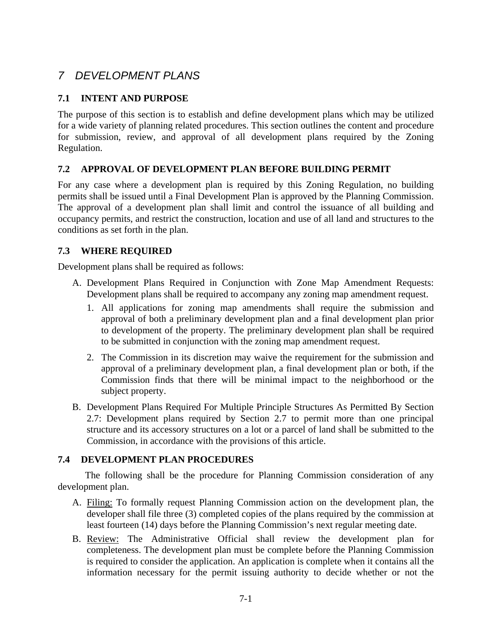# *7 DEVELOPMENT PLANS*

# **7.1 INTENT AND PURPOSE**

The purpose of this section is to establish and define development plans which may be utilized for a wide variety of planning related procedures. This section outlines the content and procedure for submission, review, and approval of all development plans required by the Zoning Regulation.

### **7.2 APPROVAL OF DEVELOPMENT PLAN BEFORE BUILDING PERMIT**

For any case where a development plan is required by this Zoning Regulation, no building permits shall be issued until a Final Development Plan is approved by the Planning Commission. The approval of a development plan shall limit and control the issuance of all building and occupancy permits, and restrict the construction, location and use of all land and structures to the conditions as set forth in the plan.

### **7.3 WHERE REQUIRED**

Development plans shall be required as follows:

- A. Development Plans Required in Conjunction with Zone Map Amendment Requests: Development plans shall be required to accompany any zoning map amendment request.
	- 1. All applications for zoning map amendments shall require the submission and approval of both a preliminary development plan and a final development plan prior to development of the property. The preliminary development plan shall be required to be submitted in conjunction with the zoning map amendment request.
	- 2. The Commission in its discretion may waive the requirement for the submission and approval of a preliminary development plan, a final development plan or both, if the Commission finds that there will be minimal impact to the neighborhood or the subject property.
- B. Development Plans Required For Multiple Principle Structures As Permitted By Section 2.7: Development plans required by Section 2.7 to permit more than one principal structure and its accessory structures on a lot or a parcel of land shall be submitted to the Commission, in accordance with the provisions of this article.

# **7.4 DEVELOPMENT PLAN PROCEDURES**

 The following shall be the procedure for Planning Commission consideration of any development plan.

- A. Filing: To formally request Planning Commission action on the development plan, the developer shall file three (3) completed copies of the plans required by the commission at least fourteen (14) days before the Planning Commission's next regular meeting date.
- B. Review: The Administrative Official shall review the development plan for completeness. The development plan must be complete before the Planning Commission is required to consider the application. An application is complete when it contains all the information necessary for the permit issuing authority to decide whether or not the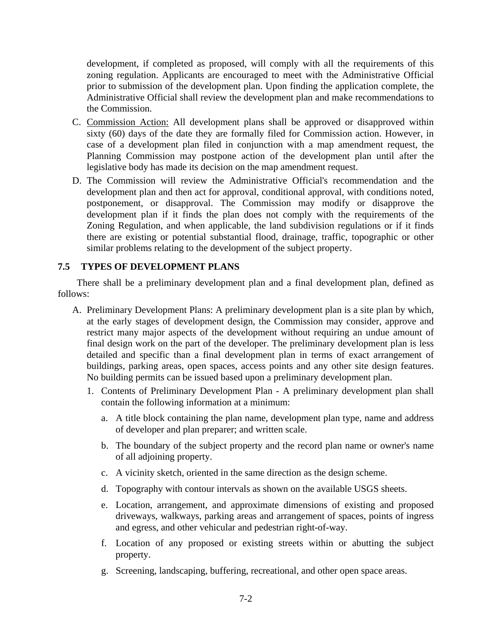development, if completed as proposed, will comply with all the requirements of this zoning regulation. Applicants are encouraged to meet with the Administrative Official prior to submission of the development plan. Upon finding the application complete, the Administrative Official shall review the development plan and make recommendations to the Commission.

- C. Commission Action: All development plans shall be approved or disapproved within sixty (60) days of the date they are formally filed for Commission action. However, in case of a development plan filed in conjunction with a map amendment request, the Planning Commission may postpone action of the development plan until after the legislative body has made its decision on the map amendment request.
- D. The Commission will review the Administrative Official's recommendation and the development plan and then act for approval, conditional approval, with conditions noted, postponement, or disapproval. The Commission may modify or disapprove the development plan if it finds the plan does not comply with the requirements of the Zoning Regulation, and when applicable, the land subdivision regulations or if it finds there are existing or potential substantial flood, drainage, traffic, topographic or other similar problems relating to the development of the subject property.

### **7.5 TYPES OF DEVELOPMENT PLANS**

 There shall be a preliminary development plan and a final development plan, defined as follows:

- A. Preliminary Development Plans: A preliminary development plan is a site plan by which, at the early stages of development design, the Commission may consider, approve and restrict many major aspects of the development without requiring an undue amount of final design work on the part of the developer. The preliminary development plan is less detailed and specific than a final development plan in terms of exact arrangement of buildings, parking areas, open spaces, access points and any other site design features. No building permits can be issued based upon a preliminary development plan.
	- 1. Contents of Preliminary Development Plan A preliminary development plan shall contain the following information at a minimum:
		- a. A title block containing the plan name, development plan type, name and address of developer and plan preparer; and written scale.
		- b. The boundary of the subject property and the record plan name or owner's name of all adjoining property.
		- c. A vicinity sketch, oriented in the same direction as the design scheme.
		- d. Topography with contour intervals as shown on the available USGS sheets.
		- e. Location, arrangement, and approximate dimensions of existing and proposed driveways, walkways, parking areas and arrangement of spaces, points of ingress and egress, and other vehicular and pedestrian right-of-way.
		- f. Location of any proposed or existing streets within or abutting the subject property.
		- g. Screening, landscaping, buffering, recreational, and other open space areas.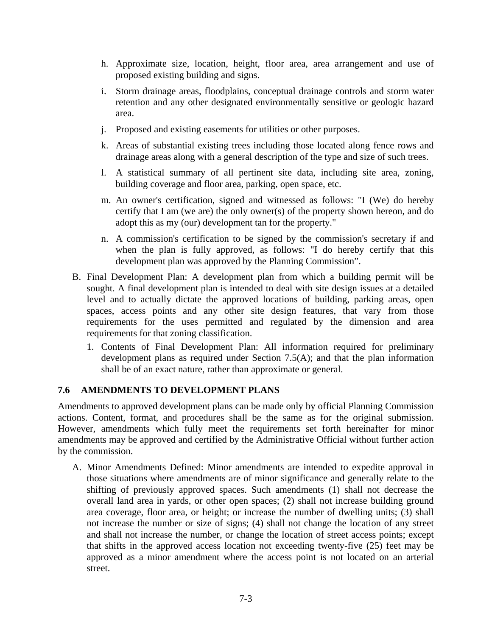- h. Approximate size, location, height, floor area, area arrangement and use of proposed existing building and signs.
- i. Storm drainage areas, floodplains, conceptual drainage controls and storm water retention and any other designated environmentally sensitive or geologic hazard area.
- j. Proposed and existing easements for utilities or other purposes.
- k. Areas of substantial existing trees including those located along fence rows and drainage areas along with a general description of the type and size of such trees.
- l. A statistical summary of all pertinent site data, including site area, zoning, building coverage and floor area, parking, open space, etc.
- m. An owner's certification, signed and witnessed as follows: "I (We) do hereby certify that I am (we are) the only owner(s) of the property shown hereon, and do adopt this as my (our) development tan for the property."
- n. A commission's certification to be signed by the commission's secretary if and when the plan is fully approved, as follows: "I do hereby certify that this development plan was approved by the Planning Commission".
- B. Final Development Plan: A development plan from which a building permit will be sought. A final development plan is intended to deal with site design issues at a detailed level and to actually dictate the approved locations of building, parking areas, open spaces, access points and any other site design features, that vary from those requirements for the uses permitted and regulated by the dimension and area requirements for that zoning classification.
	- 1. Contents of Final Development Plan: All information required for preliminary development plans as required under Section 7.5(A); and that the plan information shall be of an exact nature, rather than approximate or general.

## **7.6 AMENDMENTS TO DEVELOPMENT PLANS**

Amendments to approved development plans can be made only by official Planning Commission actions. Content, format, and procedures shall be the same as for the original submission. However, amendments which fully meet the requirements set forth hereinafter for minor amendments may be approved and certified by the Administrative Official without further action by the commission.

A. Minor Amendments Defined: Minor amendments are intended to expedite approval in those situations where amendments are of minor significance and generally relate to the shifting of previously approved spaces. Such amendments (1) shall not decrease the overall land area in yards, or other open spaces; (2) shall not increase building ground area coverage, floor area, or height; or increase the number of dwelling units; (3) shall not increase the number or size of signs; (4) shall not change the location of any street and shall not increase the number, or change the location of street access points; except that shifts in the approved access location not exceeding twenty-five (25) feet may be approved as a minor amendment where the access point is not located on an arterial street.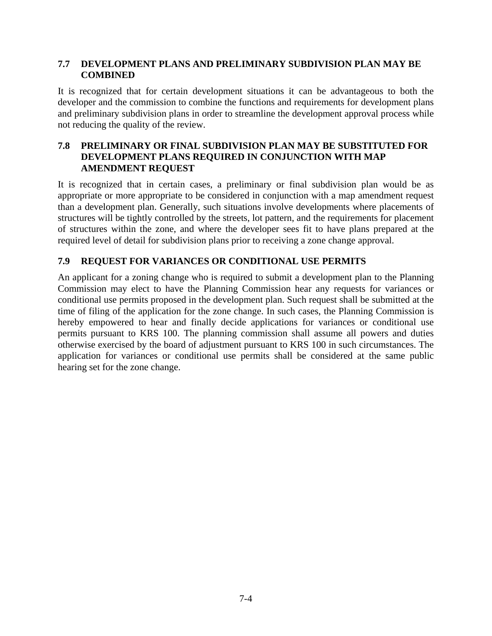### **7.7 DEVELOPMENT PLANS AND PRELIMINARY SUBDIVISION PLAN MAY BE COMBINED**

It is recognized that for certain development situations it can be advantageous to both the developer and the commission to combine the functions and requirements for development plans and preliminary subdivision plans in order to streamline the development approval process while not reducing the quality of the review.

### **7.8 PRELIMINARY OR FINAL SUBDIVISION PLAN MAY BE SUBSTITUTED FOR DEVELOPMENT PLANS REQUIRED IN CONJUNCTION WITH MAP AMENDMENT REQUEST**

It is recognized that in certain cases, a preliminary or final subdivision plan would be as appropriate or more appropriate to be considered in conjunction with a map amendment request than a development plan. Generally, such situations involve developments where placements of structures will be tightly controlled by the streets, lot pattern, and the requirements for placement of structures within the zone, and where the developer sees fit to have plans prepared at the required level of detail for subdivision plans prior to receiving a zone change approval.

## **7.9 REQUEST FOR VARIANCES OR CONDITIONAL USE PERMITS**

An applicant for a zoning change who is required to submit a development plan to the Planning Commission may elect to have the Planning Commission hear any requests for variances or conditional use permits proposed in the development plan. Such request shall be submitted at the time of filing of the application for the zone change. In such cases, the Planning Commission is hereby empowered to hear and finally decide applications for variances or conditional use permits pursuant to KRS 100. The planning commission shall assume all powers and duties otherwise exercised by the board of adjustment pursuant to KRS 100 in such circumstances. The application for variances or conditional use permits shall be considered at the same public hearing set for the zone change.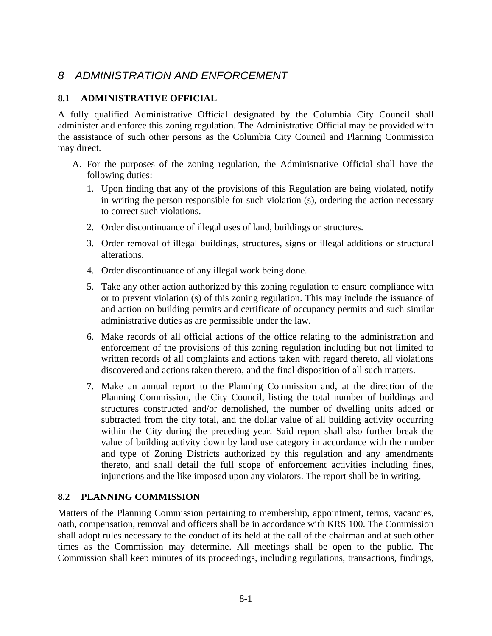# *8 ADMINISTRATION AND ENFORCEMENT*

### **8.1 ADMINISTRATIVE OFFICIAL**

A fully qualified Administrative Official designated by the Columbia City Council shall administer and enforce this zoning regulation. The Administrative Official may be provided with the assistance of such other persons as the Columbia City Council and Planning Commission may direct.

- A. For the purposes of the zoning regulation, the Administrative Official shall have the following duties:
	- 1. Upon finding that any of the provisions of this Regulation are being violated, notify in writing the person responsible for such violation (s), ordering the action necessary to correct such violations.
	- 2. Order discontinuance of illegal uses of land, buildings or structures.
	- 3. Order removal of illegal buildings, structures, signs or illegal additions or structural alterations.
	- 4. Order discontinuance of any illegal work being done.
	- 5. Take any other action authorized by this zoning regulation to ensure compliance with or to prevent violation (s) of this zoning regulation. This may include the issuance of and action on building permits and certificate of occupancy permits and such similar administrative duties as are permissible under the law.
	- 6. Make records of all official actions of the office relating to the administration and enforcement of the provisions of this zoning regulation including but not limited to written records of all complaints and actions taken with regard thereto, all violations discovered and actions taken thereto, and the final disposition of all such matters.
	- 7. Make an annual report to the Planning Commission and, at the direction of the Planning Commission, the City Council, listing the total number of buildings and structures constructed and/or demolished, the number of dwelling units added or subtracted from the city total, and the dollar value of all building activity occurring within the City during the preceding year. Said report shall also further break the value of building activity down by land use category in accordance with the number and type of Zoning Districts authorized by this regulation and any amendments thereto, and shall detail the full scope of enforcement activities including fines, injunctions and the like imposed upon any violators. The report shall be in writing.

## **8.2 PLANNING COMMISSION**

Matters of the Planning Commission pertaining to membership, appointment, terms, vacancies, oath, compensation, removal and officers shall be in accordance with KRS 100. The Commission shall adopt rules necessary to the conduct of its held at the call of the chairman and at such other times as the Commission may determine. All meetings shall be open to the public. The Commission shall keep minutes of its proceedings, including regulations, transactions, findings,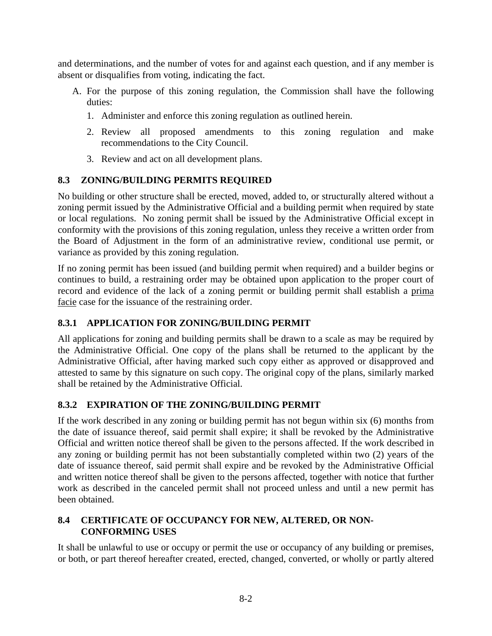and determinations, and the number of votes for and against each question, and if any member is absent or disqualifies from voting, indicating the fact.

- A. For the purpose of this zoning regulation, the Commission shall have the following duties:
	- 1. Administer and enforce this zoning regulation as outlined herein.
	- 2. Review all proposed amendments to this zoning regulation and make recommendations to the City Council.
	- 3. Review and act on all development plans.

## **8.3 ZONING/BUILDING PERMITS REQUIRED**

No building or other structure shall be erected, moved, added to, or structurally altered without a zoning permit issued by the Administrative Official and a building permit when required by state or local regulations. No zoning permit shall be issued by the Administrative Official except in conformity with the provisions of this zoning regulation, unless they receive a written order from the Board of Adjustment in the form of an administrative review, conditional use permit, or variance as provided by this zoning regulation.

If no zoning permit has been issued (and building permit when required) and a builder begins or continues to build, a restraining order may be obtained upon application to the proper court of record and evidence of the lack of a zoning permit or building permit shall establish a prima facie case for the issuance of the restraining order.

## **8.3.1 APPLICATION FOR ZONING/BUILDING PERMIT**

All applications for zoning and building permits shall be drawn to a scale as may be required by the Administrative Official. One copy of the plans shall be returned to the applicant by the Administrative Official, after having marked such copy either as approved or disapproved and attested to same by this signature on such copy. The original copy of the plans, similarly marked shall be retained by the Administrative Official.

## **8.3.2 EXPIRATION OF THE ZONING/BUILDING PERMIT**

If the work described in any zoning or building permit has not begun within six (6) months from the date of issuance thereof, said permit shall expire; it shall be revoked by the Administrative Official and written notice thereof shall be given to the persons affected. If the work described in any zoning or building permit has not been substantially completed within two (2) years of the date of issuance thereof, said permit shall expire and be revoked by the Administrative Official and written notice thereof shall be given to the persons affected, together with notice that further work as described in the canceled permit shall not proceed unless and until a new permit has been obtained.

## **8.4 CERTIFICATE OF OCCUPANCY FOR NEW, ALTERED, OR NON-CONFORMING USES**

It shall be unlawful to use or occupy or permit the use or occupancy of any building or premises, or both, or part thereof hereafter created, erected, changed, converted, or wholly or partly altered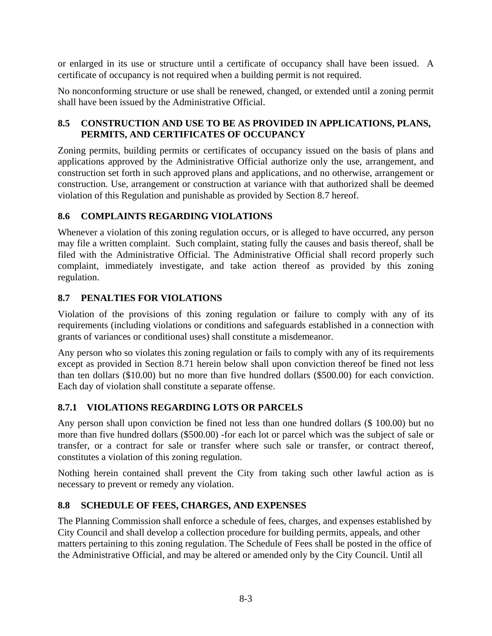or enlarged in its use or structure until a certificate of occupancy shall have been issued. A certificate of occupancy is not required when a building permit is not required.

No nonconforming structure or use shall be renewed, changed, or extended until a zoning permit shall have been issued by the Administrative Official.

## **8.5 CONSTRUCTION AND USE TO BE AS PROVIDED IN APPLICATIONS, PLANS, PERMITS, AND CERTIFICATES OF OCCUPANCY**

Zoning permits, building permits or certificates of occupancy issued on the basis of plans and applications approved by the Administrative Official authorize only the use, arrangement, and construction set forth in such approved plans and applications, and no otherwise, arrangement or construction. Use, arrangement or construction at variance with that authorized shall be deemed violation of this Regulation and punishable as provided by Section 8.7 hereof.

## **8.6 COMPLAINTS REGARDING VIOLATIONS**

Whenever a violation of this zoning regulation occurs, or is alleged to have occurred, any person may file a written complaint. Such complaint, stating fully the causes and basis thereof, shall be filed with the Administrative Official. The Administrative Official shall record properly such complaint, immediately investigate, and take action thereof as provided by this zoning regulation.

## **8.7 PENALTIES FOR VIOLATIONS**

Violation of the provisions of this zoning regulation or failure to comply with any of its requirements (including violations or conditions and safeguards established in a connection with grants of variances or conditional uses) shall constitute a misdemeanor.

Any person who so violates this zoning regulation or fails to comply with any of its requirements except as provided in Section 8.71 herein below shall upon conviction thereof be fined not less than ten dollars (\$10.00) but no more than five hundred dollars (\$500.00) for each conviction. Each day of violation shall constitute a separate offense.

## **8.7.1 VIOLATIONS REGARDING LOTS OR PARCELS**

Any person shall upon conviction be fined not less than one hundred dollars (\$ 100.00) but no more than five hundred dollars (\$500.00) -for each lot or parcel which was the subject of sale or transfer, or a contract for sale or transfer where such sale or transfer, or contract thereof, constitutes a violation of this zoning regulation.

Nothing herein contained shall prevent the City from taking such other lawful action as is necessary to prevent or remedy any violation.

## **8.8 SCHEDULE OF FEES, CHARGES, AND EXPENSES**

The Planning Commission shall enforce a schedule of fees, charges, and expenses established by City Council and shall develop a collection procedure for building permits, appeals, and other matters pertaining to this zoning regulation. The Schedule of Fees shall be posted in the office of the Administrative Official, and may be altered or amended only by the City Council. Until all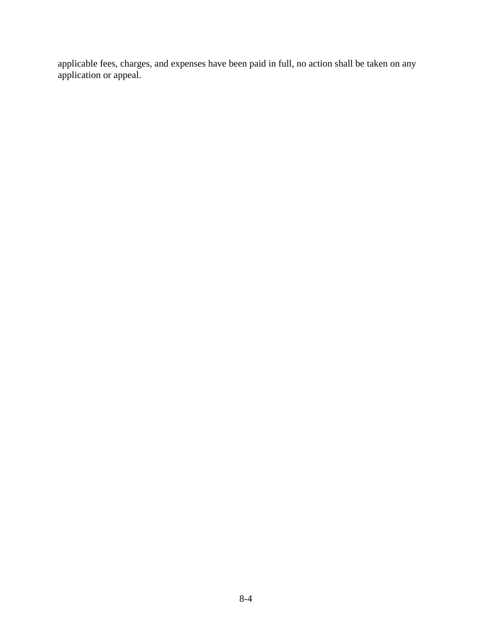applicable fees, charges, and expenses have been paid in full, no action shall be taken on any application or appeal.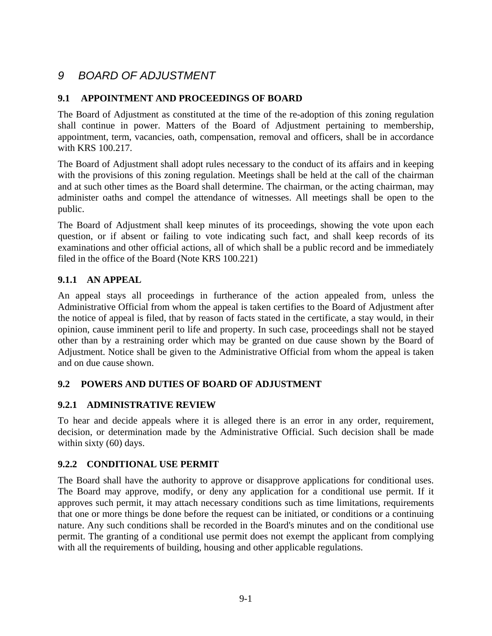# *9 BOARD OF ADJUSTMENT*

### **9.1 APPOINTMENT AND PROCEEDINGS OF BOARD**

The Board of Adjustment as constituted at the time of the re-adoption of this zoning regulation shall continue in power. Matters of the Board of Adjustment pertaining to membership, appointment, term, vacancies, oath, compensation, removal and officers, shall be in accordance with KRS 100.217.

The Board of Adjustment shall adopt rules necessary to the conduct of its affairs and in keeping with the provisions of this zoning regulation. Meetings shall be held at the call of the chairman and at such other times as the Board shall determine. The chairman, or the acting chairman, may administer oaths and compel the attendance of witnesses. All meetings shall be open to the public.

The Board of Adjustment shall keep minutes of its proceedings, showing the vote upon each question, or if absent or failing to vote indicating such fact, and shall keep records of its examinations and other official actions, all of which shall be a public record and be immediately filed in the office of the Board (Note KRS 100.221)

### **9.1.1 AN APPEAL**

An appeal stays all proceedings in furtherance of the action appealed from, unless the Administrative Official from whom the appeal is taken certifies to the Board of Adjustment after the notice of appeal is filed, that by reason of facts stated in the certificate, a stay would, in their opinion, cause imminent peril to life and property. In such case, proceedings shall not be stayed other than by a restraining order which may be granted on due cause shown by the Board of Adjustment. Notice shall be given to the Administrative Official from whom the appeal is taken and on due cause shown.

## **9.2 POWERS AND DUTIES OF BOARD OF ADJUSTMENT**

### **9.2.1 ADMINISTRATIVE REVIEW**

To hear and decide appeals where it is alleged there is an error in any order, requirement, decision, or determination made by the Administrative Official. Such decision shall be made within sixty (60) days.

### **9.2.2 CONDITIONAL USE PERMIT**

The Board shall have the authority to approve or disapprove applications for conditional uses. The Board may approve, modify, or deny any application for a conditional use permit. If it approves such permit, it may attach necessary conditions such as time limitations, requirements that one or more things be done before the request can be initiated, or conditions or a continuing nature. Any such conditions shall be recorded in the Board's minutes and on the conditional use permit. The granting of a conditional use permit does not exempt the applicant from complying with all the requirements of building, housing and other applicable regulations.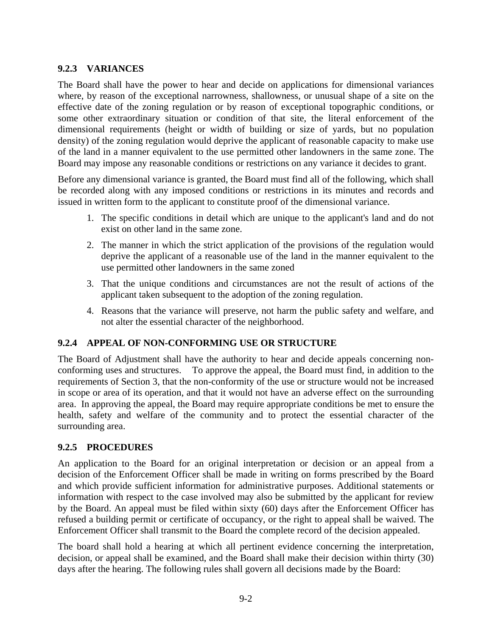### **9.2.3 VARIANCES**

The Board shall have the power to hear and decide on applications for dimensional variances where, by reason of the exceptional narrowness, shallowness, or unusual shape of a site on the effective date of the zoning regulation or by reason of exceptional topographic conditions, or some other extraordinary situation or condition of that site, the literal enforcement of the dimensional requirements (height or width of building or size of yards, but no population density) of the zoning regulation would deprive the applicant of reasonable capacity to make use of the land in a manner equivalent to the use permitted other landowners in the same zone. The Board may impose any reasonable conditions or restrictions on any variance it decides to grant.

Before any dimensional variance is granted, the Board must find all of the following, which shall be recorded along with any imposed conditions or restrictions in its minutes and records and issued in written form to the applicant to constitute proof of the dimensional variance.

- 1. The specific conditions in detail which are unique to the applicant's land and do not exist on other land in the same zone.
- 2. The manner in which the strict application of the provisions of the regulation would deprive the applicant of a reasonable use of the land in the manner equivalent to the use permitted other landowners in the same zoned
- 3. That the unique conditions and circumstances are not the result of actions of the applicant taken subsequent to the adoption of the zoning regulation.
- 4. Reasons that the variance will preserve, not harm the public safety and welfare, and not alter the essential character of the neighborhood.

### **9.2.4 APPEAL OF NON-CONFORMING USE OR STRUCTURE**

The Board of Adjustment shall have the authority to hear and decide appeals concerning nonconforming uses and structures. To approve the appeal, the Board must find, in addition to the requirements of Section 3, that the non-conformity of the use or structure would not be increased in scope or area of its operation, and that it would not have an adverse effect on the surrounding area. In approving the appeal, the Board may require appropriate conditions be met to ensure the health, safety and welfare of the community and to protect the essential character of the surrounding area.

### **9.2.5 PROCEDURES**

An application to the Board for an original interpretation or decision or an appeal from a decision of the Enforcement Officer shall be made in writing on forms prescribed by the Board and which provide sufficient information for administrative purposes. Additional statements or information with respect to the case involved may also be submitted by the applicant for review by the Board. An appeal must be filed within sixty (60) days after the Enforcement Officer has refused a building permit or certificate of occupancy, or the right to appeal shall be waived. The Enforcement Officer shall transmit to the Board the complete record of the decision appealed.

The board shall hold a hearing at which all pertinent evidence concerning the interpretation, decision, or appeal shall be examined, and the Board shall make their decision within thirty (30) days after the hearing. The following rules shall govern all decisions made by the Board: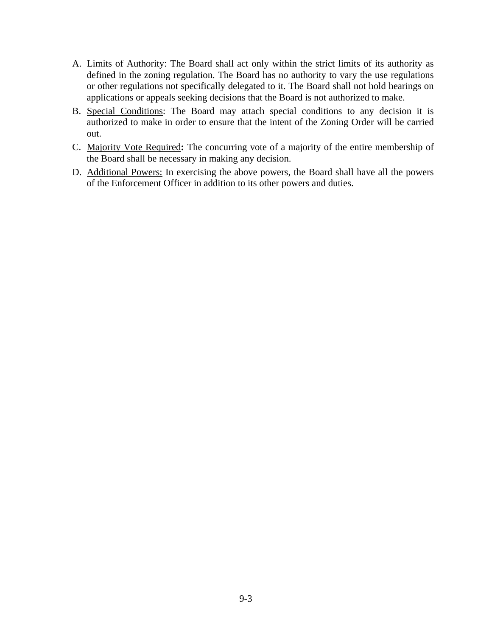- A. Limits of Authority: The Board shall act only within the strict limits of its authority as defined in the zoning regulation. The Board has no authority to vary the use regulations or other regulations not specifically delegated to it. The Board shall not hold hearings on applications or appeals seeking decisions that the Board is not authorized to make.
- B. Special Conditions: The Board may attach special conditions to any decision it is authorized to make in order to ensure that the intent of the Zoning Order will be carried out.
- C. Majority Vote Required**:** The concurring vote of a majority of the entire membership of the Board shall be necessary in making any decision.
- D. Additional Powers: In exercising the above powers, the Board shall have all the powers of the Enforcement Officer in addition to its other powers and duties.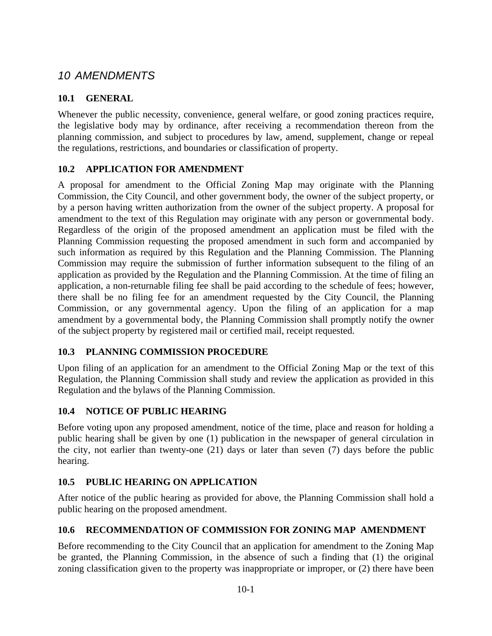## *10 AMENDMENTS*

## **10.1 GENERAL**

Whenever the public necessity, convenience, general welfare, or good zoning practices require, the legislative body may by ordinance, after receiving a recommendation thereon from the planning commission, and subject to procedures by law, amend, supplement, change or repeal the regulations, restrictions, and boundaries or classification of property.

## **10.2 APPLICATION FOR AMENDMENT**

A proposal for amendment to the Official Zoning Map may originate with the Planning Commission, the City Council, and other government body, the owner of the subject property, or by a person having written authorization from the owner of the subject property. A proposal for amendment to the text of this Regulation may originate with any person or governmental body. Regardless of the origin of the proposed amendment an application must be filed with the Planning Commission requesting the proposed amendment in such form and accompanied by such information as required by this Regulation and the Planning Commission. The Planning Commission may require the submission of further information subsequent to the filing of an application as provided by the Regulation and the Planning Commission. At the time of filing an application, a non-returnable filing fee shall be paid according to the schedule of fees; however, there shall be no filing fee for an amendment requested by the City Council, the Planning Commission, or any governmental agency. Upon the filing of an application for a map amendment by a governmental body, the Planning Commission shall promptly notify the owner of the subject property by registered mail or certified mail, receipt requested.

## **10.3 PLANNING COMMISSION PROCEDURE**

Upon filing of an application for an amendment to the Official Zoning Map or the text of this Regulation, the Planning Commission shall study and review the application as provided in this Regulation and the bylaws of the Planning Commission.

## **10.4 NOTICE OF PUBLIC HEARING**

Before voting upon any proposed amendment, notice of the time, place and reason for holding a public hearing shall be given by one (1) publication in the newspaper of general circulation in the city, not earlier than twenty-one (21) days or later than seven (7) days before the public hearing.

## **10.5 PUBLIC HEARING ON APPLICATION**

After notice of the public hearing as provided for above, the Planning Commission shall hold a public hearing on the proposed amendment.

## **10.6 RECOMMENDATION OF COMMISSION FOR ZONING MAP AMENDMENT**

Before recommending to the City Council that an application for amendment to the Zoning Map be granted, the Planning Commission, in the absence of such a finding that (1) the original zoning classification given to the property was inappropriate or improper, or (2) there have been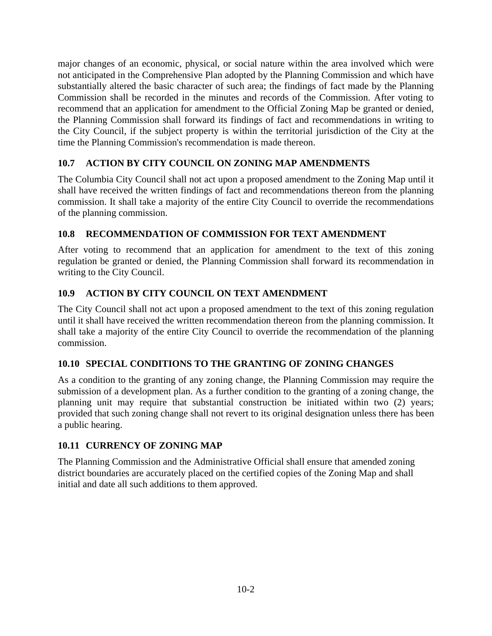major changes of an economic, physical, or social nature within the area involved which were not anticipated in the Comprehensive Plan adopted by the Planning Commission and which have substantially altered the basic character of such area; the findings of fact made by the Planning Commission shall be recorded in the minutes and records of the Commission. After voting to recommend that an application for amendment to the Official Zoning Map be granted or denied, the Planning Commission shall forward its findings of fact and recommendations in writing to the City Council, if the subject property is within the territorial jurisdiction of the City at the time the Planning Commission's recommendation is made thereon.

## **10.7 ACTION BY CITY COUNCIL ON ZONING MAP AMENDMENTS**

The Columbia City Council shall not act upon a proposed amendment to the Zoning Map until it shall have received the written findings of fact and recommendations thereon from the planning commission. It shall take a majority of the entire City Council to override the recommendations of the planning commission.

## **10.8 RECOMMENDATION OF COMMISSION FOR TEXT AMENDMENT**

After voting to recommend that an application for amendment to the text of this zoning regulation be granted or denied, the Planning Commission shall forward its recommendation in writing to the City Council.

## **10.9 ACTION BY CITY COUNCIL ON TEXT AMENDMENT**

The City Council shall not act upon a proposed amendment to the text of this zoning regulation until it shall have received the written recommendation thereon from the planning commission. It shall take a majority of the entire City Council to override the recommendation of the planning commission.

## **10.10 SPECIAL CONDITIONS TO THE GRANTING OF ZONING CHANGES**

As a condition to the granting of any zoning change, the Planning Commission may require the submission of a development plan. As a further condition to the granting of a zoning change, the planning unit may require that substantial construction be initiated within two (2) years; provided that such zoning change shall not revert to its original designation unless there has been a public hearing.

### **10.11 CURRENCY OF ZONING MAP**

The Planning Commission and the Administrative Official shall ensure that amended zoning district boundaries are accurately placed on the certified copies of the Zoning Map and shall initial and date all such additions to them approved.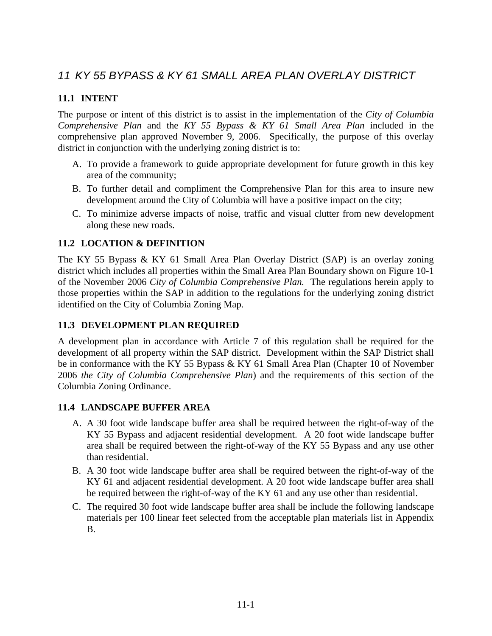# *11 KY 55 BYPASS & KY 61 SMALL AREA PLAN OVERLAY DISTRICT*

## **11.1 INTENT**

The purpose or intent of this district is to assist in the implementation of the *City of Columbia Comprehensive Plan* and the *KY 55 Bypass & KY 61 Small Area Plan* included in the comprehensive plan approved November 9, 2006. Specifically, the purpose of this overlay district in conjunction with the underlying zoning district is to:

- A. To provide a framework to guide appropriate development for future growth in this key area of the community;
- B. To further detail and compliment the Comprehensive Plan for this area to insure new development around the City of Columbia will have a positive impact on the city;
- C. To minimize adverse impacts of noise, traffic and visual clutter from new development along these new roads.

### **11.2 LOCATION & DEFINITION**

The KY 55 Bypass & KY 61 Small Area Plan Overlay District (SAP) is an overlay zoning district which includes all properties within the Small Area Plan Boundary shown on Figure 10-1 of the November 2006 *City of Columbia Comprehensive Plan.* The regulations herein apply to those properties within the SAP in addition to the regulations for the underlying zoning district identified on the City of Columbia Zoning Map.

### **11.3 DEVELOPMENT PLAN REQUIRED**

A development plan in accordance with Article 7 of this regulation shall be required for the development of all property within the SAP district. Development within the SAP District shall be in conformance with the KY 55 Bypass & KY 61 Small Area Plan (Chapter 10 of November 2006 *the City of Columbia Comprehensive Plan*) and the requirements of this section of the Columbia Zoning Ordinance.

### **11.4 LANDSCAPE BUFFER AREA**

- A. A 30 foot wide landscape buffer area shall be required between the right-of-way of the KY 55 Bypass and adjacent residential development. A 20 foot wide landscape buffer area shall be required between the right-of-way of the KY 55 Bypass and any use other than residential.
- B. A 30 foot wide landscape buffer area shall be required between the right-of-way of the KY 61 and adjacent residential development. A 20 foot wide landscape buffer area shall be required between the right-of-way of the KY 61 and any use other than residential.
- C. The required 30 foot wide landscape buffer area shall be include the following landscape materials per 100 linear feet selected from the acceptable plan materials list in Appendix B.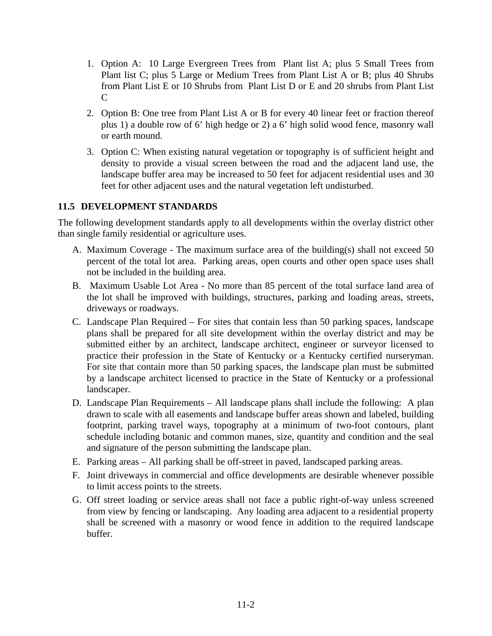- 1. Option A: 10 Large Evergreen Trees from Plant list A; plus 5 Small Trees from Plant list C; plus 5 Large or Medium Trees from Plant List A or B; plus 40 Shrubs from Plant List E or 10 Shrubs from Plant List D or E and 20 shrubs from Plant List  $\mathcal{C}$
- 2. Option B: One tree from Plant List A or B for every 40 linear feet or fraction thereof plus 1) a double row of 6' high hedge or 2) a 6' high solid wood fence, masonry wall or earth mound.
- 3. Option C: When existing natural vegetation or topography is of sufficient height and density to provide a visual screen between the road and the adjacent land use, the landscape buffer area may be increased to 50 feet for adjacent residential uses and 30 feet for other adjacent uses and the natural vegetation left undisturbed.

### **11.5 DEVELOPMENT STANDARDS**

The following development standards apply to all developments within the overlay district other than single family residential or agriculture uses.

- A. Maximum Coverage The maximum surface area of the building(s) shall not exceed 50 percent of the total lot area. Parking areas, open courts and other open space uses shall not be included in the building area.
- B. Maximum Usable Lot Area No more than 85 percent of the total surface land area of the lot shall be improved with buildings, structures, parking and loading areas, streets, driveways or roadways.
- C. Landscape Plan Required For sites that contain less than 50 parking spaces, landscape plans shall be prepared for all site development within the overlay district and may be submitted either by an architect, landscape architect, engineer or surveyor licensed to practice their profession in the State of Kentucky or a Kentucky certified nurseryman. For site that contain more than 50 parking spaces, the landscape plan must be submitted by a landscape architect licensed to practice in the State of Kentucky or a professional landscaper.
- D. Landscape Plan Requirements All landscape plans shall include the following: A plan drawn to scale with all easements and landscape buffer areas shown and labeled, building footprint, parking travel ways, topography at a minimum of two-foot contours, plant schedule including botanic and common manes, size, quantity and condition and the seal and signature of the person submitting the landscape plan.
- E. Parking areas All parking shall be off-street in paved, landscaped parking areas.
- F. Joint driveways in commercial and office developments are desirable whenever possible to limit access points to the streets.
- G. Off street loading or service areas shall not face a public right-of-way unless screened from view by fencing or landscaping. Any loading area adjacent to a residential property shall be screened with a masonry or wood fence in addition to the required landscape buffer.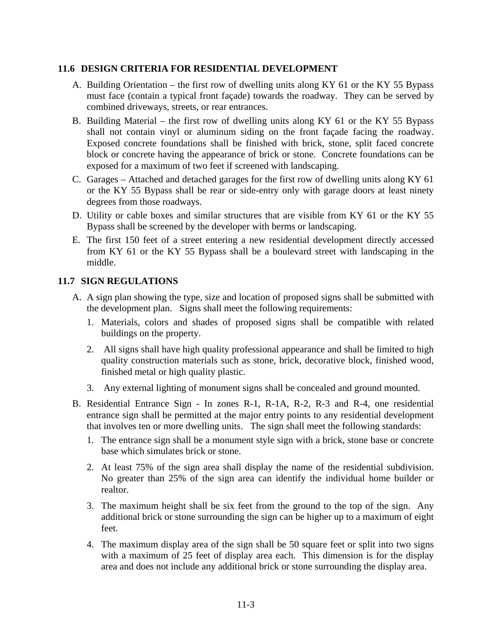### **11.6 DESIGN CRITERIA FOR RESIDENTIAL DEVELOPMENT**

- A. Building Orientation the first row of dwelling units along KY 61 or the KY 55 Bypass must face (contain a typical front façade) towards the roadway. They can be served by combined driveways, streets, or rear entrances.
- B. Building Material the first row of dwelling units along KY 61 or the KY 55 Bypass shall not contain vinyl or aluminum siding on the front façade facing the roadway. Exposed concrete foundations shall be finished with brick, stone, split faced concrete block or concrete having the appearance of brick or stone. Concrete foundations can be exposed for a maximum of two feet if screened with landscaping.
- C. Garages Attached and detached garages for the first row of dwelling units along KY 61 or the KY 55 Bypass shall be rear or side-entry only with garage doors at least ninety degrees from those roadways.
- D. Utility or cable boxes and similar structures that are visible from KY 61 or the KY 55 Bypass shall be screened by the developer with berms or landscaping.
- E. The first 150 feet of a street entering a new residential development directly accessed from KY 61 or the KY 55 Bypass shall be a boulevard street with landscaping in the middle.

### **11.7 SIGN REGULATIONS**

- A. A sign plan showing the type, size and location of proposed signs shall be submitted with the development plan. Signs shall meet the following requirements:
	- 1. Materials, colors and shades of proposed signs shall be compatible with related buildings on the property.
	- 2. All signs shall have high quality professional appearance and shall be limited to high quality construction materials such as stone, brick, decorative block, finished wood, finished metal or high quality plastic.
	- 3. Any external lighting of monument signs shall be concealed and ground mounted.
- B. Residential Entrance Sign In zones R-1, R-1A, R-2, R-3 and R-4, one residential entrance sign shall be permitted at the major entry points to any residential development that involves ten or more dwelling units. The sign shall meet the following standards:
	- 1. The entrance sign shall be a monument style sign with a brick, stone base or concrete base which simulates brick or stone.
	- 2. At least 75% of the sign area shall display the name of the residential subdivision. No greater than 25% of the sign area can identify the individual home builder or realtor.
	- 3. The maximum height shall be six feet from the ground to the top of the sign. Any additional brick or stone surrounding the sign can be higher up to a maximum of eight feet.
	- 4. The maximum display area of the sign shall be 50 square feet or split into two signs with a maximum of 25 feet of display area each. This dimension is for the display area and does not include any additional brick or stone surrounding the display area.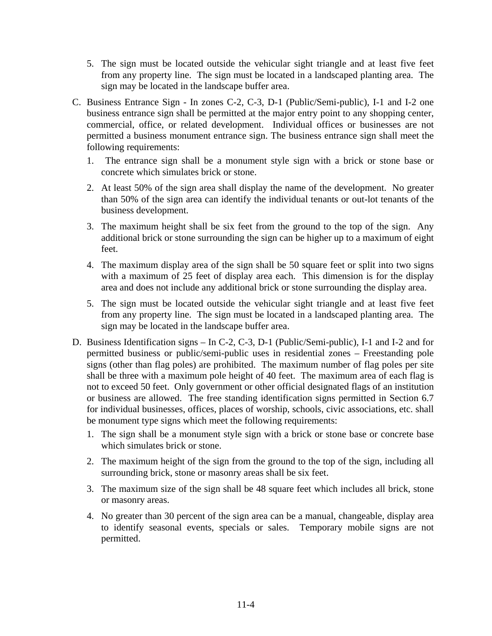- 5. The sign must be located outside the vehicular sight triangle and at least five feet from any property line. The sign must be located in a landscaped planting area. The sign may be located in the landscape buffer area.
- C. Business Entrance Sign In zones C-2, C-3, D-1 (Public/Semi-public), I-1 and I-2 one business entrance sign shall be permitted at the major entry point to any shopping center, commercial, office, or related development. Individual offices or businesses are not permitted a business monument entrance sign. The business entrance sign shall meet the following requirements:
	- 1. The entrance sign shall be a monument style sign with a brick or stone base or concrete which simulates brick or stone.
	- 2. At least 50% of the sign area shall display the name of the development. No greater than 50% of the sign area can identify the individual tenants or out-lot tenants of the business development.
	- 3. The maximum height shall be six feet from the ground to the top of the sign. Any additional brick or stone surrounding the sign can be higher up to a maximum of eight feet.
	- 4. The maximum display area of the sign shall be 50 square feet or split into two signs with a maximum of 25 feet of display area each. This dimension is for the display area and does not include any additional brick or stone surrounding the display area.
	- 5. The sign must be located outside the vehicular sight triangle and at least five feet from any property line. The sign must be located in a landscaped planting area. The sign may be located in the landscape buffer area.
- D. Business Identification signs In C-2, C-3, D-1 (Public/Semi-public), I-1 and I-2 and for permitted business or public/semi-public uses in residential zones – Freestanding pole signs (other than flag poles) are prohibited. The maximum number of flag poles per site shall be three with a maximum pole height of 40 feet. The maximum area of each flag is not to exceed 50 feet. Only government or other official designated flags of an institution or business are allowed. The free standing identification signs permitted in Section 6.7 for individual businesses, offices, places of worship, schools, civic associations, etc. shall be monument type signs which meet the following requirements:
	- 1. The sign shall be a monument style sign with a brick or stone base or concrete base which simulates brick or stone.
	- 2. The maximum height of the sign from the ground to the top of the sign, including all surrounding brick, stone or masonry areas shall be six feet.
	- 3. The maximum size of the sign shall be 48 square feet which includes all brick, stone or masonry areas.
	- 4. No greater than 30 percent of the sign area can be a manual, changeable, display area to identify seasonal events, specials or sales. Temporary mobile signs are not permitted.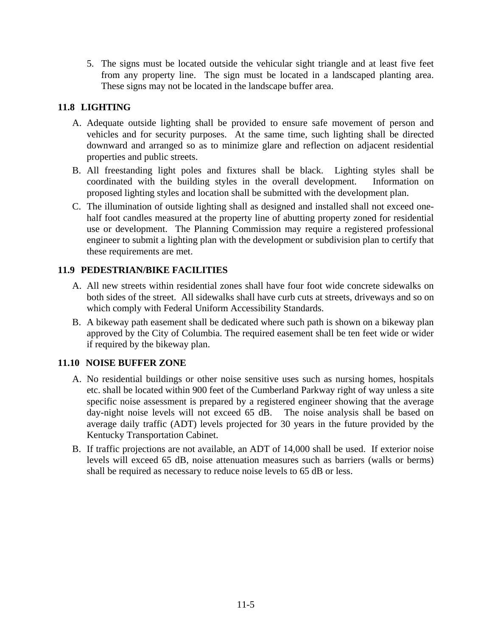5. The signs must be located outside the vehicular sight triangle and at least five feet from any property line. The sign must be located in a landscaped planting area. These signs may not be located in the landscape buffer area.

## **11.8 LIGHTING**

- A. Adequate outside lighting shall be provided to ensure safe movement of person and vehicles and for security purposes. At the same time, such lighting shall be directed downward and arranged so as to minimize glare and reflection on adjacent residential properties and public streets.
- B. All freestanding light poles and fixtures shall be black. Lighting styles shall be coordinated with the building styles in the overall development. Information on proposed lighting styles and location shall be submitted with the development plan.
- C. The illumination of outside lighting shall as designed and installed shall not exceed onehalf foot candles measured at the property line of abutting property zoned for residential use or development. The Planning Commission may require a registered professional engineer to submit a lighting plan with the development or subdivision plan to certify that these requirements are met.

## **11.9 PEDESTRIAN/BIKE FACILITIES**

- A. All new streets within residential zones shall have four foot wide concrete sidewalks on both sides of the street. All sidewalks shall have curb cuts at streets, driveways and so on which comply with Federal Uniform Accessibility Standards.
- B. A bikeway path easement shall be dedicated where such path is shown on a bikeway plan approved by the City of Columbia. The required easement shall be ten feet wide or wider if required by the bikeway plan.

## **11.10 NOISE BUFFER ZONE**

- A. No residential buildings or other noise sensitive uses such as nursing homes, hospitals etc. shall be located within 900 feet of the Cumberland Parkway right of way unless a site specific noise assessment is prepared by a registered engineer showing that the average day-night noise levels will not exceed 65 dB. The noise analysis shall be based on average daily traffic (ADT) levels projected for 30 years in the future provided by the Kentucky Transportation Cabinet.
- B. If traffic projections are not available, an ADT of 14,000 shall be used. If exterior noise levels will exceed 65 dB, noise attenuation measures such as barriers (walls or berms) shall be required as necessary to reduce noise levels to 65 dB or less.